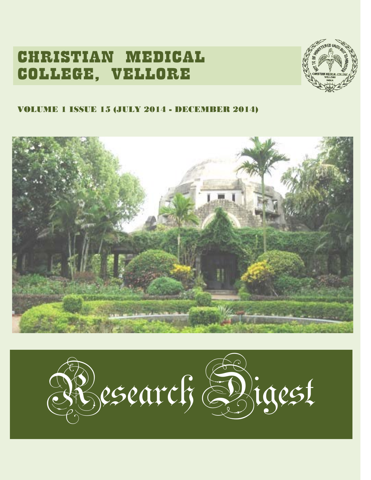# CHRISTIAN MEDICAL COLLEGE, VELLORE



### VOLUME 1 ISSUE 15 (JULY 2014 - DECEMBER 2014)



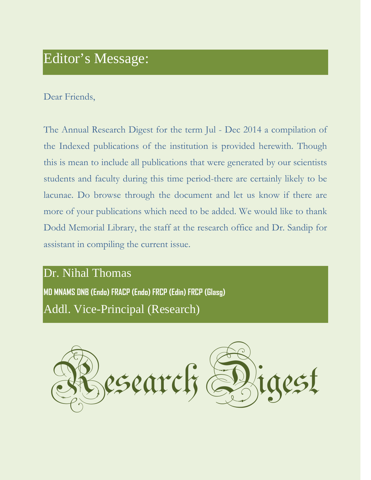# Editor's Message:

### Dear Friends,

The Annual Research Digest for the term Jul - Dec 2014 a compilation of the Indexed publications of the institution is provided herewith. Though this is mean to include all publications that were generated by our scientists students and faculty during this time period-there are certainly likely to be lacunae. Do browse through the document and let us know if there are more of your publications which need to be added. We would like to thank Dodd Memorial Library, the staff at the research office and Dr. Sandip for assistant in compiling the current issue.

# Dr. Nihal Thomas

**MD MNAMS DNB (Endo) FRACP (Endo) FRCP (Edin) FRCP (Glasg)** Addl. Vice-Principal (Research)

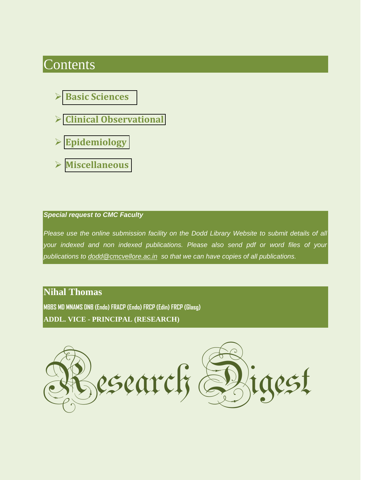# Contents

- **[Basic Sciences](#page-3-0)**
- **[Clinical Observational](#page-18-0)**
- **[Epidemiology](#page-61-0)**
- **[Miscellaneous](#page-67-0)**

#### *Special request to CMC Faculty*

*Please use the online submission facility on the Dodd Library Website to submit details of all your indexed and non indexed publications. Please also send pdf or word files of your publications to [dodd@cmcvellore.ac.in](mailto:dodd@cmcvellore.ac.in) so that we can have copies of all publications.*

### **Nihal Thomas**

**MBBS MD MNAMS DNB (Endo) FRACP (Endo) FRCP (Edin) FRCP (Glasg) ADDL. VICE - PRINCIPAL (RESEARCH)**

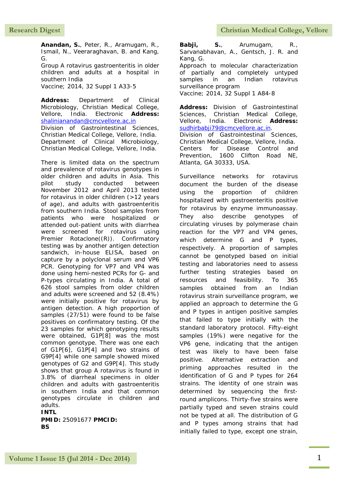<span id="page-3-0"></span>**Anandan, S.**, Peter, R., Aramugam, R., Ismail, N., Veeraraghavan, B. and Kang, G.

Group A rotavirus gastroenteritis in older children and adults at a hospital in southern India

Vaccine; 2014, 32 Suppl 1 A33-5

**Address:** Department of Clinical Microbiology, Christian Medical College, Vellore, India. Electronic **Address:** [shalinianandan@cmcvellore.ac.in](mailto:shalinianandan@cmcvellore.ac.in) Division of Gastrointestinal Sciences, Christian Medical College, Vellore, India. Department of Clinical Microbiology, Christian Medical College, Vellore, India.

There is limited data on the spectrum and prevalence of rotavirus genotypes in older children and adults in Asia. This pilot study conducted between November 2012 and April 2013 tested for rotavirus in older children (>12 years of age), and adults with gastroenteritis from southern India. Stool samples from patients who were hospitalized or attended out-patient units with diarrhea were screened for rotavirus using Premier Rotaclone((R)). Confirmatory testing was by another antigen detection sandwich, in-house ELISA, based on capture by a polyclonal serum and VP6 PCR. Genotyping for VP7 and VP4 was done using hemi-nested PCRs for G- and P-types circulating in India. A total of 626 stool samples from older children and adults were screened and 52 (8.4%) were initially positive for rotavirus by antigen detection. A high proportion of samples (27/51) were found to be false positives on confirmatory testing. Of the 23 samples for which genotyping results were obtained, G1P[8] was the most common genotype. There was one each of G1P[6], G1P[4] and two strains of G9P[4] while one sample showed mixed genotypes of G2 and G9P[4]. This study shows that group A rotavirus is found in 3.8% of diarrheal specimens in older children and adults with gastroenteritis in southern India and that common genotypes circulate in children and adults. **INTL**

**PMID:** 25091677 **PMCID: BS**

**Babji, S.**, Arumugam, R., Sarvanabhavan, A., Gentsch, J. R. and Kang, G. Approach to molecular characterization of partially and completely untyped samples in an Indian rotavirus surveillance program Vaccine; 2014, 32 Suppl 1 A84-8

**Address:** Division of Gastrointestinal Sciences, Christian Medical College, Vellore, India. Electronic **Address:** [sudhirbabji79@cmcvellore.ac.in.](mailto:sudhirbabji79@cmcvellore.ac.in) Division of Gastrointestinal Sciences, Christian Medical College, Vellore, India. Centers for Disease Control and Prevention, 1600 Clifton Road NE, Atlanta, GA 30333, USA.

Surveillance networks for rotavirus document the burden of the disease using the proportion of children hospitalized with gastroenteritis positive for rotavirus by enzyme immunoassay. They also describe genotypes of circulating viruses by polymerase chain reaction for the VP7 and VP4 genes, which determine G and P types, respectively. A proportion of samples cannot be genotyped based on initial testing and laboratories need to assess further testing strategies based on resources and feasibility. To 365 samples obtained from an Indian rotavirus strain surveillance program, we applied an approach to determine the G and P types in antigen positive samples that failed to type initially with the standard laboratory protocol. Fifty-eight samples (19%) were negative for the VP6 gene, indicating that the antigen test was likely to have been false positive. Alternative extraction and priming approaches resulted in the identification of G and P types for 264 strains. The identity of one strain was determined by sequencing the firstround amplicons. Thirty-five strains were partially typed and seven strains could not be typed at all. The distribution of G and P types among strains that had initially failed to type, except one strain,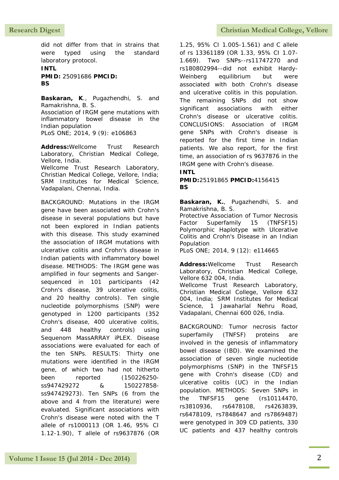did not differ from that in strains that were typed using the standard laboratory protocol.

**INTL PMID:** 25091686 **PMCID: BS**

**Baskaran, K**., Pugazhendhi, S. and Ramakrishna, B. S. Association of IRGM gene mutations with inflammatory bowel disease in the Indian population

PLoS ONE; 2014, 9 (9): e106863

**Address:**Wellcome Trust Research Laboratory, Christian Medical College, Vellore, India. Wellcome Trust Research Laboratory, Christian Medical College, Vellore, India; SRM Institutes for Medical Science, Vadapalani, Chennai, India.

BACKGROUND: Mutations in the IRGM gene have been associated with Crohn's disease in several populations but have not been explored in Indian patients with this disease. This study examined the association of IRGM mutations with ulcerative colitis and Crohn's disease in Indian patients with inflammatory bowel disease. METHODS: The IRGM gene was amplified in four segments and Sangersequenced in 101 participants (42 Crohn's disease, 39 ulcerative colitis, and 20 healthy controls). Ten single nucleotide polymorphisms (SNP) were genotyped in 1200 participants (352 Crohn's disease, 400 ulcerative colitis, and 448 healthy controls) using Sequenom MassARRAY iPLEX. Disease associations were evaluated for each of the ten SNPs. RESULTS: Thirty one mutations were identified in the IRGM gene, of which two had not hitherto been reported (150226250 ss947429272 & 150227858 ss947429273). Ten SNPs (6 from the above and 4 from the literature) were evaluated. Significant associations with Crohn's disease were noted with the T allele of rs1000113 (OR 1.46, 95% CI 1.12-1.90), T allele of rs9637876 (OR

1.25, 95% CI 1.005-1.561) and C allele of rs 13361189 (OR 1.33, 95% CI 1.07- 1.669). Two SNPs--rs11747270 and rs180802994--did not exhibit Hardy-Weinberg equilibrium but were associated with both Crohn's disease and ulcerative colitis in this population. The remaining SNPs did not show significant associations with either Crohn's disease or ulcerative colitis. CONCLUSIONS: Association of IRGM gene SNPs with Crohn's disease is reported for the first time in Indian patients. We also report, for the first time, an association of rs 9637876 in the IRGM gene with Crohn's disease.

#### **INTL**

**PMID:**25191865 **PMCID:**4156415 **BS**

**Baskaran, K.**, Pugazhendhi, S. and Ramakrishna, B. S.

Protective Association of Tumor Necrosis Factor Superfamily 15 (TNFSF15) Polymorphic Haplotype with Ulcerative Colitis and Crohn's Disease in an Indian Population

PLoS ONE; 2014, 9 (12): e114665

**Address:**Wellcome Trust Research Laboratory, Christian Medical College, Vellore 632 004, India. Wellcome Trust Research Laboratory, Christian Medical College, Vellore 632 004, India; SRM Institutes for Medical Science, 1 Jawaharlal Nehru Road, Vadapalani, Chennai 600 026, India.

BACKGROUND: Tumor necrosis factor superfamily (TNFSF) proteins are involved in the genesis of inflammatory bowel disease (IBD). We examined the association of seven single nucleotide polymorphisms (SNP) in the TNFSF15 gene with Crohn's disease (CD) and ulcerative colitis (UC) in the Indian population. METHODS: Seven SNPs in the TNFSF15 gene (rs10114470, rs3810936, rs6478108, rs4263839, rs6478109, rs7848647 and rs7869487) were genotyped in 309 CD patients, 330 UC patients and 437 healthy controls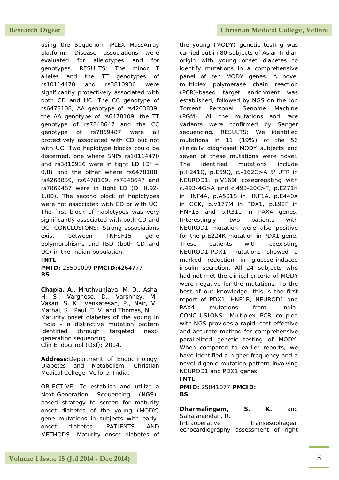using the Sequenom iPLEX MassArray platform. Disease associations were evaluated for allelotypes and for genotypes. RESULTS: The minor T alleles and the TT genotypes of rs10114470 and rs3810936 were significantly protectively associated with both CD and UC. The CC genotype of rs6478108, AA genotype of rs4263839, the AA genotype of rs6478109, the TT genotype of rs7848647 and the CC genotype of rs7869487 were all protectively associated with CD but not with UC. Two haplotype blocks could be discerned, one where SNPs rs10114470 and rs3810936 were in tight LD  $(D' =$ 0.8) and the other where rs6478108, rs4263839, rs6478109, rs7848647 and rs7869487 were in tight LD (D' 0.92- 1.00). The second block of haplotypes were not associated with CD or with UC. The first block of haplotypes was very significantly associated with both CD and UC. CONCLUSIONS: Strong associations exist between TNFSF15 gene polymorphisms and IBD (both CD and UC) in the Indian population.

#### **INTL**

#### **PMID:** 25501099 **PMCID:**4264777 **BS**

**Chapla, A**., Mruthyunjaya, M. D., Asha, H. S., Varghese, D., Varshney, M., Vasan, S. K., Venkatesan, P., Nair, V., Mathai, S., Paul, T. V. and Thomas, N. Maturity onset diabetes of the young in India - a distinctive mutation pattern identified through targeted nextgeneration sequencing Clin Endocrinol (Oxf); 2014,

**Address:**Department of Endocrinology, Diabetes and Metabolism, Christian Medical College, Vellore, India.

OBJECTIVE: To establish and utilize a Next-Generation Sequencing (NGS) based strategy to screen for maturity onset diabetes of the young (MODY) gene mutations in subjects with earlyonset diabetes. PATIENTS AND METHODS: Maturity onset diabetes of

#### **Research Digest Christian Medical College, Vellore**

the young (MODY) genetic testing was carried out in 80 subjects of Asian Indian origin with young onset diabetes to identify mutations in a comprehensive panel of ten MODY genes. A novel multiplex polymerase chain reaction (PCR)-based target enrichment was established, followed by NGS on the Ion Torrent Personal Genome Machine (PGM). All the mutations and rare variants were confirmed by Sanger sequencing. RESULTS: We identified mutations in 11 (19%) of the 56 clinically diagnosed MODY subjects and seven of these mutations were novel. The identified mutations include p.H241Q, p.E59Q, c.-162G>A 5' UTR in NEUROD1, p.V169I cosegregating with c.493-4G>A and c.493-20C>T, p.E271K in HNF4A, p.A501S in HNF1A, p.E440X in GCK, p.V177M in PDX1, p.L92F in HNF1B and p.R31L in PAX4 genes. Interestingly, two patients with NEUROD1 mutation were also positive for the p.E224K mutation in PDX1 gene. These patients with coexisting NEUROD1-PDX1 mutations showed a marked reduction in glucose-induced insulin secretion. All 24 subjects who had not met the clinical criteria of MODY were negative for the mutations. To the best of our knowledge, this is the first report of PDX1, HNF1B, NEUROD1 and PAX4 mutations from India. CONCLUSIONS: Multiplex PCR coupled with NGS provides a rapid, cost-effective and accurate method for comprehensive parallelized genetic testing of MODY. When compared to earlier reports, we have identified a higher frequency and a novel digenic mutation pattern involving NEUROD1 and PDX1 genes.

#### **INTL PMID:** 25041077 **PMCID:**

### **BS**

**Dharmalingam, S. K.** and Sahajanandan, R. Intraoperative transesophageal echocardiography assessment of right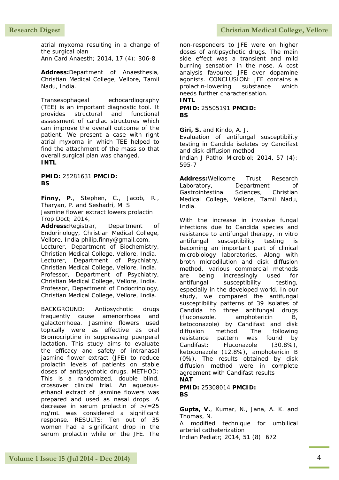atrial myxoma resulting in a change of the surgical plan Ann Card Anaesth; 2014, 17 (4): 306-8

**Address:**Department of Anaesthesia,

Christian Medical College, Vellore, Tamil Nadu, India.

Transesophageal echocardiography (TEE) is an important diagnostic tool. It provides structural and functional assessment of cardiac structures which can improve the overall outcome of the patient. We present a case with right atrial myxoma in which TEE helped to find the attachment of the mass so that overall surgical plan was changed. **INTL**

**PMID:** 25281631 **PMCID: BS**

**Finny, P**., Stephen, C., Jacob, R., Tharyan, P. and Seshadri, M. S. Jasmine flower extract lowers prolactin Trop Doct; 2014,

**Address:**Registrar, Department of Endorinology, Christian Medical College, Vellore, India philip.finny@gmail.com. Lecturer, Department of Biochemistry, Christian Medical College, Vellore, India. Lecturer, Department of Psychiatry, Christian Medical College, Vellore, India. Professor, Department of Psychiatry, Christian Medical College, Vellore, India. Professor, Department of Endocrinology, Christian Medical College, Vellore, India.

BACKGROUND: Antipsychotic drugs frequently cause amenorrhoea and galactorrhoea. Jasmine flowers used topically were as effective as oral Bromocriptine in suppressing puerperal lactation. This study aims to evaluate the efficacy and safety of intranasal jasmine flower extract (JFE) to reduce prolactin levels of patients on stable doses of antipsychotic drugs. METHOD: This is a randomized, double blind, crossover clinical trial. An aqueousethanol extract of jasmine flowers was prepared and used as nasal drops. A decrease in serum prolactin of >/=25 ng/mL was considered a significant response. RESULTS: Ten out of 35 women had a significant drop in the serum prolactin while on the JFE. The

non-responders to JFE were on higher doses of antipsychotic drugs. The main side effect was a transient and mild burning sensation in the nose. A cost analysis favoured JFE over dopamine agonists. CONCLUSION: JFE contains a prolactin-lowering substance which needs further characterisation. **INTL**

#### **PMID:** 25505191 **PMCID: BS**

**Giri, S.** and Kindo, A. J.

Evaluation of antifungal susceptibility testing in Candida isolates by Candifast and disk-diffusion method Indian J Pathol Microbiol; 2014, 57 (4):

595-7

**Address:**Wellcome Trust Research Laboratory, Department of Gastrointestinal Sciences, Christian Medical College, Vellore, Tamil Nadu, India.

With the increase in invasive fungal infections due to Candida species and resistance to antifungal therapy, in vitro antifungal susceptibility testing is becoming an important part of clinical microbiology laboratories. Along with broth microdilution and disk diffusion method, various commercial methods are being increasingly used for antifungal susceptibility testing, especially in the developed world. In our study, we compared the antifungal susceptibility patterns of 39 isolates of Candida to three antifungal drugs (fluconazole, amphotericin B, ketoconazole) by Candifast and disk diffusion method. The following resistance pattern was found by Candifast: Fluconazole (30.8%), ketoconazole (12.8%), amphotericin B (0%). The results obtained by disk diffusion method were in complete agreement with Candifast results **NAT**

**PMID:** 25308014 **PMCID: BS**

**Gupta, V.**, Kumar, N., Jana, A. K. and Thomas, N.

A modified technique for umbilical arterial catheterization

Indian Pediatr; 2014, 51 (8): 672

#### Research Digest **Christian Medical College, Vellore**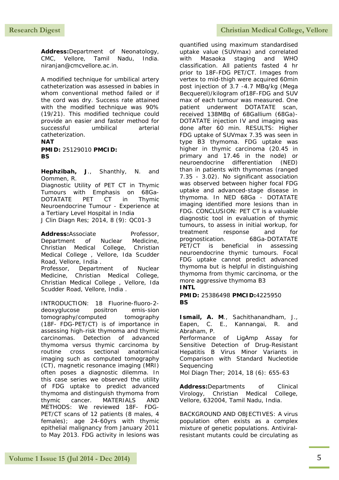**Address:**Department of Neonatology, CMC, Vellore, Tamil Nadu, India. niranjan@cmcvellore.ac.in.

A modified technique for umbilical artery catheterization was assessed in babies in whom conventional method failed or if the cord was dry. Success rate attained with the modified technique was 90% (19/21). This modified technique could provide an easier and faster method for successful umbilical arterial catheterization. **NAT**

**PMID:** 25129010 **PMCID: BS**

**Hephzibah, J**., Shanthly, N. and Oommen, R.

Diagnostic Utility of PET CT in Thymic Tumours with Emphasis on 68Ga-DOTATATE PET CT in Thymic Neuroendocrine Tumour - Experience at a Tertiary Level Hospital in India J Clin Diagn Res; 2014, 8 (9): QC01-3

Address:Associate Professor, Department of Nuclear Medicine, Christian Medical College, Christian Medical College , Vellore, Ida Scudder Road, Vellore, India . Professor, Department of Nuclear Medicine, Christian Medical College, Christian Medical College , Vellore, Ida Scudder Road, Vellore, India .

INTRODUCTION: 18 Fluorine-fluoro-2 deoxyglucose positron emis-sion tomography/computed tomography (18F- FDG-PET/CT) is of importance in assessing high-risk thymoma and thymic carcinomas. Detection of advanced thymoma versus thymic carcinoma by routine cross sectional anatomical imaging such as computed tomography (CT), magnetic resonance imaging (MRI) often poses a diagnostic dilemma. In this case series we observed the utility of FDG uptake to predict advanced thymoma and distinguish thymoma from thymic cancer. MATERIALS AND METHODS: We reviewed 18F- FDG-PET/CT scans of 12 patients (8 males, 4 females); age 24-60yrs with thymic epithelial malignancy from January 2011 to May 2013. FDG activity in lesions was

quantified using maximum standardised uptake value (SUVmax) and correlated with Masaoka staging and WHO classification. All patients fasted 4 hr prior to 18F-FDG PET/CT. Images from vertex to mid-thigh were acquired 60min post injection of 3.7 -4.7 MBq/kg (Mega Becquerel)/kilogram of18F-FDG and SUV max of each tumour was measured. One patient underwent DOTATATE scan, received 138MBq of 68Gallium (68Ga)- DOTATATE injection IV and imaging was done after 60 min. RESULTS: Higher FDG uptake of SUVmax 7.35 was seen in type B3 thymoma. FDG uptake was higher in thymic carcinoma (20.45 in primary and 17.46 in the node) or neuroendocrine differentiation (NED) than in patients with thymomas (ranged 7.35 - 3.02). No significant association was observed between higher focal FDG uptake and advanced-stage disease in thymoma. In NED 68Ga - DOTATATE imaging identified more lesions than in FDG. CONCLUSION: PET CT is a valuable diagnostic tool in evaluation of thymic tumours, to assess in initial workup, for treatment response and for prognostication. 68Ga-DOTATATE PET/CT is beneficial in assessing neuroendocrine thymic tumours. Focal FDG uptake cannot predict advanced thymoma but is helpful in distinguishing thymoma from thymic carcinoma, or the more aggressive thymoma B3

**INTL**

**PMID:** 25386498 **PMCID:**4225950 **BS**

**Ismail, A. M**., Sachithanandham, J., Eapen, C. E., Kannangai, R. and Abraham, P.

Performance of LigAmp Assay for Sensitive Detection of Drug-Resistant Hepatitis B Virus Minor Variants in Comparison with Standard Nucleotide **Sequencing** 

Mol Diagn Ther; 2014, 18 (6): 655-63

**Address:**Departments of Clinical Virology, Christian Medical College, Vellore, 632004, Tamil Nadu, India.

BACKGROUND AND OBJECTIVES: A virus population often exists as a complex mixture of genetic populations. Antiviralresistant mutants could be circulating as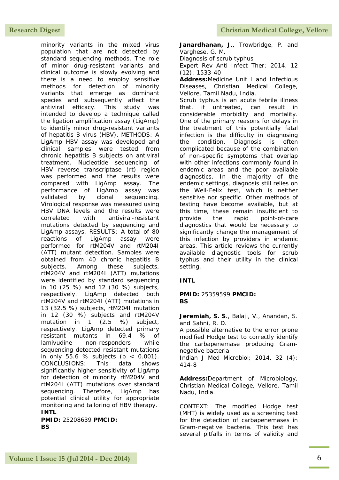minority variants in the mixed virus population that are not detected by standard sequencing methods. The role of minor drug-resistant variants and clinical outcome is slowly evolving and there is a need to employ sensitive methods for detection of minority variants that emerge as dominant species and subsequently affect the antiviral efficacy. This study was intended to develop a technique called the ligation amplification assay (LigAmp) to identify minor drug-resistant variants of hepatitis B virus (HBV). METHODS: A LigAmp HBV assay was developed and clinical samples were tested from chronic hepatitis B subjects on antiviral treatment. Nucleotide sequencing of HBV reverse transcriptase (rt) region was performed and the results were compared with LigAmp assay. The performance of LigAmp assay was validated by clonal sequencing. Virological response was measured using HBV DNA levels and the results were correlated with antiviral-resistant mutations detected by sequencing and LigAmp assays. RESULTS: A total of 80 reactions of LigAmp assay were performed for rtM204V and rtM204I (ATT) mutant detection. Samples were obtained from 40 chronic hepatitis B subjects. Among these subjects, rtM204V and rtM204I (ATT) mutations were identified by standard sequencing in 10 (25 %) and 12 (30 %) subjects, respectively. LigAmp detected both rtM204V and rtM204I (ATT) mutations in 13 (32.5 %) subjects, rtM204I mutation in 12 (30 %) subjects and rtM204V mutation in 1 (2.5 %) subject, respectively. LigAmp detected primary resistant mutants in 69.4 % of lamivudine non-responders while sequencing detected resistant mutations in only 55.6 % subjects ( $p < 0.001$ ). CONCLUSIONS: This data shows significantly higher sensitivity of LigAmp for detection of minority rtM204V and rtM204I (ATT) mutations over standard sequencing. Therefore, LigAmp has potential clinical utility for appropriate monitoring and tailoring of HBV therapy. **INTL**

**PMID:** 25208639 **PMCID: BS**

**Janardhanan, J**., Trowbridge, P. and Varghese, G. M. Diagnosis of scrub typhus Expert Rev Anti Infect Ther; 2014, 12 (12): 1533-40 **Address:**Medicine Unit I and Infectious Diseases, Christian Medical College, Vellore, Tamil Nadu, India. Scrub typhus is an acute febrile illness that, if untreated, can result in considerable morbidity and mortality. One of the primary reasons for delays in the treatment of this potentially fatal infection is the difficulty in diagnosing the condition. Diagnosis is often

complicated because of the combination of non-specific symptoms that overlap with other infections commonly found in endemic areas and the poor available diagnostics. In the majority of the endemic settings, diagnosis still relies on the Weil-Felix test, which is neither sensitive nor specific. Other methods of testing have become available, but at this time, these remain insufficient to provide the rapid point-of-care diagnostics that would be necessary to significantly change the management of this infection by providers in endemic areas. This article reviews the currently available diagnostic tools for scrub typhus and their utility in the clinical setting.

#### **INTL**

#### **PMID:** 25359599 **PMCID: BS**

**Jeremiah, S. S**., Balaji, V., Anandan, S. and Sahni, R. D.

A possible alternative to the error prone modified Hodge test to correctly identify the carbapenemase producing Gramnegative bacteria Indian J Med Microbiol; 2014, 32 (4):

**Address:**Department of Microbiology, Christian Medical College, Vellore, Tamil Nadu, India.

CONTEXT: The modified Hodge test (MHT) is widely used as a screening test for the detection of carbapenemases in Gram-negative bacteria. This test has several pitfalls in terms of validity and

<sup>414-8</sup>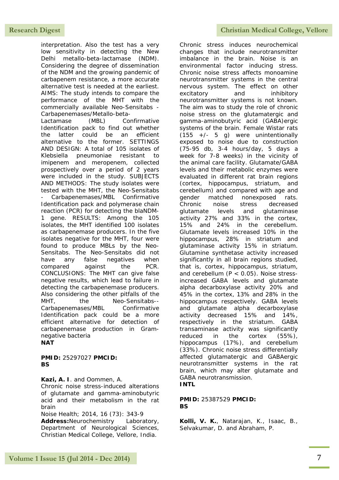interpretation. Also the test has a very low sensitivity in detecting the New Delhi metallo-beta-lactamase (NDM). Considering the degree of dissemination of the NDM and the growing pandemic of carbapenem resistance, a more accurate alternative test is needed at the earliest. AIMS: The study intends to compare the performance of the MHT with the commercially available Neo-Sensitabs - Carbapenemases/Metallo-beta-

Lactamase (MBL) Confirmative Identification pack to find out whether the latter could be an efficient alternative to the former. SETTINGS AND DESIGN: A total of 105 isolates of Klebsiella pneumoniae resistant to imipenem and meropenem, collected prospectively over a period of 2 years were included in the study. SUBJECTS AND METHODS: The study isolates were tested with the MHT, the Neo-Sensitabs - Carbapenemases/MBL Confirmative Identification pack and polymerase chain reaction (PCR) for detecting the blaNDM-1 gene. RESULTS: Among the 105 isolates, the MHT identified 100 isolates as carbapenemase producers. In the five isolates negative for the MHT, four were found to produce MBLs by the Neo-Sensitabs. The Neo-Sensitabs did not have any false negatives when compared against the PCR. CONCLUSIONS: The MHT can give false negative results, which lead to failure in detecting the carbapenemase producers. Also considering the other pitfalls of the MHT. the Neo-Sensitabs--Carbapenemases/MBL Confirmative Identification pack could be a more efficient alternative for detection of carbapenemase production in Gramnegative bacteria

#### **NAT**

#### **PMID:** 25297027 **PMCID: BS**

**Kazi, A. I**. and Oommen, A.

Chronic noise stress-induced alterations of glutamate and gamma-aminobutyric acid and their metabolism in the rat brain

Noise Health; 2014, 16 (73): 343-9 **Address:**Neurochemistry Laboratory, Department of Neurological Sciences, Christian Medical College, Vellore, India.

Chronic stress induces neurochemical changes that include neurotransmitter imbalance in the brain. Noise is an environmental factor inducing stress. Chronic noise stress affects monoamine neurotransmitter systems in the central nervous system. The effect on other excitatory and inhibitory neurotransmitter systems is not known. The aim was to study the role of chronic noise stress on the glutamatergic and gamma-aminobutyric acid (GABA)ergic systems of the brain. Female Wistar rats  $(155 +/- 5 q)$  were unintentionally exposed to noise due to construction (75-95 db, 3-4 hours/day, 5 days a week for 7-8 weeks) in the vicinity of the animal care facility. Glutamate/GABA levels and their metabolic enzymes were evaluated in different rat brain regions (cortex, hippocampus, striatum, and cerebellum) and compared with age and gender matched nonexposed rats. Chronic noise stress decreased glutamate levels and glutaminase activity 27% and 33% in the cortex, 15% and 24% in the cerebellum. Glutamate levels increased 10% in the hippocampus, 28% in striatum and glutaminase activity 15% in striatum. Glutamine synthetase activity increased significantly in all brain regions studied, that is, cortex, hippocampus, striatum, and cerebellum  $(P < 0.05)$ . Noise stressincreased GABA levels and glutamate alpha decarboxylase activity 20% and 45% in the cortex, 13% and 28% in the hippocampus respectively. GABA levels and glutamate alpha decarboxylase activity decreased 15% and 14%, respectively in the striatum. GABA transaminase activity was significantly reduced in the cortex (55%), hippocampus (17%), and cerebellum (33%). Chronic noise stress differentially affected glutamatergic and GABAergic neurotransmitter systems in the rat brain, which may alter glutamate and GABA neurotransmission. **INTL**

#### **PMID:** 25387529 **PMCID: BS**

**Kolli, V. K.**, Natarajan, K., Isaac, B., Selvakumar, D. and Abraham, P.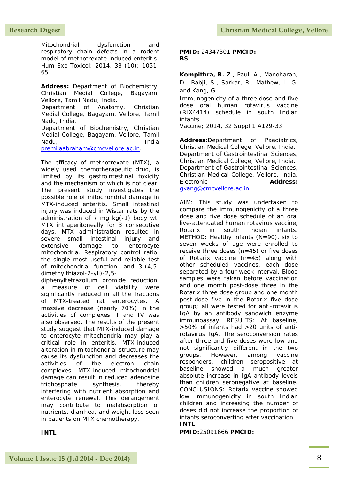Mitochondrial dysfunction and respiratory chain defects in a rodent model of methotrexate-induced enteritis Hum Exp Toxicol; 2014, 33 (10): 1051- 65

**Address:** Department of Biochemistry, Christian Medial College, Bagayam, Vellore, Tamil Nadu, India.

Department of Anatomy, Christian Medial College, Bagayam, Vellore, Tamil Nadu, India.

Department of Biochemistry, Christian Medial College, Bagayam, Vellore, Tamil Nadu, India

[premilaabraham@cmcvellore.ac.in.](mailto:premilaabraham@cmcvellore.ac.in)

The efficacy of methotrexate (MTX), a widely used chemotherapeutic drug, is limited by its gastrointestinal toxicity and the mechanism of which is not clear. The present study investigates the possible role of mitochondrial damage in MTX-induced enteritis. Small intestinal injury was induced in Wistar rats by the administration of 7 mg kg(-1) body wt. MTX intraperitoneally for 3 consecutive days. MTX administration resulted in severe small intestinal injury and extensive damage to enterocyte mitochondria. Respiratory control ratio, the single most useful and reliable test of mitochondrial function, and 3-(4,5 dimethylthiazol-2-yll)-2,5-

diphenyltetrazolium bromide reduction, a measure of cell viability were significantly reduced in all the fractions of MTX-treated rat enterocytes. A massive decrease (nearly 70%) in the activities of complexes II and IV was also observed. The results of the present study suggest that MTX-induced damage to enterocyte mitochondria may play a critical role in enteritis. MTX-induced alteration in mitochondrial structure may cause its dysfunction and decreases the activities of the electron chain complexes. MTX-induced mitochondrial damage can result in reduced adenosine triphosphate synthesis, thereby interfering with nutrient absorption and enterocyte renewal. This derangement may contribute to malabsorption of nutrients, diarrhea, and weight loss seen in patients on MTX chemotherapy.

#### **INTL**

**PMID:** 24347301 **PMCID: BS**

**Kompithra, R. Z**., Paul, A., Manoharan, D., Babji, S., Sarkar, R., Mathew, L. G. and Kang, G.

Immunogenicity of a three dose and five dose oral human rotavirus vaccine (RIX4414) schedule in south Indian infants

Vaccine; 2014, 32 Suppl 1 A129-33

**Address:**Department of Paediatrics, Christian Medical College, Vellore, India. Department of Gastrointestinal Sciences, Christian Medical College, Vellore, India. Department of Gastrointestinal Sciences, Christian Medical College, Vellore, India. Electronic **Address:** [gkang@cmcvellore.ac.in.](mailto:gkang@cmcvellore.ac.in)

AIM: This study was undertaken to compare the immunogenicity of a three dose and five dose schedule of an oral live-attenuated human rotavirus vaccine, Rotarix in south Indian infants. METHOD: Healthy infants (N=90), six to seven weeks of age were enrolled to receive three doses  $(n=45)$  or five doses of Rotarix vaccine (n=45) along with other scheduled vaccines, each dose separated by a four week interval. Blood samples were taken before vaccination and one month post-dose three in the Rotarix three dose group and one month post-dose five in the Rotarix five dose group; all were tested for anti-rotavirus IgA by an antibody sandwich enzyme immunoassay. RESULTS: At baseline, >50% of infants had >20 units of antirotavirus IgA. The seroconversion rates after three and five doses were low and not significantly different in the two groups. However, among vaccine responders, children seropositive at baseline showed a much greater absolute increase in IgA antibody levels than children seronegative at baseline. CONCLUSIONS: Rotarix vaccine showed low immunogenicity in south Indian children and increasing the number of doses did not increase the proportion of infants seroconverting after vaccination

#### **INTL**

**PMID:**25091666 **PMCID:**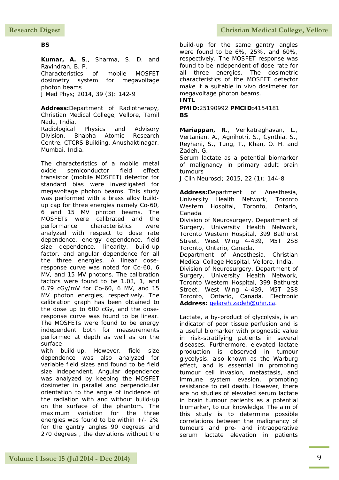#### **BS**

**Kumar, A. S**., Sharma, S. D. and Ravindran, B. P. Characteristics of mobile MOSFET dosimetry system for megavoltage photon beams

J Med Phys; 2014, 39 (3): 142-9

**Address:**Department of Radiotherapy, Christian Medical College, Vellore, Tamil Nadu, India. Radiological Physics and Advisory

Division, Bhabha Atomic Research Centre, CTCRS Building, Anushaktinagar, Mumbai, India.

The characteristics of a mobile metal oxide semiconductor field effect transistor (mobile MOSFET) detector for standard bias were investigated for megavoltage photon beams. This study was performed with a brass alloy buildup cap for three energies namely Co-60, 6 and 15 MV photon beams. The MOSFETs were calibrated and the performance characteristics were analyzed with respect to dose rate dependence, energy dependence, field size dependence, linearity, build-up factor, and angular dependence for all the three energies. A linear doseresponse curve was noted for Co-60, 6 MV, and 15 MV photons. The calibration factors were found to be 1.03, 1, and 0.79 cGy/mV for Co-60, 6 MV, and 15 MV photon energies, respectively. The calibration graph has been obtained to the dose up to 600 cGy, and the doseresponse curve was found to be linear. The MOSFETs were found to be energy independent both for measurements performed at depth as well as on the surface

with build-up. However, field size dependence was also analyzed for variable field sizes and found to be field size independent. Angular dependence was analyzed by keeping the MOSFET dosimeter in parallel and perpendicular orientation to the angle of incidence of the radiation with and without build-up on the surface of the phantom. The maximum variation for the three energies was found to be within +/- 2% for the gantry angles 90 degrees and 270 degrees , the deviations without the

build-up for the same gantry angles were found to be 6%, 25%, and 60%, respectively. The MOSFET response was found to be independent of dose rate for all three energies. The dosimetric characteristics of the MOSFET detector make it a suitable in vivo dosimeter for megavoltage photon beams. **INTL**

**PMID:**25190992 **PMCID:**4154181 **BS**

**Mariappan, R**., Venkatraghavan, L., Vertanian, A., Agnihotri, S., Cynthia, S., Reyhani, S., Tung, T., Khan, O. H. and Zadeh, G.

Serum lactate as a potential biomarker of malignancy in primary adult brain tumours

J Clin Neurosci; 2015, 22 (1): 144-8

**Address:**Department of Anesthesia, University Health Network, Toronto Western Hospital, Toronto, Ontario, Canada. Division of Neurosurgery, Department of Surgery, University Health Network, Toronto Western Hospital, 399 Bathurst Street, West Wing 4-439, M5T 2S8 Toronto, Ontario, Canada. Department of Anesthesia, Christian Medical College Hospital, Vellore, India. Division of Neurosurgery, Department of Surgery, University Health Network, Toronto Western Hospital, 399 Bathurst Street, West Wing 4-439, M5T 2S8 Toronto, Ontario, Canada. Electronic **Address:** [gelareh.zadeh@uhn.ca.](mailto:gelareh.zadeh@uhn.ca)

Lactate, a by-product of glycolysis, is an indicator of poor tissue perfusion and is a useful biomarker with prognostic value in risk-stratifying patients in several diseases. Furthermore, elevated lactate production is observed in tumour glycolysis, also known as the Warburg effect, and is essential in promoting tumour cell invasion, metastasis, and immune system evasion, promoting resistance to cell death. However, there are no studies of elevated serum lactate in brain tumour patients as a potential biomarker, to our knowledge. The aim of this study is to determine possible correlations between the malignancy of tumours and pre- and intraoperative serum lactate elevation in patients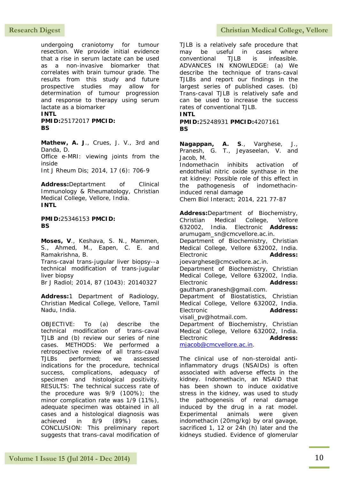undergoing craniotomy for tumour resection. We provide initial evidence that a rise in serum lactate can be used as a non-invasive biomarker that correlates with brain tumour grade. The results from this study and future prospective studies may allow for determination of tumour progression and response to therapy using serum lactate as a biomarker

**INTL**

**PMID:**25172017 **PMCID: BS**

**Mathew, A. J**., Crues, J. V., 3rd and Danda, D. Office e-MRI: viewing joints from the inside Int J Rheum Dis; 2014, 17 (6): 706-9

**Address:**Deptartment of Clinical Immunology & Rheumatology, Christian Medical College, Vellore, India. **INTL**

**PMID:**25346153 **PMCID: BS**

**Moses, V**., Keshava, S. N., Mammen, S., Ahmed, M., Eapen, C. E. and Ramakrishna, B. Trans-caval trans-jugular liver biopsy--a technical modification of trans-jugular liver biopsy Br J Radiol; 2014, 87 (1043): 20140327

**Address:**1 Department of Radiology, Christian Medical College, Vellore, Tamil Nadu, India.

OBJECTIVE: To (a) describe the technical modification of trans-caval TJLB and (b) review our series of nine cases. METHODS: We performed a retrospective review of all trans-caval TJLBs performed; we assessed indications for the procedure, technical success, complications, adequacy of specimen and histological positivity. RESULTS: The technical success rate of the procedure was 9/9 (100%); the minor complication rate was 1/9 (11%), adequate specimen was obtained in all cases and a histological diagnosis was achieved in 8/9 (89%) cases. CONCLUSION: This preliminary report suggests that trans-caval modification of

### Research Digest **Christian Medical College, Vellore**

TJLB is a relatively safe procedure that may be useful in cases where conventional TJLB is infeasible. ADVANCES IN KNOWLEDGE: (a) We describe the technique of trans-caval TJLBs and report our findings in the largest series of published cases. (b) Trans-caval TJLB is relatively safe and can be used to increase the success rates of conventional TJLB.

**INTL**

**PMID:**25248931 **PMCID:**4207161 **BS**

**Nagappan, A. S**., Varghese, J., Pranesh, G. T., Jeyaseelan, V. and Jacob, M.

Indomethacin inhibits activation of endothelial nitric oxide synthase in the rat kidney: Possible role of this effect in the pathogenesis of indomethacininduced renal damage Chem Biol Interact; 2014, 221 77-87

**Address:**Department of Biochemistry, Christian Medical College, Vellore 632002, India. Electronic **Address:** arumugam\_sn@cmcvellore.ac.in.

Department of Biochemistry, Christian Medical College, Vellore 632002, India. Electronic **Address:** joevarghese@cmcvellore.ac.in.

Department of Biochemistry, Christian Medical College, Vellore 632002, India. Electronic **Address:** gautham.pranesh@gmail.com.

Department of Biostatistics, Christian Medical College, Vellore 632002, India. Electronic **Address:** visali\_pv@hotmail.com.

Department of Biochemistry, Christian Medical College, Vellore 632002, India. Electronic **Address:** [mjacob@cmcvellore.ac.in.](mailto:mjacob@cmcvellore.ac.in)

The clinical use of non-steroidal antiinflammatory drugs (NSAIDs) is often associated with adverse effects in the kidney. Indomethacin, an NSAID that has been shown to induce oxidative stress in the kidney, was used to study the pathogenesis of renal damage induced by the drug in a rat model. Experimental animals were given indomethacin (20mg/kg) by oral gavage, sacrificed 1, 12 or 24h (h) later and the kidneys studied. Evidence of glomerular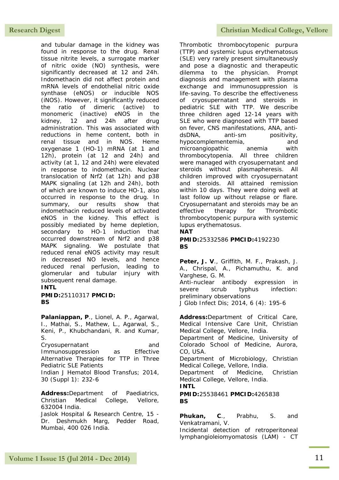and tubular damage in the kidney was found in response to the drug. Renal tissue nitrite levels, a surrogate marker of nitric oxide (NO) synthesis, were significantly decreased at 12 and 24h. Indomethacin did not affect protein and mRNA levels of endothelial nitric oxide synthase (eNOS) or inducible NOS (iNOS). However, it significantly reduced the ratio of dimeric (active) to monomeric (inactive) eNOS in the kidney, 12 and 24h after drug administration. This was associated with reductions in heme content, both in<br>renal tissue and in NOS. Heme renal tissue and in NOS. Heme oxygenase 1 (HO-1) mRNA (at 1 and 12h), protein (at 12 and 24h) and activity (at 1, 12 and 24h) were elevated in response to indomethacin. Nuclear translocation of Nrf2 (at 12h) and p38 MAPK signaling (at 12h and 24h), both of which are known to induce HO-1, also occurred in response to the drug. In summary, our results show that indomethacin reduced levels of activated eNOS in the kidney. This effect is possibly mediated by heme depletion, secondary to HO-1 induction that occurred downstream of Nrf2 and p38 MAPK signaling. We postulate that reduced renal eNOS activity may result in decreased NO levels, and hence reduced renal perfusion, leading to glomerular and tubular injury with subsequent renal damage.

#### **INTL**

**PMID:**25110317 **PMCID: BS**

**Palaniappan, P**., Lionel, A. P., Agarwal, I., Mathai, S., Mathew, L., Agarwal, S., Keni, P., Khubchandani, R. and Kumar, S. Cryosupernatant and Immunosuppression as Effective Alternative Therapies for TTP in Three Pediatric SLE Patients Indian J Hematol Blood Transfus; 2014,

30 (Suppl 1): 232-6

**Address:**Department of Paediatrics, Christian Medical College, Vellore, 632004 India.

Jaslok Hospital & Research Centre, 15 - Dr. Deshmukh Marg, Pedder Road, Mumbai, 400 026 India.

Thrombotic thrombocytopenic purpura (TTP) and systemic lupus erythematosus (SLE) very rarely present simultaneously and pose a diagnostic and therapeutic dilemma to the physician. Prompt diagnosis and management with plasma exchange and immunosuppression is life-saving. To describe the effectiveness of cryosupernatant and steroids in pediatric SLE with TTP. We describe three children aged 12-14 years with SLE who were diagnosed with TTP based on fever, CNS manifestations, ANA, antidsDNA, anti-sm positivity, hypocomplementemia, and microangiopathic anemia with thrombocytopenia. All three children were managed with cryosupernatant and steroids without plasmapheresis. All children improved with cryosupernatant and steroids. All attained remission within 10 days. They were doing well at last follow up without relapse or flare. Cryosupernatant and steroids may be an effective therapy for Thrombotic thrombocytopenic purpura with systemic lupus erythematosus.

#### **NAT**

#### **PMID:**25332586 **PMCID:**4192230 **BS**

**Peter, J. V**., Griffith, M. F., Prakash, J. A., Chrispal, A., Pichamuthu, K. and Varghese, G. M.

Anti-nuclear antibody expression in severe scrub typhus infection: preliminary observations

J Glob Infect Dis; 2014, 6 (4): 195-6

**Address:**Department of Critical Care, Medical Intensive Care Unit, Christian Medical College, Vellore, India.

Department of Medicine, University of Colorado School of Medicine, Aurora, CO, USA.

Department of Microbiology, Christian Medical College, Vellore, India.

Department of Medicine, Christian Medical College, Vellore, India.

**INTL**

**PMID:**25538461 **PMCID:**4265838 **BS**

**Phukan, C**., Prabhu, S. and Venkatramani, V.

Incidental detection of retroperitoneal lymphangioleiomyomatosis (LAM) - CT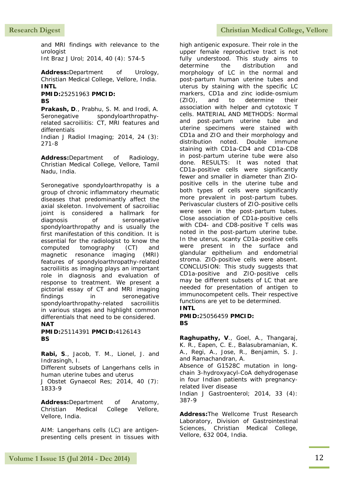and MRI findings with relevance to the urologist

Int Braz J Urol; 2014, 40 (4): 574-5

**Address:**Department of Urology, Christian Medical College, Vellore, India. **INTL**

**PMID:**25251963 **PMCID: BS**

**Prakash, D**., Prabhu, S. M. and Irodi, A. Seronegative spondyloarthropathyrelated sacroiliitis: CT, MRI features and differentials

Indian J Radiol Imaging; 2014, 24 (3): 271-8

**Address:**Department of Radiology, Christian Medical College, Vellore, Tamil Nadu, India.

Seronegative spondyloarthropathy is a group of chronic inflammatory rheumatic diseases that predominantly affect the axial skeleton. Involvement of sacroiliac joint is considered a hallmark for diagnosis of seronegative spondyloarthropathy and is usually the first manifestation of this condition. It is essential for the radiologist to know the computed tomography (CT) and magnetic resonance imaging (MRI) features of spondyloarthropathy-related sacroiliitis as imaging plays an important role in diagnosis and evaluation of response to treatment. We present a pictorial essay of CT and MRI imaging findings in seronegative spondyloarthropathy-related sacroiliitis in various stages and highlight common differentials that need to be considered. **NAT**

**PMID:**25114391 **PMCID:**4126143 **BS**

**Rabi, S**., Jacob, T. M., Lionel, J. and Indrasingh, I.

Different subsets of Langerhans cells in human uterine tubes and uterus

J Obstet Gynaecol Res; 2014, 40 (7): 1833-9

**Address:**Department of Anatomy, Christian Medical College Vellore, Vellore, India.

AIM: Langerhans cells (LC) are antigenpresenting cells present in tissues with

high antigenic exposure. Their role in the upper female reproductive tract is not fully understood. This study aims to determine the distribution and morphology of LC in the normal and post-partum human uterine tubes and uterus by staining with the specific LC markers, CD1a and zinc iodide-osmium (ZIO), and to determine their association with helper and cytotoxic T cells. MATERIAL AND METHODS: Normal and post-partum uterine tube and uterine specimens were stained with CD1a and ZIO and their morphology and distribution noted. Double immune staining with CD1a-CD4 and CD1a-CD8 in post-partum uterine tube were also done. RESULTS: It was noted that CD1a-positive cells were significantly fewer and smaller in diameter than ZIOpositive cells in the uterine tube and both types of cells were significantly more prevalent in post-partum tubes. Perivascular clusters of ZIO-positive cells were seen in the post-partum tubes. Close association of CD1a-positive cells with CD4- and CD8-positive T cells was noted in the post-partum uterine tube. In the uterus, scanty CD1a-positive cells were present in the surface and glandular epithelium and endometrial stroma. ZIO-positive cells were absent. CONCLUSION: This study suggests that CD1a-positive and ZIO-positive cells may be different subsets of LC that are needed for presentation of antigen to immunocompetent cells. Their respective functions are yet to be determined.

#### **INTL**

**PMID:**25056459 **PMCID: BS**

**Raghupathy, V**., Goel, A., Thangaraj, K. R., Eapen, C. E., Balasubramanian, K. A., Regi, A., Jose, R., Benjamin, S. J. and Ramachandran, A.

Absence of G1528C mutation in longchain 3-hydroxyacyl-CoA dehydrogenase in four Indian patients with pregnancyrelated liver disease

Indian J Gastroenterol; 2014, 33 (4): 387-9

**Address:**The Wellcome Trust Research Laboratory, Division of Gastrointestinal Sciences, Christian Medical College, Vellore, 632 004, India.

#### Research Digest **Christian Medical College, Vellore**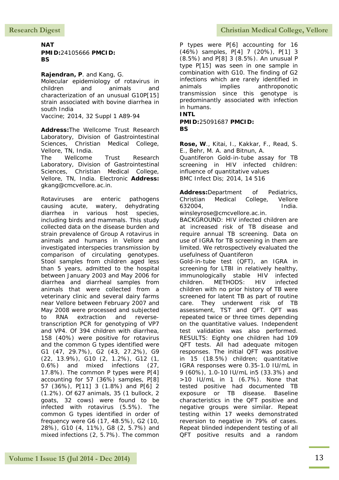#### **NAT PMID:**24105666 **PMCID: BS**

#### **Rajendran, P**. and Kang, G.

Molecular epidemiology of rotavirus in children and animals and characterization of an unusual G10P[15] strain associated with bovine diarrhea in south India

Vaccine; 2014, 32 Suppl 1 A89-94

**Address:**The Wellcome Trust Research Laboratory, Division of Gastrointestinal Sciences, Christian Medical College, Vellore, TN, India.

The Wellcome Trust Research Laboratory, Division of Gastrointestinal Sciences, Christian Medical College, Vellore, TN, India. Electronic **Address:** gkang@cmcvellore.ac.in.

Rotaviruses are enteric pathogens causing acute, watery, dehydrating diarrhea in various host species, including birds and mammals. This study collected data on the disease burden and strain prevalence of Group A rotavirus in animals and humans in Vellore and investigated interspecies transmission by comparison of circulating genotypes. Stool samples from children aged less than 5 years, admitted to the hospital between January 2003 and May 2006 for diarrhea and diarrheal samples from animals that were collected from a veterinary clinic and several dairy farms near Vellore between February 2007 and May 2008 were processed and subjected to RNA extraction and reversetranscription PCR for genotyping of VP7 and VP4. Of 394 children with diarrhea, 158 (40%) were positive for rotavirus and the common G types identified were G1 (47, 29.7%), G2 (43, 27.2%), G9 (22, 13.9%), G10 (2, 1.2%), G12 (1, 0.6%) and mixed infections (27, 17.8%). The common P types were P[4] accounting for 57 (36%) samples, P[8] 57 (36%), P[11] 3 (1.8%) and P[6] 2 (1.2%). Of 627 animals, 35 (1 bullock, 2 goats, 32 cows) were found to be infected with rotavirus (5.5%). The common G types identified in order of frequency were G6 (17, 48.5%), G2 (10, 28%), G10 (4, 11%), G8 (2, 5.7%) and mixed infections (2, 5.7%). The common

P types were P[6] accounting for 16 (46%) samples, P[4] 7 (20%), P[1] 3 (8.5%) and P[8] 3 (8.5%). An unusual P type P[15] was seen in one sample in combination with G10. The finding of G2 infections which are rarely identified in animals implies anthroponotic transmission since this genotype is predominantly associated with infection in humans.

#### **INTL**

**PMID:**25091687 **PMCID: BS**

**Rose, W**., Kitai, I., Kakkar, F., Read, S. E., Behr, M. A. and Bitnun, A.

Quantiferon Gold-in-tube assay for TB screening in HIV infected children: influence of quantitative values BMC Infect Dis; 2014, 14 516

**Address:**Department of Pediatrics, Christian Medical College, Vellore 632004, India. winsleyrose@cmcvellore.ac.in.

BACKGROUND: HIV infected children are at increased risk of TB disease and require annual TB screening. Data on use of IGRA for TB screening in them are limited. We retrospectively evaluated the usefulness of Quantiferon

Gold-in-tube test (QFT), an IGRA in screening for LTBI in relatively healthy, immunologically stable HIV infected children. METHODS: HIV infected children with no prior history of TB were screened for latent TB as part of routine care. They underwent risk of TB assessment, TST and QFT. QFT was repeated twice or three times depending on the quantitative values. Independent test validation was also performed. RESULTS: Eighty one children had 109 QFT tests. All had adequate mitogen responses. The initial QFT was positive in 15 (18.5%) children; quantitative IGRA responses were 0.35-1.0 IU/mL in 9 (60%), 1.0-10 IU/mL in5 (33.3%) and >10 IU/mL in 1 (6.7%). None that tested positive had documented TB exposure or TB disease. Baseline characteristics in the QFT positive and negative groups were similar. Repeat testing within 17 weeks demonstrated reversion to negative in 79% of cases. Repeat blinded independent testing of all QFT positive results and a random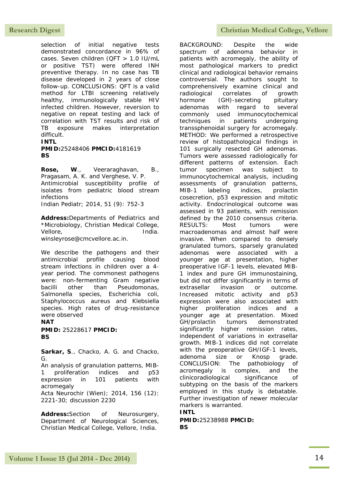selection of initial negative tests demonstrated concordance in 96% of cases. Seven children (QFT > 1.0 IU/mL or positive TST) were offered INH preventive therapy. In no case has TB disease developed in 2 years of close follow-up. CONCLUSIONS: QFT is a valid method for LTBI screening relatively healthy, immunologically stable HIV infected children. However, reversion to negative on repeat testing and lack of correlation with TST results and risk of TB exposure makes interpretation difficult.

#### **INTL**

#### **PMID:**25248406 **PMCID:**4181619 **BS**

**Rose, W**., Veeraraghavan, B., Pragasam, A. K. and Verghese, V. P. Antimicrobial susceptibility profile of isolates from pediatric blood stream infections

Indian Pediatr; 2014, 51 (9): 752-3

**Address:**Departments of Pediatrics and \*Microbiology, Christian Medical College, Vellore, and india. winsleyrose@cmcvellore.ac.in.

We describe the pathogens and their antimicrobial profile causing blood stream infections in children over a 4-

year period. The commonest pathogens were: non-fermenting Gram negative bacilli other than Pseudomonas, Salmonella species, Escherichia coli, Staphylococcus aureus and Klebsiella species. High rates of drug-resistance were observed

**NAT PMID:** 25228617 **PMCID: BS**

**Sarkar, S**., Chacko, A. G. and Chacko, G.

An analysis of granulation patterns, MIB-1 proliferation indices and p53 expression in 101 patients with acromegaly Acta Neurochir (Wien); 2014, 156 (12): 2221-30; discussion 2230

**Address:**Section of Neurosurgery, Department of Neurological Sciences, Christian Medical College, Vellore, India.

### **Research Digest Christian Medical College, Vellore**

BACKGROUND: Despite the wide spectrum of adenoma behavior in patients with acromegaly, the ability of most pathological markers to predict clinical and radiological behavior remains controversial. The authors sought to comprehensively examine clinical and radiological correlates of growth hormone (GH)-secreting pituitary adenomas with regard to several commonly used immunocytochemical techniques in patients undergoing transsphenoidal surgery for acromegaly. METHOD: We performed a retrospective review of histopathological findings in 101 surgically resected GH adenomas. Tumors were assessed radiologically for different patterns of extension. Each tumor specimen was subject to immunocytochemical analysis, including assessments of granulation patterns, MIB-1 labeling indices, prolactin cosecretion, p53 expression and mitotic activity. Endocrinological outcome was assessed in 93 patients, with remission defined by the 2010 consensus criteria. RESULTS: Most tumors were macroadenomas and almost half were invasive. When compared to densely granulated tumors, sparsely granulated adenomas were associated with a younger age at presentation, higher preoperative IGF-1 levels, elevated MIB-1 index and pure GH immunostaining, but did not differ significantly in terms of extrasellar invasion or outcome. Increased mitotic activity and p53 expression were also associated with higher proliferation indices and a younger age at presentation. Mixed GH/prolactin tumors demonstrated significantly higher remission rates, independent of variations in extrasellar growth. MIB-1 indices did not correlate with the preoperative GH/IGF-1 levels, adenoma size or Knosp grade. CONCLUSION: The pathobiology of acromegaly is complex, and the clinicoradiological significance of subtyping on the basis of the markers employed in this study is debatable. Further investigation of newer molecular markers is warranted.

#### **INTL**

**PMID:**25238988 **PMCID: BS**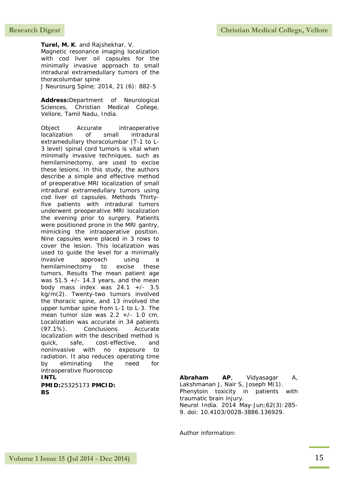**Turel, M. K**. and Rajshekhar, V. Magnetic resonance imaging localization with cod liver oil capsules for the minimally invasive approach to small intradural extramedullary tumors of the thoracolumbar spine

J Neurosurg Spine; 2014, 21 (6): 882-5

**Address:**Department of Neurological Sciences, Christian Medical College, Vellore, Tamil Nadu, India.

Object Accurate intraoperative localization of small intradural extramedullary thoracolumbar (T-1 to L-3 level) spinal cord tumors is vital when minimally invasive techniques, such as hemilaminectomy, are used to excise these lesions. In this study, the authors describe a simple and effective method of preoperative MRI localization of small intradural extramedullary tumors using cod liver oil capsules. Methods Thirtyfive patients with intradural tumors underwent preoperative MRI localization the evening prior to surgery. Patients were positioned prone in the MRI gantry, mimicking the intraoperative position. Nine capsules were placed in 3 rows to cover the lesion. This localization was used to guide the level for a minimally invasive approach using a hemilaminectomy to excise these tumors. Results The mean patient age was  $51.5 +/- 14.3$  years, and the mean body mass index was  $24.1$  +/- 3.5 kg/m(2). Twenty-two tumors involved the thoracic spine, and 13 involved the upper lumbar spine from L-1 to L-3. The mean tumor size was 2.2 +/- 1.0 cm. Localization was accurate in 34 patients (97.1%). Conclusions Accurate localization with the described method is quick, safe, cost-effective, and noninvasive with no exposure to radiation. It also reduces operating time by eliminating the need for intraoperative fluoroscop **INTL PMID:**25325173 **PMCID:**

**BS**

**Abraham AP**, Vidyasagar A, Lakshmanan J, Nair S, Joseph M(1). Phenytoin toxicity in patients with traumatic brain injury. Neurol India. 2014 May-Jun;62(3):285- 9. doi: 10.4103/0028-3886.136929.

Author information: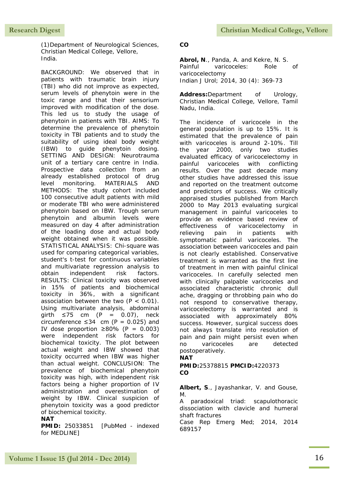<span id="page-18-0"></span>(1)Department of Neurological Sciences, Christian Medical College, Vellore, India.

BACKGROUND: We observed that in patients with traumatic brain injury (TBI) who did not improve as expected, serum levels of phenytoin were in the toxic range and that their sensorium improved with modification of the dose. This led us to study the usage of phenytoin in patients with TBI. AIMS: To determine the prevalence of phenytoin toxicity in TBI patients and to study the suitability of using ideal body weight (IBW) to guide phenytoin dosing. SETTING AND DESIGN: Neurotrauma unit of a tertiary care centre in India. Prospective data collection from an already established protocol of drug level monitoring. MATERIALS AND METHODS: The study cohort included 100 consecutive adult patients with mild or moderate TBI who were administered phenytoin based on IBW. Trough serum phenytoin and albumin levels were measured on day 4 after administration of the loading dose and actual body weight obtained when it was possible. STATISTICAL ANALYSIS: Chi-square was used for comparing categorical variables, student's t-test for continuous variables and multivariate regression analysis to obtain independent risk factors. RESULTS: Clinical toxicity was observed in 15% of patients and biochemical toxicity in 36%, with a significant association between the two  $(P < 0.01)$ . Using multivariate analysis, abdominal girth  $≤75$  cm (P = 0.07), neck circumference  $\leq 34$  cm (P = 0.025) and IV dose proportion  $\geq 80\%$  (P = 0.003) were independent risk factors for biochemical toxicity. The plot between actual weight and IBW showed that toxicity occurred when IBW was higher than actual weight. CONCLUSION: The prevalence of biochemical phenytoin toxicity was high, with independent risk factors being a higher proportion of IV administration and overestimation of weight by IBW. Clinical suspicion of phenytoin toxicity was a good predictor of biochemical toxicity.

#### **NAT**

**PMID: 25033851 [PubMed - indexed]** for MEDLINE]

#### **CO**

**Abrol, N**., Panda, A. and Kekre, N. S. Painful varicoceles: Role of varicocelectomy Indian J Urol; 2014, 30 (4): 369-73

**Address:**Department of Urology, Christian Medical College, Vellore, Tamil Nadu, India.

The incidence of varicocele in the general population is up to 15%. It is estimated that the prevalence of pain with varicoceles is around 2-10%. Till the year 2000, only two studies evaluated efficacy of varicocelectomy in painful varicoceles with conflicting results. Over the past decade many other studies have addressed this issue and reported on the treatment outcome and predictors of success. We critically appraised studies published from March 2000 to May 2013 evaluating surgical management in painful varicoceles to provide an evidence based review of effectiveness of varicocelectomy in relieving pain in patients with symptomatic painful varicoceles. The association between varicoceles and pain is not clearly established. Conservative treatment is warranted as the first line of treatment in men with painful clinical varicoceles. In carefully selected men with clinically palpable varicoceles and associated characteristic chronic dull ache, dragging or throbbing pain who do not respond to conservative therapy, varicocelectomy is warranted and is associated with approximately 80% success. However, surgical success does not always translate into resolution of pain and pain might persist even when no varicoceles are detected postoperatively.

#### **NAT**

**PMID:**25378815 **PMCID:**4220373 **CO**

**Albert, S**., Jayashankar, V. and Gouse, M.

A paradoxical triad: scapulothoracic dissociation with clavicle and humeral shaft fractures

Case Rep Emerg Med; 2014, 2014 689157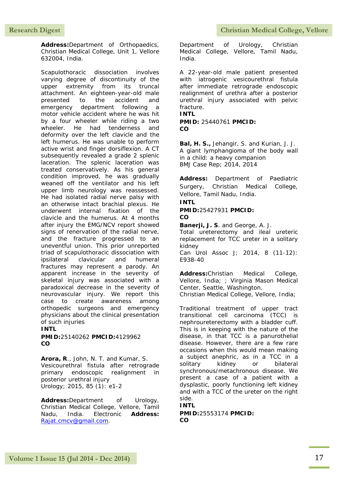**Address:**Department of Orthopaedics, Christian Medical College, Unit 1, Vellore 632004, India.

Scapulothoracic dissociation involves varying degree of discontinuity of the upper extremity from its truncal attachment. An eighteen-year-old male presented to the accident and emergency department following a motor vehicle accident where he was hit by a four wheeler while riding a two wheeler. He had tenderness and deformity over the left clavicle and the left humerus. He was unable to perform active wrist and finger dorsiflexion. A CT subsequently revealed a grade 2 splenic laceration. The splenic laceration was treated conservatively. As his general condition improved, he was gradually weaned off the ventilator and his left upper limb neurology was reassessed. He had isolated radial nerve palsy with an otherwise intact brachial plexus. He underwent internal fixation of the clavicle and the humerus. At 4 months after injury the EMG/NCV report showed signs of renervation of the radial nerve, and the fracture progressed to an uneventful union. This prior unreported triad of scapulothoracic dissociation with ipsilateral clavicular and humeral fractures may represent a parody. An apparent increase in the severity of skeletal injury was associated with a paradoxical decrease in the severity of neurovascular injury. We report this case to create awareness among orthopedic surgeons and emergency physicians about the clinical presentation of such injuries

**INTL**

**PMID:**25140262 **PMCID:**4129962 **CO**

**Arora, R**., John, N. T. and Kumar, S. Vesicourethral fistula after retrograde primary endoscopic realignment in posterior urethral injury Urology; 2015, 85 (1): e1-2

**Address:**Department of Urology, Christian Medical College, Vellore, Tamil Nadu, India. Electronic **Address:** [Rajat.cmcv@gmail.com.](mailto:Rajat.cmcv@gmail.com)

Department of Urology, Christian Medical College, Vellore, Tamil Nadu, India.

A 22-year-old male patient presented with iatrogenic vesicourethral fistula after immediate retrograde endoscopic realignment of urethra after a posterior urethral injury associated with pelvic fracture.

#### **INTL**

#### **PMID:** 25440761 **PMCID: CO**

**Bal, H. S.,** Jehangir, S. and Kurian, J. J. A giant lymphangioma of the body wall in a child: a heavy companion BMJ Case Rep; 2014, 2014

**Address:** Department of Paediatric Surgery, Christian Medical College, Vellore, Tamil Nadu, India.

#### **INTL**

#### **PMID:**25427931 **PMCID: CO**

**Banerji, J. S**. and George, A. J.

Total ureterectomy and ileal ureteric replacement for TCC ureter in a solitary kidney Can Urol Assoc J; 2014, 8 (11-12):

E938-40

**Address:**Christian Medical College, Vellore, India; ; Virginia Mason Medical Center, Seattle, Washington. Christian Medical College, Vellore, India;

Traditional treatment of upper tract transitional cell carcinoma (TCC) is nephroureterectomy with a bladder cuff. This is in keeping with the nature of the disease, in that TCC is a panurothelial disease. However, there are a few rare occasions when this would mean making a subject anephric, as in a TCC in a solitary kidney or bilateral synchronous/metachronous disease. We present a case of a patient with a dysplastic, poorly functioning left kidney and with a TCC of the ureter on the right side.

#### **INTL**

**PMID:**25553174 **PMCID: CO**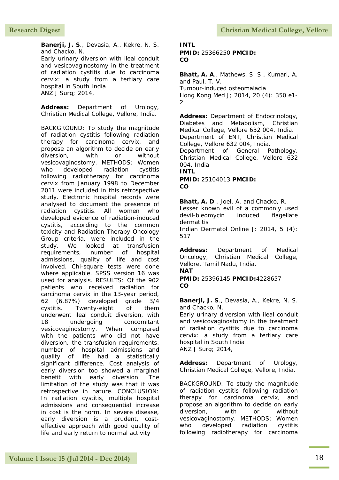**Banerji, J. S**., Devasia, A., Kekre, N. S. and Chacko, N.

Early urinary diversion with ileal conduit and vesicovaginostomy in the treatment of radiation cystitis due to carcinoma cervix: a study from a tertiary care hospital in South India ANZ J Surg; 2014,

**Address:** Department of Urology, Christian Medical College, Vellore, India.

BACKGROUND: To study the magnitude of radiation cystitis following radiation therapy for carcinoma cervix, and propose an algorithm to decide on early diversion, with or without vesicovaginostomy. METHODS: Women who developed radiation cystitis following radiotherapy for carcinoma cervix from January 1998 to December 2011 were included in this retrospective study. Electronic hospital records were analysed to document the presence of radiation cystitis. All women who developed evidence of radiation-induced cystitis, according to the common toxicity and Radiation Therapy Oncology Group criteria, were included in the study. We looked at transfusion requirements, number of hospital admissions, quality of life and cost involved. Chi-square tests were done where applicable. SPSS version 16 was used for analysis. RESULTS: Of the 902 patients who received radiation for carcinoma cervix in the 13-year period, 62 (6.87%) developed grade 3/4 cystitis. Twenty-eight of them underwent ileal conduit diversion, with 18 undergoing concomitant vesicovaginostomy. When compared with the patients who did not have diversion, the transfusion requirements, number of hospital admissions and quality of life had a statistically significant difference. Cost analysis of early diversion too showed a marginal benefit with early diversion. The limitation of the study was that it was retrospective in nature. CONCLUSION: In radiation cystitis, multiple hospital admissions and consequential increase in cost is the norm. In severe disease, early diversion is a prudent, costeffective approach with good quality of life and early return to normal activity

### **INTL PMID:** 25366250 **PMCID:**

**CO**

**Bhatt, A. A**., Mathews, S. S., Kumari, A. and Paul, T. V. Tumour-induced osteomalacia Hong Kong Med J; 2014, 20 (4): 350 e1-  $\mathfrak{D}$ 

**Address:** Department of Endocrinology, Diabetes and Metabolism, Christian Medical College, Vellore 632 004, India. Department of ENT, Christian Medical College, Vellore 632 004, India. Department of General Pathology, Christian Medical College, Vellore 632 004, India **INTL PMID:** 25104013 **PMCID: CO**

**Bhatt, A. D**., Joel, A. and Chacko, R. Lesser known evil of a commonly used devil-bleomycin induced flagellate dermatitis Indian Dermatol Online J; 2014, 5 (4): 517

**Address:** Department of Medical Oncology, Christian Medical College, Vellore, Tamil Nadu, India. **NAT**

**PMID:** 25396145 **PMCID:**4228657 **CO**

**Banerji, J. S**., Devasia, A., Kekre, N. S. and Chacko, N.

Early urinary diversion with ileal conduit and vesicovaginostomy in the treatment of radiation cystitis due to carcinoma cervix: a study from a tertiary care hospital in South India ANZ J Surg; 2014,

**Address:** Department of Urology, Christian Medical College, Vellore, India.

BACKGROUND: To study the magnitude of radiation cystitis following radiation therapy for carcinoma cervix, and propose an algorithm to decide on early diversion, with or without vesicovaginostomy. METHODS: Women who developed radiation cystitis following radiotherapy for carcinoma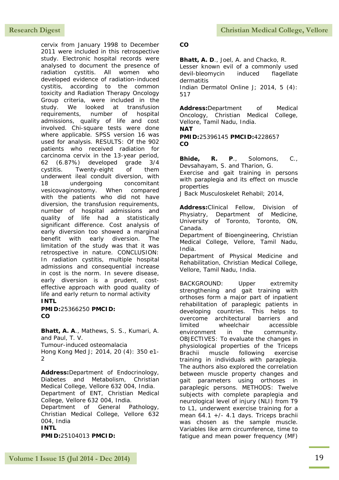cervix from January 1998 to December 2011 were included in this retrospective study. Electronic hospital records were analysed to document the presence of radiation cystitis. All women who developed evidence of radiation-induced cystitis, according to the common toxicity and Radiation Therapy Oncology Group criteria, were included in the study. We looked at transfusion requirements, number of hospital admissions, quality of life and cost involved. Chi-square tests were done where applicable. SPSS version 16 was used for analysis. RESULTS: Of the 902 patients who received radiation for carcinoma cervix in the 13-year period, 62 (6.87%) developed grade 3/4 cystitis. Twenty-eight of them underwent ileal conduit diversion, with 18 undergoing concomitant vesicovaginostomy. When compared with the patients who did not have diversion, the transfusion requirements, number of hospital admissions and quality of life had a statistically significant difference. Cost analysis of early diversion too showed a marginal benefit with early diversion. The limitation of the study was that it was retrospective in nature. CONCLUSION: In radiation cystitis, multiple hospital admissions and consequential increase in cost is the norm. In severe disease, early diversion is a prudent, costeffective approach with good quality of life and early return to normal activity **INTL**

**PMID:**25366250 **PMCID: CO**

**Bhatt, A. A**., Mathews, S. S., Kumari, A. and Paul, T. V. Tumour-induced osteomalacia Hong Kong Med J; 2014, 20 (4): 350 e1- 2

**Address:**Department of Endocrinology, Diabetes and Metabolism, Christian Medical College, Vellore 632 004, India. Department of ENT, Christian Medical College, Vellore 632 004, India. Department of General Pathology, Christian Medical College, Vellore 632 004, India **INTL PMID:**25104013 **PMCID:**

#### **CO**

**Bhatt, A. D**., Joel, A. and Chacko, R. Lesser known evil of a commonly used devil-bleomycin induced flagellate dermatitis Indian Dermatol Online J; 2014, 5 (4): 517

**Address:**Department of Medical Oncology, Christian Medical College, Vellore, Tamil Nadu, India. **NAT**

**PMID:**25396145 **PMCID:**4228657 **CO**

**Bhide, R. P**., Solomons, C., Devsahayam, S. and Tharion, G. Exercise and gait training in persons with paraplegia and its effect on muscle

properties J Back Musculoskelet Rehabil; 2014,

**Address:**Clinical Fellow, Division of Physiatry, Department of Medicine, University of Toronto, Toronto, ON, Canada.

Department of Bioengineering, Christian Medical College, Vellore, Tamil Nadu, India.

Department of Physical Medicine and Rehabilitation, Christian Medical College, Vellore, Tamil Nadu, India.

BACKGROUND: Upper extremity strengthening and gait training with orthoses form a major part of inpatient rehabilitation of paraplegic patients in developing countries. This helps to overcome architectural barriers and limited wheelchair accessible environment in the community. OBJECTIVES: To evaluate the changes in physiological properties of the Triceps Brachii muscle following exercise training in individuals with paraplegia. The authors also explored the correlation between muscle property changes and gait parameters using orthoses in paraplegic persons. METHODS: Twelve subjects with complete paraplegia and neurological level of injury (NLI) from T9 to L1, underwent exercise training for a mean 64.1 +/- 4.1 days. Triceps brachii was chosen as the sample muscle. Variables like arm circumference, time to fatigue and mean power frequency (MF)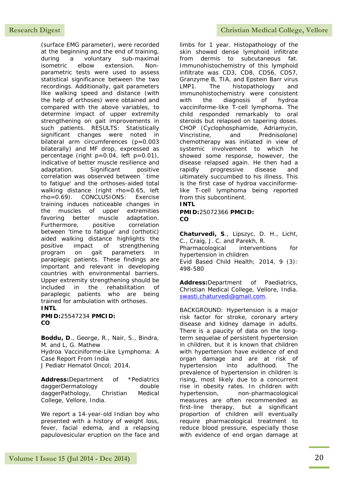(surface EMG parameter), were recorded at the beginning and the end of training, during a voluntary sub-maximal isometric elbow extension. Nonparametric tests were used to assess statistical significance between the two recordings. Additionally, gait parameters like walking speed and distance (with the help of orthoses) were obtained and compared with the above variables, to determine impact of upper extremity strengthening on gait improvements in such patients. RESULTS: Statistically significant changes were noted in bilateral arm circumferences (p=0.003 bilaterally) and MF drop, expressed as percentage (right p=0.04, left p=0.01), indicative of better muscle resilience and adaptation. Significant positive correlation was observed between `time to fatigue' and the orthoses-aided total walking distance (right rho=0.65, left rho=0.69). CONCLUSIONS: Exercise training induces noticeable changes in the muscles of upper extremities favoring better muscle adaptation. Furthermore, positive correlation between 'time to fatigue' and (orthotic) aided walking distance highlights the positive impact of strengthening program on gait parameters in paraplegic patients. These findings are important and relevant in developing countries with environmental barriers. Upper extremity strengthening should be included in the rehabilitation of paraplegic patients who are being trained for ambulation with orthoses.

#### **INTL**

**PMID:**25547234 **PMCID: CO**

**Boddu, D**., George, R., Nair, S., Bindra, M. and L, G. Mathew Hydroa Vacciniforme-Like Lymphoma: A Case Report From India J Pediatr Hematol Oncol; 2014,

**Address:**Department of \*Pediatrics daggerDermatology double daggerPathology, Christian Medical College, Vellore, India.

We report a 14-year-old Indian boy who presented with a history of weight loss, fever, facial edema, and a relapsing papulovesicular eruption on the face and

limbs for 1 year. Histopathology of the skin showed dense lymphoid infiltrate from dermis to subcutaneous fat. Immunohistochemistry of this lymphoid infiltrate was CD3, CD8, CD56, CD57, Granzyme B, TIA, and Epstein Barr virus LMP1. The histopathology and immunohistochemistry were consistent with the diagnosis of hydroa vacciniforme-like T-cell lymphoma. The child responded remarkably to oral steroids but relapsed on tapering doses. CHOP (Cyclophosphamide, Adriamycin, Vincristine, and Prednisolone) chemotherapy was initiated in view of systemic involvement to which he showed some response, however, the disease relapsed again. He then had a rapidly progressive disease and ultimately succumbed to his illness. This is the first case of hydroa vacciniformelike T-cell lymphoma being reported from this subcontinent.

### **INTL**

**PMID:**25072366 **PMCID: CO**

**Chaturvedi, S**., Lipszyc, D. H., Licht, C., Craig, J. C. and Parekh, R. Pharmacological interventions for hypertension in children Evid Based Child Health; 2014, 9 (3): 498-580

**Address:**Department of Paediatrics, Christian Medical College, Vellore, India. [swasti.chaturvedi@gmail.com.](mailto:swasti.chaturvedi@gmail.com)

BACKGROUND: Hypertension is a major risk factor for stroke, coronary artery disease and kidney damage in adults. There is a paucity of data on the longterm sequelae of persistent hypertension in children, but it is known that children with hypertension have evidence of end organ damage and are at risk of hypertension into adulthood. The prevalence of hypertension in children is rising, most likely due to a concurrent rise in obesity rates. In children with hypertension, non-pharmacological measures are often recommended as first-line therapy, but a significant proportion of children will eventually require pharmacological treatment to reduce blood pressure, especially those with evidence of end organ damage at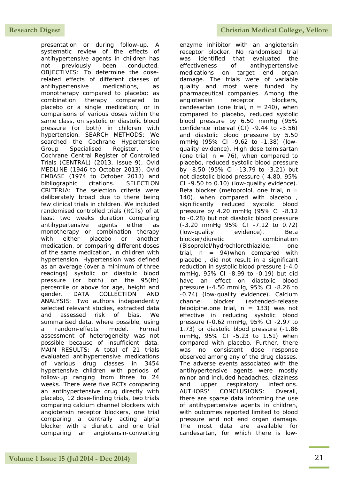presentation or during follow-up. A systematic review of the effects of antihypertensive agents in children has not previously been conducted. OBJECTIVES: To determine the doserelated effects of different classes of antihypertensive medications, as monotherapy compared to placebo; as combination therapy compared to placebo or a single medication; or in comparisons of various doses within the same class, on systolic or diastolic blood pressure (or both) in children with hypertension. SEARCH METHODS: We searched the Cochrane Hypertension Group Specialised Register, the Cochrane Central Register of Controlled Trials (CENTRAL) (2013, Issue 9), Ovid MEDLINE (1946 to October 2013), Ovid EMBASE (1974 to October 2013) and bibliographic citations. SELECTION CRITERIA: The selection criteria were deliberately broad due to there being few clinical trials in children. We included randomised controlled trials (RCTs) of at least two weeks duration comparing antihypertensive agents either as monotherapy or combination therapy with either placebo or another medication, or comparing different doses of the same medication, in children with hypertension. Hypertension was defined as an average (over a minimum of three readings) systolic or diastolic blood pressure (or both) on the 95(th) percentile or above for age, height and gender. DATA COLLECTION AND ANALYSIS: Two authors independently selected relevant studies, extracted data and assessed risk of bias. We summarised data, where possible, using a random-effects model. Formal assessment of heterogeneity was not possible because of insufficient data. MAIN RESULTS: A total of 21 trials evaluated antihypertensive medications of various drug classes in 3454 hypertensive children with periods of follow-up ranging from three to 24 weeks. There were five RCTs comparing an antihypertensive drug directly with placebo, 12 dose-finding trials, two trials comparing calcium channel blockers with angiotensin receptor blockers, one trial comparing a centrally acting alpha blocker with a diuretic and one trial comparing an angiotensin-converting

enzyme inhibitor with an angiotensin receptor blocker. No randomised trial was identified that evaluated the effectiveness of antihypertensive medications on target end organ damage. The trials were of variable quality and most were funded by pharmaceutical companies. Among the angiotensin receptor blockers, candesartan (one trial,  $n = 240$ ), when compared to placebo, reduced systolic blood pressure by 6.50 mmHg (95% confidence interval (CI) -9.44 to -3.56) and diastolic blood pressure by 5.50 mmHg (95% CI -9.62 to -1.38) (lowquality evidence). High dose telmisartan (one trial,  $n = 76$ ), when compared to placebo, reduced systolic blood pressure by -8.50 (95% CI -13.79 to -3.21) but not diastolic blood pressure (-4.80, 95% CI -9.50 to 0.10) (low-quality evidence). Beta blocker (metoprolol, one trial,  $n =$ 140), when compared with placebo , significantly reduced systolic blood pressure by 4.20 mmHg (95% CI -8.12 to -0.28) but not diastolic blood pressure (-3.20 mmHg 95% CI -7.12 to 0.72) (low-quality evidence). Beta blocker/diuretic combination (Bisoprolol/hydrochlorothiazide, one trial,  $n = 94$ ) when compared with placebo , did not result in a significant reduction in systolic blood pressure (-4.0 mmHg, 95% CI -8.99 to -0.19) but did have an effect on diastolic blood pressure (-4.50 mmHg, 95% CI -8.26 to -0.74) (low-quality evidence). Calcium channel blocker (extended-release felodipine, one trial,  $n = 133$ ) was not effective in reducing systolic blood pressure (-0.62 mmHg, 95% CI -2.97 to 1.73) or diastolic blood pressure (-1.86 mmHg, 95% CI -5.23 to 1.51) when compared with placebo. Further, there was no consistent dose response observed among any of the drug classes. The adverse events associated with the antihypertensive agents were mostly minor and included headaches, dizziness and upper respiratory infections. AUTHORS' CONCLUSIONS: Overall, there are sparse data informing the use of antihypertensive agents in children, with outcomes reported limited to blood pressure and not end organ damage. The most data are available for candesartan, for which there is low-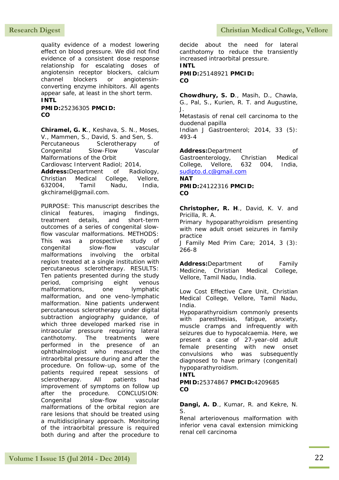quality evidence of a modest lowering effect on blood pressure. We did not find evidence of a consistent dose response relationship for escalating doses of angiotensin receptor blockers, calcium channel blockers or angiotensinconverting enzyme inhibitors. All agents appear safe, at least in the short term. **INTL**

**PMID:**25236305 **PMCID: CO**

**Chiramel, G. K**., Keshava, S. N., Moses, V., Mammen, S., David, S. and Sen, S. Percutaneous Sclerotherapy of Congenital Slow-Flow Vascular Malformations of the Orbit Cardiovasc Intervent Radiol; 2014, **Address:**Department of Radiology, Christian Medical College, Vellore, 632004, Tamil Nadu, India, gkchiramel@gmail.com.

PURPOSE: This manuscript describes the clinical features, imaging findings, treatment details, and short-term outcomes of a series of congenital slowflow vascular malformations. METHODS: This was a prospective study of congenital slow-flow vascular malformations involving the orbital region treated at a single institution with percutaneous sclerotherapy. RESULTS: Ten patients presented during the study period, comprising eight venous malformations, one lymphatic malformation, and one veno-lymphatic malformation. Nine patients underwent percutaneous sclerotherapy under digital subtraction angiography guidance, of which three developed marked rise in intraocular pressure requiring lateral canthotomy. The treatments were performed in the presence of an ophthalmologist who measured the intraorbital pressure during and after the procedure. On follow-up, some of the patients required repeat sessions of sclerotherapy. All patients had improvement of symptoms on follow up after the procedure. CONCLUSION: Congenital slow-flow vascular malformations of the orbital region are rare lesions that should be treated using a multidisciplinary approach. Monitoring of the intraorbital pressure is required both during and after the procedure to

decide about the need for lateral canthotomy to reduce the transiently increased intraorbital pressure. **INTL**

**PMID:**25148921 **PMCID: CO**

**Chowdhury, S. D**., Masih, D., Chawla, G., Pal, S., Kurien, R. T. and Augustine, J.

Metastasis of renal cell carcinoma to the duodenal papilla

Indian J Gastroenterol; 2014, 33 (5): 493-4

Address:Department of Gastroenterology, Christian Medical College, Vellore, 632 004, India, [sudipto.d.c@gmail.com](mailto:sudipto.d.c@gmail.com) **NAT**

**PMID:**24122316 **PMCID: CO**

**Christopher, R. H**., David, K. V. and Pricilla, R. A.

Primary hypoparathyroidism presenting with new adult onset seizures in family practice

J Family Med Prim Care; 2014, 3 (3): 266-8

**Address:**Department of Family Medicine, Christian Medical College, Vellore, Tamil Nadu, India.

Low Cost Effective Care Unit, Christian Medical College, Vellore, Tamil Nadu, India.

Hypoparathyroidism commonly presents with paresthesias, fatique, anxiety, muscle cramps and infrequently with seizures due to hypocalcaemia. Here, we present a case of 27-year-old adult female presenting with new onset convulsions who was subsequently diagnosed to have primary (congenital) hypoparathyroidism.

### **INTL**

**PMID:**25374867 **PMCID:**4209685 **CO**

**Dangi, A. D**., Kumar, R. and Kekre, N. S.

Renal arteriovenous malformation with inferior vena caval extension mimicking renal cell carcinoma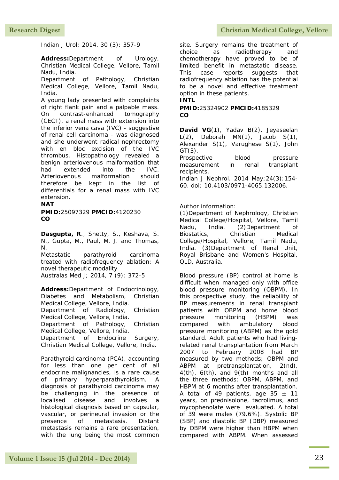Indian J Urol; 2014, 30 (3): 357-9

**Address:**Department of Urology, Christian Medical College, Vellore, Tamil Nadu, India.

Department of Pathology, Christian Medical College, Vellore, Tamil Nadu, India.

A young lady presented with complaints of right flank pain and a palpable mass. On contrast-enhanced tomography (CECT), a renal mass with extension into the inferior vena cava (IVC) - suggestive of renal cell carcinoma - was diagnosed and she underwent radical nephrectomy with en bloc excision of the IVC thrombus. Histopathology revealed a benign arteriovenous malformation that had extended into the IVC. Arteriovenous malformation should therefore be kept in the list of differentials for a renal mass with IVC extension.

#### **NAT**

**PMID:**25097329 **PMCID:**4120230 **CO**

**Dasgupta, R**., Shetty, S., Keshava, S. N., Gupta, M., Paul, M. J. and Thomas, N.

Metastatic parathyroid carcinoma treated with radiofrequency ablation: A novel therapeutic modality Australas Med J; 2014, 7 (9): 372-5

**Address:**Department of Endocrinology, Diabetes and Metabolism, Christian Medical College, Vellore, India.

Department of Radiology, Christian Medical College, Vellore, India.

Department of Pathology, Christian Medical College, Vellore, India.

Department of Endocrine Surgery, Christian Medical College, Vellore, India.

Parathyroid carcinoma (PCA), accounting for less than one per cent of all endocrine malignancies, is a rare cause of primary hyperparathyroidism. A diagnosis of parathyroid carcinoma may be challenging in the presence of localised disease and involves a histological diagnosis based on capsular, vascular, or perineural invasion or the presence of metastasis. Distant metastasis remains a rare presentation, with the lung being the most common

site. Surgery remains the treatment of choice as radiotherapy and chemotherapy have proved to be of limited benefit in metastatic disease. This case reports suggests that radiofrequency ablation has the potential to be a novel and effective treatment option in these patients. **INTL**

**PMID:**25324902 **PMCID:**4185329 **CO**

David VG(1), Yadav B(2), Jeyaseelan  $L(2)$ , Deborah MN $(1)$ , Jacob S $(1)$ , Alexander S(1), Varughese S(1), John  $GT(3)$ .

Prospective blood pressure measurement in renal transplant recipients.

Indian J Nephrol. 2014 May;24(3):154- 60. doi: 10.4103/0971-4065.132006.

#### Author information:

(1)Department of Nephrology, Christian Medical College/Hospital, Vellore, Tamil Nadu, India. (2)Department of Biostatics, Christian Medical College/Hospital, Vellore, Tamil Nadu, India. (3)Department of Renal Unit, Royal Brisbane and Women's Hospital, QLD, Australia.

Blood pressure (BP) control at home is difficult when managed only with office blood pressure monitoring (OBPM). In this prospective study, the reliability of BP measurements in renal transplant patients with OBPM and home blood pressure monitoring (HBPM) was compared with ambulatory blood pressure monitoring (ABPM) as the gold standard. Adult patients who had livingrelated renal transplantation from March 2007 to February 2008 had BP measured by two methods; OBPM and ABPM at pretransplantation, 2(nd), 4(th), 6(th), and 9(th) months and all the three methods: OBPM, ABPM, and HBPM at 6 months after transplantation. A total of 49 patients, age  $35 \pm 11$ years, on prednisolone, tacrolimus, and mycophenolate were evaluated. A total of 39 were males (79.6%). Systolic BP (SBP) and diastolic BP (DBP) measured by OBPM were higher than HBPM when compared with ABPM. When assessed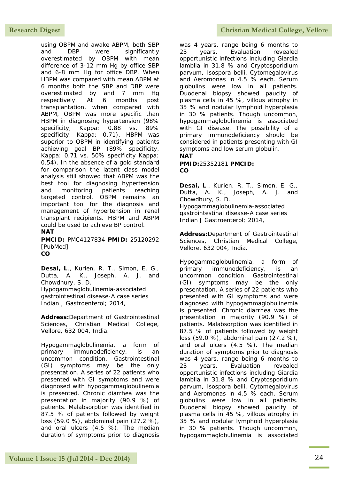using OBPM and awake ABPM, both SBP and DBP were significantly overestimated by OBPM with mean difference of 3-12 mm Hg by office SBP and 6-8 mm Hg for office DBP. When HBPM was compared with mean ABPM at 6 months both the SBP and DBP were overestimated by and 7 mm Hg respectively. At 6 months post transplantation, when compared with ABPM, OBPM was more specific than HBPM in diagnosing hypertension (98% specificity, Kappa: 0.88 vs. 89% specificity, Kappa: 0.71). HBPM was superior to OBPM in identifying patients achieving goal BP (89% specificity, Kappa: 0.71 vs. 50% specificity Kappa: 0.54). In the absence of a gold standard for comparison the latent class model analysis still showed that ABPM was the best tool for diagnosing hypertension and monitoring patients reaching targeted control. OBPM remains an important tool for the diagnosis and management of hypertension in renal transplant recipients. HBPM and ABPM could be used to achieve BP control. **NAT**

**PMCID:** PMC4127834 **PMID:** 25120292 [PubMed] **CO**

**Desai, L**., Kurien, R. T., Simon, E. G., Dutta, A. K., Joseph, A. J. and Chowdhury, S. D. Hypogammaglobulinemia-associated gastrointestinal disease-A case series Indian J Gastroenterol; 2014,

**Address:**Department of Gastrointestinal Sciences, Christian Medical College, Vellore, 632 004, India.

Hypogammaglobulinemia, a form of primary immunodeficiency, is an uncommon condition. Gastrointestinal (GI) symptoms may be the only presentation. A series of 22 patients who presented with GI symptoms and were diagnosed with hypogammaglobulinemia is presented. Chronic diarrhea was the presentation in majority (90.9 %) of patients. Malabsorption was identified in 87.5 % of patients followed by weight loss (59.0 %), abdominal pain (27.2 %), and oral ulcers (4.5 %). The median duration of symptoms prior to diagnosis

### Research Digest **Christian Medical College, Vellore**

was 4 years, range being 6 months to 23 years. Evaluation revealed opportunistic infections including Giardia lamblia in 31.8 % and Cryptosporidium parvum, Isospora belli, Cytomegalovirus and Aeromonas in 4.5 % each. Serum globulins were low in all patients. Duodenal biopsy showed paucity of plasma cells in 45 %, villous atrophy in 35 % and nodular lymphoid hyperplasia in 30 % patients. Though uncommon, hypogammaglobulinemia is associated with GI disease. The possibility of a primary immunodeficiency should be considered in patients presenting with GI symptoms and low serum globulin.

#### **NAT**

**PMID:**25352181 **PMCID: CO**

**Desai, L**., Kurien, R. T., Simon, E. G., Dutta, A. K., Joseph, A. J. and Chowdhury, S. D. Hypogammaglobulinemia-associated gastrointestinal disease-A case series Indian J Gastroenterol; 2014,

**Address:**Department of Gastrointestinal Sciences, Christian Medical College, Vellore, 632 004, India.

Hypogammaglobulinemia, a form of primary immunodeficiency, is an uncommon condition. Gastrointestinal (GI) symptoms may be the only presentation. A series of 22 patients who presented with GI symptoms and were diagnosed with hypogammaglobulinemia is presented. Chronic diarrhea was the presentation in majority (90.9 %) of patients. Malabsorption was identified in 87.5 % of patients followed by weight loss (59.0 %), abdominal pain (27.2 %), and oral ulcers (4.5 %). The median duration of symptoms prior to diagnosis was 4 years, range being 6 months to 23 years. Evaluation revealed opportunistic infections including Giardia lamblia in 31.8 % and Cryptosporidium parvum, Isospora belli, Cytomegalovirus and Aeromonas in 4.5 % each. Serum globulins were low in all patients. Duodenal biopsy showed paucity of plasma cells in 45 %, villous atrophy in 35 % and nodular lymphoid hyperplasia in 30 % patients. Though uncommon, hypogammaglobulinemia is associated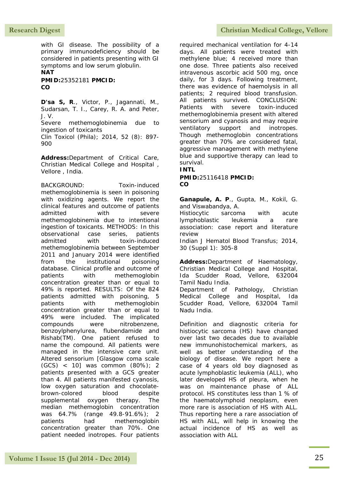with GI disease. The possibility of a primary immunodeficiency should be considered in patients presenting with GI symptoms and low serum globulin. **NAT**

**PMID:**25352181 **PMCID: CO**

**D'sa S, R**., Victor, P., Jagannati, M., Sudarsan, T. I., Carey, R. A. and Peter, J. V.

Severe methemoglobinemia due to ingestion of toxicants Clin Toxicol (Phila); 2014, 52 (8): 897-

900

**Address:**Department of Critical Care, Christian Medical College and Hospital , Vellore , India.

BACKGROUND: Toxin-induced methemoglobinemia is seen in poisoning with oxidizing agents. We report the clinical features and outcome of patients admitted with severe methemoglobinemia due to intentional ingestion of toxicants. METHODS: In this observational case series, patients admitted with toxin-induced methemoglobinemia between September 2011 and January 2014 were identified from the institutional poisoning database. Clinical profile and outcome of patients with methemoglobin concentration greater than or equal to 49% is reported. RESULTS: Of the 824 patients admitted with poisoning, 5 patients with methemoglobin concentration greater than or equal to 49% were included. The implicated compounds were nitrobenzene, benzoylphenylurea, flubendamide and Rishab(TM). One patient refused to name the compound. All patients were managed in the intensive care unit. Altered sensorium [Glasgow coma scale (GCS) < 10] was common (80%); 2 patients presented with a GCS greater than 4. All patients manifested cyanosis, low oxygen saturation and chocolatebrown-colored blood despite supplemental oxygen therapy. The median methemoglobin concentration was 64.7% (range 49.8-91.6%); 2 patients had methemoglobin concentration greater than 70%. One patient needed inotropes. Four patients

#### Research Digest **Christian Medical College, Vellore**

required mechanical ventilation for 4-14 days. All patients were treated with methylene blue; 4 received more than one dose. Three patients also received intravenous ascorbic acid 500 mg, once daily, for 3 days. Following treatment, there was evidence of haemolysis in all patients; 2 required blood transfusion. All patients survived. CONCLUSION: Patients with severe toxin-induced methemoglobinemia present with altered sensorium and cyanosis and may require ventilatory support and inotropes. Though methemoglobin concentrations greater than 70% are considered fatal, aggressive management with methylene blue and supportive therapy can lead to survival.

**INTL**

**PMID:**25116418 **PMCID: CO**

**Ganapule, A. P**., Gupta, M., Kokil, G. and Viswabandya, A.

Histiocytic sarcoma with acute lymphoblastic leukemia a rare association: case report and literature review

Indian J Hematol Blood Transfus; 2014, 30 (Suppl 1): 305-8

**Address:**Department of Haematology, Christian Medical College and Hospital, Ida Scudder Road, Vellore, 632004 Tamil Nadu India. Department of Pathology, Christian

Medical College and Hospital, Ida Scudder Road, Vellore, 632004 Tamil Nadu India.

Definition and diagnostic criteria for histiocytic sarcoma (HS) have changed over last two decades due to available new immunohistochemical markers, as well as better understanding of the biology of disease. We report here a case of 4 years old boy diagnosed as acute lymphoblastic leukemia (ALL), who later developed HS of pleura, when he was on maintenance phase of ALL protocol. HS constitutes less than 1 % of the haematolymphoid neoplasm, even more rare is association of HS with ALL. Thus reporting here a rare association of HS with ALL, will help in knowing the actual incidence of HS as well as association with ALL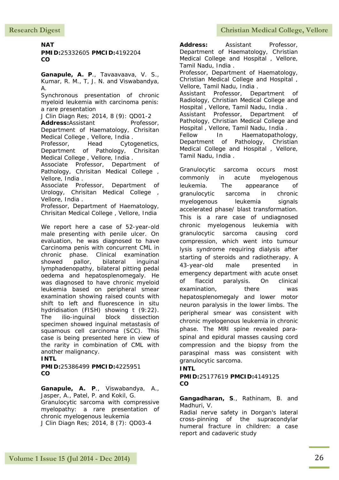#### **NAT**

**PMID:**25332605 **PMCID:**4192204 **CO**

Ganapule, A. P., Tavaavaava, V. S., Kumar, R. M., T, J. N. and Viswabandya, A.

Synchronous presentation of chronic myeloid leukemia with carcinoma penis: a rare presentation

J Clin Diagn Res; 2014, 8 (9): QD01-2

Address:Assistant Professor, Department of Haematology, Chrisitan Medical College , Vellore, India .

Professor, Head Cytogenetics, Department of Pathology, Chrisitan Medical College , Vellore, India .

Associate Professor, Department of Pathology, Chrisitan Medical College, Vellore, India .

Associate Professor, Department of Urology, Chrisitan Medical College , Vellore, India .

Professor, Department of Haematology, Chrisitan Medical College , Vellore, India

We report here a case of 52-year-old male presenting with penile ulcer. On evaluation, he was diagnosed to have Carcinoma penis with concurrent CML in chronic phase. Clinical examination showed pallor, bilateral inguinal lymphadenopathy, bilateral pitting pedal oedema and hepatosplenomegaly. He was diagnosed to have chronic myeloid leukemia based on peripheral smear examination showing raised counts with shift to left and fluorescence in situ hydridisation (FISH) showing t (9:22). The ilio-inguinal block dissection specimen showed inguinal metastasis of squamous cell carcinoma (SCC). This case is being presented here in view of the rarity in combination of CML with another malignancy.

#### **INTL**

**PMID:**25386499 **PMCID:**4225951 **CO**

**Ganapule, A. P**., Viswabandya, A., Jasper, A., Patel, P. and Kokil, G. Granulocytic sarcoma with compressive myelopathy: a rare presentation of chronic myelogenous leukemia J Clin Diagn Res; 2014, 8 (7): QD03-4

Address: Assistant Professor, Department of Haematology, Christian Medical College and Hospital , Vellore, Tamil Nadu, India . Professor, Department of Haematology, Christian Medical College and Hospital , Vellore, Tamil Nadu, India . Assistant Professor, Department of Radiology, Christian Medical College and Hospital , Vellore, Tamil Nadu, India . Assistant Professor, Department of Pathology, Christian Medical College and Hospital , Vellore, Tamil Nadu, India . Fellow In Haematopathology, Department of Pathology, Christian Medical College and Hospital , Vellore, Tamil Nadu, India .

Granulocytic sarcoma occurs most commonly in acute myelogenous leukemia. The appearance of granulocytic sarcoma in chronic myelogenous leukemia signals accelerated phase/ blast transformation. This is a rare case of undiagnosed chronic myelogenous leukemia with granulocytic sarcoma causing cord compression, which went into tumour lysis syndrome requiring dialysis after starting of steroids and radiotherapy. A 43-year-old male presented in emergency department with acute onset of flaccid paralysis. On clinical examination, there was hepatosplenomegaly and lower motor neuron paralysis in the lower limbs. The peripheral smear was consistent with chronic myelogenous leukemia in chronic phase. The MRI spine revealed paraspinal and epidural masses causing cord compression and the biopsy from the paraspinal mass was consistent with granulocytic sarcoma.

#### **INTL**

**PMID:**25177619 **PMCID:**4149125 **CO**

**Gangadharan, S**., Rathinam, B. and Madhuri, V.

Radial nerve safety in Dorgan's lateral cross-pinning of the supracondylar humeral fracture in children: a case report and cadaveric study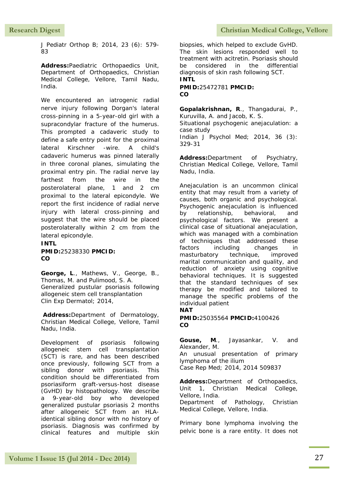J Pediatr Orthop B; 2014, 23 (6): 579- 83

**Address:**Paediatric Orthopaedics Unit, Department of Orthopaedics, Christian Medical College, Vellore, Tamil Nadu, India.

We encountered an iatrogenic radial nerve injury following Dorgan's lateral cross-pinning in a 5-year-old girl with a supracondylar fracture of the humerus. This prompted a cadaveric study to define a safe entry point for the proximal lateral Kirschner -wire. A child's cadaveric humerus was pinned laterally in three coronal planes, simulating the proximal entry pin. The radial nerve lay farthest from the wire in the posterolateral plane, 1 and 2 cm proximal to the lateral epicondyle. We report the first incidence of radial nerve injury with lateral cross-pinning and suggest that the wire should be placed posterolaterally within 2 cm from the lateral epicondyle.

**INTL PMID:**25238330 **PMCID: CO**

**George, L**., Mathews, V., George, B., Thomas, M. and Pulimood, S. A. Generalized pustular psoriasis following allogeneic stem cell transplantation Clin Exp Dermatol; 2014,

**Address:**Department of Dermatology, Christian Medical College, Vellore, Tamil Nadu, India.

Development of psoriasis following allogeneic stem cell transplantation (SCT) is rare, and has been described once previously, following SCT from a sibling donor with psoriasis. This condition should be differentiated from psoriasiform graft-versus-host disease (GvHD) by histopathology. We describe a 9-year-old boy who developed generalized pustular psoriasis 2 months after allogeneic SCT from an HLAidentical sibling donor with no history of psoriasis. Diagnosis was confirmed by clinical features and multiple skin biopsies, which helped to exclude GvHD. The skin lesions responded well to treatment with acitretin. Psoriasis should be considered in the differential diagnosis of skin rash following SCT. **INTL**

#### **PMID:**25472781 **PMCID: CO**

**Gopalakrishnan, R**., Thangadurai, P., Kuruvilla, A. and Jacob, K. S. Situational psychogenic anejaculation: a case study Indian J Psychol Med; 2014, 36 (3):

329-31

**Address:**Department of Psychiatry, Christian Medical College, Vellore, Tamil Nadu, India.

Anejaculation is an uncommon clinical entity that may result from a variety of causes, both organic and psychological. Psychogenic anejaculation is influenced by relationship, behavioral, and psychological factors. We present a clinical case of situational anejaculation, which was managed with a combination of techniques that addressed these factors including changes in masturbatory technique, improved marital communication and quality, and reduction of anxiety using cognitive behavioral techniques. It is suggested that the standard techniques of sex therapy be modified and tailored to manage the specific problems of the individual patient

#### **NAT**

**PMID:**25035564 **PMCID:**4100426 **CO**

**Gouse, M**., Jayasankar, V. and Alexander, M.

An unusual presentation of primary lymphoma of the ilium

Case Rep Med; 2014, 2014 509837

**Address:**Department of Orthopaedics, Unit 1, Christian Medical College, Vellore, India.

Department of Pathology, Christian Medical College, Vellore, India.

Primary bone lymphoma involving the pelvic bone is a rare entity. It does not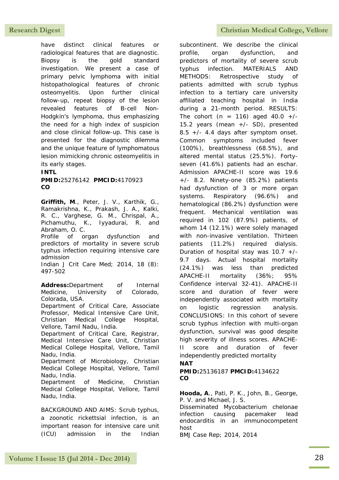have distinct clinical features or radiological features that are diagnostic. Biopsy is the gold standard investigation. We present a case of primary pelvic lymphoma with initial histopathological features of chronic osteomyelitis. Upon further clinical follow-up, repeat biopsy of the lesion revealed features of B-cell Non-Hodgkin's lymphoma, thus emphasizing the need for a high index of suspicion and close clinical follow-up. This case is presented for the diagnostic dilemma and the unique feature of lymphomatous lesion mimicking chronic osteomyelitis in its early stages.

#### **INTL**

**PMID:**25276142 **PMCID:**4170923 **CO**

**Griffith, M**., Peter, J. V., Karthik, G., Ramakrishna, K., Prakash, J. A., Kalki, R. C., Varghese, G. M., Chrispal, A., Pichamuthu, K., Iyyadurai, R. and Abraham, O. C.

Profile of organ dysfunction and predictors of mortality in severe scrub typhus infection requiring intensive care admission

Indian J Crit Care Med; 2014, 18 (8): 497-502

**Address:**Department of Internal Medicine, University of Colorado, Colorada, USA. Department of Critical Care, Associate

Professor, Medical Intensive Care Unit, Christian Medical College Hospital, Vellore, Tamil Nadu, India.

Department of Critical Care, Registrar, Medical Intensive Care Unit, Christian Medical College Hospital, Vellore, Tamil Nadu, India.

Department of Microbiology, Christian Medical College Hospital, Vellore, Tamil Nadu, India.

Department of Medicine, Christian Medical College Hospital, Vellore, Tamil Nadu, India.

BACKGROUND AND AIMS: Scrub typhus, a zoonotic rickettsial infection, is an important reason for intensive care unit (ICU) admission in the Indian subcontinent. We describe the clinical profile, organ dysfunction, and predictors of mortality of severe scrub typhus infection. MATERIALS AND METHODS: Retrospective study of patients admitted with scrub typhus infection to a tertiary care university affiliated teaching hospital in India during a 21-month period. RESULTS: The cohort (n = 116) aged  $40.0 +/-$ 15.2 years (mean +/- SD), presented 8.5 +/- 4.4 days after symptom onset. Common symptoms included fever (100%), breathlessness (68.5%), and altered mental status (25.5%). Fortyseven (41.6%) patients had an eschar. Admission APACHE-II score was 19.6 +/- 8.2. Ninety-one (85.2%) patients had dysfunction of 3 or more organ systems. Respiratory (96.6%) and hematological (86.2%) dysfunction were frequent. Mechanical ventilation was required in 102 (87.9%) patients, of whom 14 (12.1%) were solely managed with non-invasive ventilation. Thirteen patients (11.2%) required dialysis. Duration of hospital stay was  $10.7$  +/-9.7 days. Actual hospital mortality (24.1%) was less than predicted APACHE-II mortality (36%; 95% Confidence interval 32-41). APACHE-II score and duration of fever were independently associated with mortality on logistic regression analysis. CONCLUSIONS: In this cohort of severe scrub typhus infection with multi-organ dysfunction, survival was good despite high severity of illness scores. APACHE-II score and duration of fever independently predicted mortality

### **NAT**

**PMID:**25136187 **PMCID:**4134622 **CO**

**Hooda, A**., Pati, P. K., John, B., George, P. V. and Michael, J. S.

Disseminated Mycobacterium chelonae infection causing pacemaker lead endocarditis in an immunocompetent host

BMJ Case Rep; 2014, 2014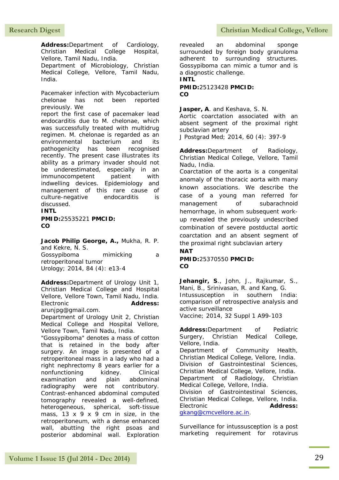**Address:**Department of Cardiology, Christian Medical College Hospital, Vellore, Tamil Nadu, India. Department of Microbiology, Christian Medical College, Vellore, Tamil Nadu, India.

Pacemaker infection with Mycobacterium chelonae has not been reported previously. We

report the first case of pacemaker lead endocarditis due to M. chelonae, which was successfully treated with multidrug regimen. M. chelonae is regarded as an environmental bacterium and its pathogenicity has been recognised recently. The present case illustrates its ability as a primary invader should not be underestimated, especially in an immunocompetent patient with indwelling devices. Epidemiology and management of this rare cause of culture-negative endocarditis is discussed.

#### **INTL**

**PMID:**25535221 **PMCID: CO**

**Jacob Philip George, A.,** Mukha, R. P. and Kekre, N. S.

Gossypiboma mimicking a retroperitoneal tumor Urology; 2014, 84 (4): e13-4

**Address:**Department of Urology Unit 1, Christian Medical College and Hospital Vellore, Vellore Town, Tamil Nadu, India. Electronic **Address:** arunjpg@gmail.com.

Department of Urology Unit 2, Christian Medical College and Hospital Vellore, Vellore Town, Tamil Nadu, India.

"Gossypiboma" denotes a mass of cotton that is retained in the body after surgery. An image is presented of a retroperitoneal mass in a lady who had a right nephrectomy 8 years earlier for a nonfunctioning kidney. Clinical examination and plain abdominal radiography were not contributory. Contrast-enhanced abdominal computed tomography revealed a well-defined, heterogeneous, spherical, soft-tissue mass, 13 x 9 x 9 cm in size, in the retroperitoneum, with a dense enhanced wall, abutting the right psoas and posterior abdominal wall. Exploration revealed an abdominal sponge surrounded by foreign body granuloma adherent to surrounding structures. Gossypiboma can mimic a tumor and is a diagnostic challenge. **INTL**

#### **PMID:**25123428 **PMCID: CO**

#### Jasper, A. and Keshava, S. N.

Aortic coarctation associated with an absent segment of the proximal right subclavian artery

J Postgrad Med; 2014, 60 (4): 397-9

**Address:**Department of Radiology, Christian Medical College, Vellore, Tamil Nadu, India.

Coarctation of the aorta is a congenital anomaly of the thoracic aorta with many known associations. We describe the case of a young man referred for management of subarachnoid hemorrhage, in whom subsequent workup revealed the previously undescribed combination of severe postductal aortic coarctation and an absent segment of the proximal right subclavian artery

### **NAT**

#### **PMID:**25370550 **PMCID: CO**

**Jehangir, S**., John, J., Rajkumar, S., Mani, B., Srinivasan, R. and Kang, G. Intussusception in southern India: comparison of retrospective analysis and active surveillance

Vaccine; 2014, 32 Suppl 1 A99-103

**Address:**Department of Pediatric Surgery, Christian Medical College, Vellore, India.

Department of Community Health, Christian Medical College, Vellore, India. Division of Gastrointestinal Sciences, Christian Medical College, Vellore, India. Department of Radiology, Christian Medical College, Vellore, India. Division of Gastrointestinal Sciences,

Christian Medical College, Vellore, India. Electronic **Address:** [gkang@cmcvellore.ac.in.](mailto:gkang@cmcvellore.ac.in)

Surveillance for intussusception is a post marketing requirement for rotavirus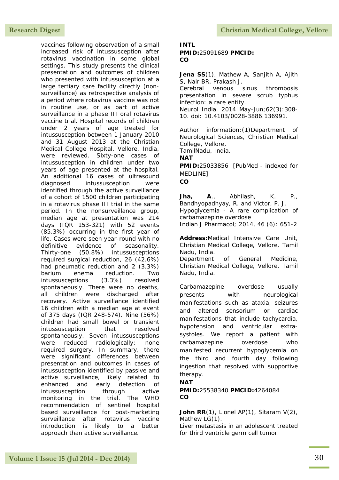vaccines following observation of a small increased risk of intussusception after rotavirus vaccination in some global settings. This study presents the clinical presentation and outcomes of children who presented with intussusception at a large tertiary care facility directly (nonsurveillance) as retrospective analysis of a period where rotavirus vaccine was not in routine use, or as part of active surveillance in a phase III oral rotavirus vaccine trial. Hospital records of children under 2 years of age treated for intussusception between 1 January 2010 and 31 August 2013 at the Christian Medical College Hospital, Vellore, India, were reviewed. Sixty-one cases of intussusception in children under two years of age presented at the hospital. An additional 16 cases of ultrasound diagnosed intussusception were identified through the active surveillance of a cohort of 1500 children participating in a rotavirus phase III trial in the same period. In the nonsurveillance group, median age at presentation was 214 days (IQR 153-321) with 52 events (85.3%) occurring in the first year of life. Cases were seen year-round with no definitive evidence of seasonality. Thirty-one (50.8%) intussusceptions required surgical reduction, 26 (42.6%) had pneumatic reduction and 2 (3.3%) barium enema reduction. Two intussusceptions (3.3%) resolved spontaneously. There were no deaths, all children were discharged after recovery. Active surveillance identified 16 children with a median age at event of 375 days (IQR 248-574). Nine (56%) children had small bowel or transient intussusception that resolved spontaneously. Seven intussusceptions were reduced radiologically; none required surgery. In summary, there were significant differences between presentation and outcomes in cases of intussusception identified by passive and active surveillance, likely related to enhanced and early detection of intussusception through active monitoring in the trial. The WHO recommendation of sentinel hospital based surveillance for post-marketing surveillance after rotavirus vaccine introduction is likely to a better approach than active surveillance.

Research Digest **Christian Medical College, Vellore** 

#### **INTL PMID:**25091689 **PMCID: CO**

Jena SS(1), Mathew A, Sanjith A, Ajith S, Nair BR, Prakash J.

Cerebral venous sinus thrombosis presentation in severe scrub typhus infection: a rare entity.

Neurol India. 2014 May-Jun;62(3):308- 10. doi: 10.4103/0028-3886.136991.

Author information:(1)Department of Neurological Sciences, Christian Medical College, Vellore,

TamilNadu, India.

**NAT**

**PMID:**25033856 [PubMed - indexed for MEDLINE]

**CO**

**Jha, A**., Abhilash, K. P., Bandhyopadhyay, R. and Victor, P. J. Hypoglycemia - A rare complication of carbamazepine overdose

Indian J Pharmacol; 2014, 46 (6): 651-2

**Address:**Medical Intensive Care Unit, Christian Medical College, Vellore, Tamil Nadu, India.

Department of General Medicine, Christian Medical College, Vellore, Tamil Nadu, India.

Carbamazepine overdose usually presents with neurological manifestations such as ataxia, seizures and altered sensorium or cardiac manifestations that include tachycardia, hypotension and ventricular extrasystoles. We report a patient with carbamazepine overdose who manifested recurrent hypoglycemia on the third and fourth day following ingestion that resolved with supportive therapy.

#### **NAT**

#### **PMID:**25538340 **PMCID:**4264084 **CO**

#### John RR(1), Lionel AP(1), Sitaram V(2), Mathew LG(1).

Liver metastasis in an adolescent treated for third ventricle germ cell tumor.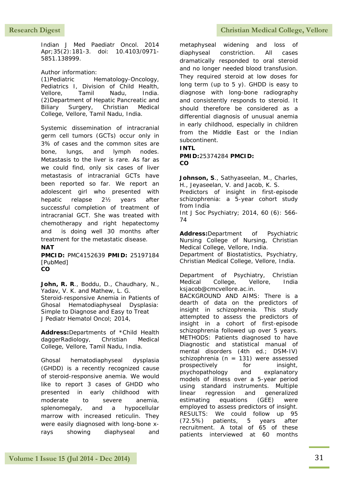Indian J Med Paediatr Oncol. 2014 Apr;35(2):181-3. doi: 10.4103/0971- 5851.138999.

#### Author information:

(1)Pediatric Hematology-Oncology, Pediatrics I, Division of Child Health, Vellore, Tamil Nadu, India. (2)Department of Hepatic Pancreatic and Biliary Surgery, Christian Medical College, Vellore, Tamil Nadu, India.

Systemic dissemination of intracranial germ cell tumors (GCTs) occur only in 3% of cases and the common sites are bone, lungs, and lymph nodes. Metastasis to the liver is rare. As far as we could find, only six cases of liver metastasis of intracranial GCTs have been reported so far. We report an adolescent girl who presented with hepatic relapse 2½ years after successful completion of treatment of intracranial GCT. She was treated with chemotherapy and right hepatectomy and is doing well 30 months after treatment for the metastatic disease. **NAT**

**PMCID:** PMC4152639 **PMID:** 25197184 [PubMed] **CO**

**John, R. R**., Boddu, D., Chaudhary, N., Yadav, V. K. and Mathew, L. G. Steroid-responsive Anemia in Patients of Ghosal Hematodiaphyseal Dysplasia: Simple to Diagnose and Easy to Treat J Pediatr Hematol Oncol; 2014,

**Address:**Departments of \*Child Health daggerRadiology, Christian Medical College, Vellore, Tamil Nadu, India.

Ghosal hematodiaphyseal dysplasia (GHDD) is a recently recognized cause of steroid-responsive anemia. We would like to report 3 cases of GHDD who presented in early childhood with moderate to severe anemia, splenomegaly, and a hypocellular marrow with increased reticulin. They were easily diagnosed with long-bone xrays showing diaphyseal and

metaphyseal widening and loss of diaphyseal constriction. All cases dramatically responded to oral steroid and no longer needed blood transfusion. They required steroid at low doses for long term (up to  $5 \text{ y}$ ). GHDD is easy to diagnose with long-bone radiography and consistently responds to steroid. It should therefore be considered as a differential diagnosis of unusual anemia in early childhood, especially in children from the Middle East or the Indian subcontinent.

## **INTL**

**PMID:**25374284 **PMCID: CO**

**Johnson, S**., Sathyaseelan, M., Charles, H., Jeyaseelan, V. and Jacob, K. S.

Predictors of insight in first-episode schizophrenia: a 5-year cohort study from India

Int J Soc Psychiatry; 2014, 60 (6): 566- 74

**Address:**Department of Psychiatric Nursing College of Nursing, Christian Medical College, Vellore, India.

Department of Biostatistics, Psychiatry, Christian Medical College, Vellore, India.

Department of Psychiatry, Christian Medical College, Vellore, India ksjacob@cmcvellore.ac.in. BACKGROUND AND AIMS: There is a dearth of data on the predictors of insight in schizophrenia. This study attempted to assess the predictors of insight in a cohort of first-episode schizophrenia followed up over 5 years. METHODS: Patients diagnosed to have Diagnostic and statistical manual of mental disorders (4th ed.; DSM-IV) schizophrenia ( $n = 131$ ) were assessed prospectively for insight, psychopathology and explanatory models of illness over a 5-year period using standard instruments. Multiple linear regression and generalized estimating equations (GEE) were employed to assess predictors of insight. RESULTS: We could follow up 95 (72.5%) patients, 5 years after recruitment. A total of 65 of these patients interviewed at 60 months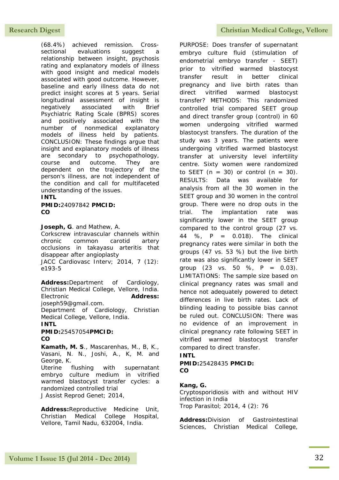(68.4%) achieved remission. Crosssectional evaluations suggest a relationship between insight, psychosis rating and explanatory models of illness with good insight and medical models associated with good outcome. However, baseline and early illness data do not predict insight scores at 5 years. Serial longitudinal assessment of insight is negatively associated with Brief Psychiatric Rating Scale (BPRS) scores and positively associated with the number of nonmedical explanatory models of illness held by patients. CONCLUSION: These findings argue that insight and explanatory models of illness are secondary to psychopathology, course and outcome. They are dependent on the trajectory of the person's illness, are not independent of the condition and call for multifaceted understanding of the issues.

#### **INTL**

**PMID:**24097842 **PMCID: CO**

**Joseph, G**. and Mathew, A.

Corkscrew intravascular channels within chronic common carotid artery occlusions in takayasu arteritis that disappear after angioplasty JACC Cardiovasc Interv; 2014, 7 (12):

e193-5

**Address:**Department of Cardiology, Christian Medical College, Vellore, India. Electronic **Address:** joseph59@gmail.com.

Department of Cardiology, Christian Medical College, Vellore, India.

#### **INTL**

**PMID:**25457054**PMCID: CO**

**Kamath, M. S**., Mascarenhas, M., B, K., Vasani, N. N., Joshi, A., K, M. and George, K.

Uterine flushing with supernatant embryo culture medium in vitrified warmed blastocyst transfer cycles: a randomized controlled trial J Assist Reprod Genet; 2014,

**Address:**Reproductive Medicine Unit, Christian Medical College Hospital, Vellore, Tamil Nadu, 632004, India.

### Research Digest **Christian Medical College, Vellore**

PURPOSE: Does transfer of supernatant embryo culture fluid (stimulation of endometrial embryo transfer - SEET) prior to vitrified warmed blastocyst transfer result in better clinical pregnancy and live birth rates than direct vitrified warmed blastocyst transfer? METHODS: This randomized controlled trial compared SEET group and direct transfer group (control) in 60 women undergoing vitrified warmed blastocyst transfers. The duration of the study was 3 years. The patients were undergoing vitrified warmed blastocyst transfer at university level infertility centre. Sixty women were randomized to SEET ( $n = 30$ ) or control ( $n = 30$ ). RESULTS: Data was available for analysis from all the 30 women in the SEET group and 30 women in the control group. There were no drop outs in the trial. The implantation rate was significantly lower in the SEET group compared to the control group (27 vs. 44 %, P = 0.018). The clinical pregnancy rates were similar in both the groups (47 vs. 53 %) but the live birth rate was also significantly lower in SEET group  $(23 \text{ vs. } 50 \% , P = 0.03)$ . LIMITATIONS: The sample size based on clinical pregnancy rates was small and hence not adequately powered to detect differences in live birth rates. Lack of blinding leading to possible bias cannot be ruled out. CONCLUSION: There was no evidence of an improvement in clinical pregnancy rate following SEET in vitrified warmed blastocyst transfer compared to direct transfer.

#### **INTL**

**PMID:**25428435 **PMCID: CO**

#### **Kang, G.**

Cryptosporidiosis with and without HIV infection in India Trop Parasitol; 2014, 4 (2): 76

**Address:**Division of Gastrointestinal Sciences, Christian Medical College,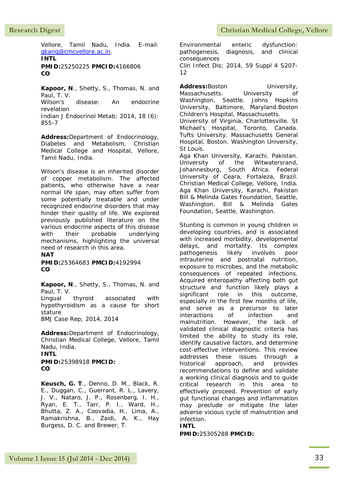Vellore, Tamil Nadu, India. E-mail: [gkang@cmcvellore.ac.in.](mailto:gkang@cmcvellore.ac.in)

**INTL PMID:**25250225 **PMCID:**4166806 **CO**

**Kapoor, N**., Shetty, S., Thomas, N. and Paul, T. V. Wilson's disease: An endocrine

revelation Indian J Endocrinol Metab; 2014, 18 (6): 855-7

**Address:**Department of Endocrinology, Diabetes and Metabolism, Christian Medical College and Hospital, Vellore, Tamil Nadu, India.

Wilson's disease is an inherited disorder of copper metabolism. The affected patients, who otherwise have a near normal life span, may often suffer from some potentially treatable and under recognized endocrine disorders that may hinder their quality of life. We explored previously published literature on the various endocrine aspects of this disease with their probable underlying mechanisms, highlighting the universal need of research in this area.

**NAT**

**PMID:**25364683 **PMCID:**4192994 **CO**

**Kapoor, N**., Shetty, S., Thomas, N. and Paul, T. V. Lingual thyroid associated with hypothyroidism as a cause for short stature

BMJ Case Rep; 2014, 2014

**Address:**Department of Endocrinology, Christian Medical College, Vellore, Tamil Nadu, India. **INTL**

**PMID:**25398918 **PMCID: CO**

**Keusch, G. T**., Denno, D. M., Black, R. E., Duggan, C., Guerrant, R. L., Lavery, J. V., Nataro, J. P., Rosenberg, I. H., Ryan, E. T., Tarr, P. I., Ward, H., Bhutta, Z. A., Coovadia, H., Lima, A., Ramakrishna, B., Zaidi, A. K., Hay Burgess, D. C. and Brewer, T.

Environmental enteric dysfunction: pathogenesis, diagnosis, and clinical consequences Clin Infect Dis; 2014, 59 Suppl 4 S207- 12

Address:Boston University, Massachusetts. University of Washington, Seattle. Johns Hopkins University, Baltimore, Maryland.Boston Children's Hospital, Massachusetts. University of Virginia, Charlottesville. St

Michael's Hospital, Toronto, Canada. Tufts University. Massachusetts General Hospital, Boston. Washington University, St Louis.

Aga Khan University, Karachi, Pakistan. University of the Witwatersrand, Johannesburg, South Africa. Federal University of Ceara, Fortaleza, Brazil. Christian Medical College, Vellore, India. Aga Khan University, Karachi, Pakistan Bill & Melinda Gates Foundation, Seattle, Washington. Bill & Melinda Gates Foundation, Seattle, Washington.

Stunting is common in young children in developing countries, and is associated with increased morbidity, developmental delays, and mortality. Its complex pathogenesis likely involves poor intrauterine and postnatal nutrition, exposure to microbes, and the metabolic consequences of repeated infections. Acquired enteropathy affecting both gut structure and function likely plays a significant role in this outcome, especially in the first few months of life, and serve as a precursor to later interactions of infection and malnutrition. However, the lack of validated clinical diagnostic criteria has limited the ability to study its role, identify causative factors, and determine cost-effective interventions. This review addresses these issues through a historical approach, and provides recommendations to define and validate a working clinical diagnosis and to guide critical research in this area to effectively proceed. Prevention of early gut functional changes and inflammation may preclude or mitigate the later adverse vicious cycle of malnutrition and infection.

#### **INTL**

**PMID:**25305288 **PMCID:**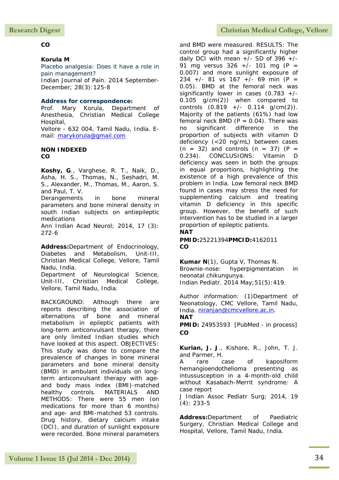## **CO**

## **Korula M**

Placebo analgesia: Does it have a role in pain management?

Indian Journal of Pain. 2014 September-December; 28(3):125-8

## **Address for correspondence:**

Prof. Mary Korula, Department of Anesthesia, Christian Medical College Hospital, Vellore - 632 004, Tamil Nadu, India. E-

mail: [marykorula@gmail.com](mailto:marykorula@gmail.com) **NON INDEXED**

**CO**

**Koshy, G**., Varghese, R. T., Naik, D., Asha, H. S., Thomas, N., Seshadri, M. S., Alexander, M., Thomas, M., Aaron, S. and Paul, T. V.

Derangements in bone mineral parameters and bone mineral density in south Indian subjects on antiepileptic medications

Ann Indian Acad Neurol; 2014, 17 (3): 272-6

**Address:**Department of Endocrinology, Diabetes and Metabolism, Unit-III, Christian Medical College, Vellore, Tamil Nadu, India.

Department of Neurological Science, Unit-III, Christian Medical College, Vellore, Tamil Nadu, India.

BACKGROUND: Although there are reports describing the association of alternations of bone and mineral metabolism in epileptic patients with long-term anticonvulsant therapy, there are only limited Indian studies which have looked at this aspect. OBJECTIVES: This study was done to compare the prevalence of changes in bone mineral parameters and bone mineral density (BMD) in ambulant individuals on longterm anticonvulsant therapy with ageand body mass index (BMI)-matched healthy controls. MATERIALS AND METHODS: There were 55 men (on medications for more than 6 months) and age- and BMI-matched 53 controls. Drug history, dietary calcium intake (DCI), and duration of sunlight exposure were recorded. Bone mineral parameters

and BMD were measured. RESULTS: The control group had a significantly higher daily DCI with mean  $+/-$  SD of 396  $+/-$ 91 mg versus  $326 +/- 101$  mg (P = 0.007) and more sunlight exposure of 234 +/- 81 vs 167 +/- 69 min (P = 0.05). BMD at the femoral neck was significantly lower in cases  $(0.783 +/-$ 0.105 g/cm(2)) when compared to controls  $(0.819 +/- 0.114 \text{ q/cm}(2))$ . Majority of the patients (61%) had low femoral neck BMD ( $P = 0.04$ ). There was no significant difference in the proportion of subjects with vitamin D deficiency (<20 ng/mL) between cases  $(n = 32)$  and controls  $(n = 37)$   $(P =$ 0.234). CONCLUSIONS: Vitamin D deficiency was seen in both the groups in equal proportions, highlighting the existence of a high prevalence of this problem in India. Low femoral neck BMD found in cases may stress the need for supplementing calcium and treating vitamin D deficiency in this specific group. However, the benefit of such intervention has to be studied in a larger proportion of epileptic patients. **NAT**

#### **PMID:**25221394**PMCID:**4162011 **CO**

**Kumar N**(1), Gupta V, Thomas N. Brownie-nose: hyperpigmentation in neonatal chikungunya. Indian Pediatr. 2014 May;51(5):419.

Author information: (1)Department of Neonatology, CMC Vellore, Tamil Nadu, India. [niranjan@cmcvellore.ac.in.](mailto:niranjan@cmcvellore.ac.in) **NAT**

**PMID:** 24953593 [PubMed - in process] **CO**

**Kurian, J. J**., Kishore, R., John, T. J. and Parmer, H.

A rare case of kaposiform hemangioendothelioma presenting as intussusception in a 4-month-old child without Kasabach-Merrit syndrome: A case report

J Indian Assoc Pediatr Surg; 2014, 19 (4): 233-5

**Address:**Department of Paediatric Surgery, Christian Medical College and Hospital, Vellore, Tamil Nadu, India.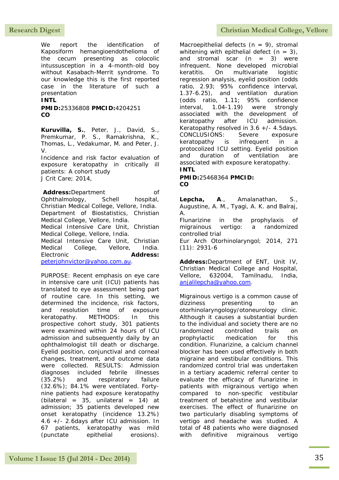We report the identification of Kaposiform hemangioendothelioma of the cecum presenting as colocolic intussusception in a 4-month-old boy without Kasabach-Merrit syndrome. To our knowledge this is the first reported case in the literature of such a presentation

**INTL**

**PMID:**25336808 **PMCID:**4204251 **CO**

**Kuruvilla, S.**, Peter, J., David, S., Premkumar, P. S., Ramakrishna, K., Thomas, L., Vedakumar, M. and Peter, J. V.

Incidence and risk factor evaluation of exposure keratopathy in critically ill patients: A cohort study J Crit Care; 2014,

Address:Department of Ophthalmology, Schell hospital, Christian Medical College, Vellore, India. Department of Biostatistics, Christian Medical College, Vellore, India. Medical Intensive Care Unit, Christian Medical College, Vellore, India. Medical Intensive Care Unit, Christian Medical College, Vellore, India. Electronic **Address:** [peterjohnvictor@yahoo.com.au.](mailto:peterjohnvictor@yahoo.com.au)

PURPOSE: Recent emphasis on eye care in intensive care unit (ICU) patients has translated to eye assessment being part of routine care. In this setting, we determined the incidence, risk factors, and resolution time of exposure keratopathy. METHODS: In this prospective cohort study, 301 patients were examined within 24 hours of ICU admission and subsequently daily by an ophthalmologist till death or discharge. Eyelid position, conjunctival and corneal changes, treatment, and outcome data were collected. RESULTS: Admission diagnoses included febrile illnesses (35.2%) and respiratory failure (32.6%); 84.1% were ventilated. Fortynine patients had exposure keratopathy (bilateral =  $35$ , unilateral =  $14$ ) at admission; 35 patients developed new onset keratopathy (incidence 13.2%) 4.6 +/- 2.6days after ICU admission. In 67 patients, keratopathy was mild (punctate epithelial erosions).

## Research Digest **Christian Medical College, Vellore**

Macroepithelial defects  $(n = 9)$ , stromal whitening with epithelial defect  $(n = 3)$ , and stromal scar  $(n = 3)$  were infrequent. None developed microbial keratitis. On multivariate logistic regression analysis, eyelid position (odds ratio, 2.93; 95% confidence interval, 1.37-6.25), and ventilation duration (odds ratio, 1.11; 95% confidence interval, 1.04-1.19) were strongly associated with the development of keratopathy after ICU admission. Keratopathy resolved in  $3.6 +/- 4.5$ days. CONCLUSIONS: Severe exposure keratopathy is infrequent in a protocolized ICU setting. Eyelid position and duration of ventilation are associated with exposure keratopathy. **INTL**

**PMID:**25468364 **PMCID: CO**

**Lepcha, A**., Amalanathan, S., Augustine, A. M., Tyagi, A. K. and Balraj, A.

Flunarizine in the prophylaxis of migrainous vertigo: a randomized controlled trial

Eur Arch Otorhinolaryngol; 2014, 271 (11): 2931-6

**Address:**Department of ENT, Unit IV, Christian Medical College and Hospital, Vellore, 632004, Tamilnadu, India, [anjalilepcha@yahoo.com.](mailto:anjalilepcha@yahoo.com)

Migrainous vertigo is a common cause of dizziness presenting to an otorhinolaryngology/otoneurology clinic. Although it causes a substantial burden to the individual and society there are no randomized controlled trails on prophylactic medication for this condition. Flunarizine, a calcium channel blocker has been used effectively in both migraine and vestibular conditions. This randomized control trial was undertaken in a tertiary academic referral center to evaluate the efficacy of flunarizine in patients with migrainous vertigo when compared to non-specific vestibular treatment of betahistine and vestibular exercises. The effect of flunarizine on two particularly disabling symptoms of vertigo and headache was studied. A total of 48 patients who were diagnosed with definitive migrainous vertigo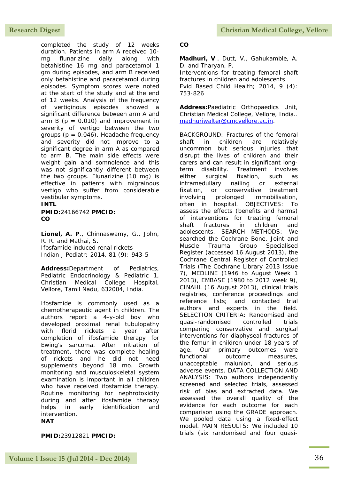completed the study of 12 weeks duration. Patients in arm A received 10 mg flunarizine daily along with betahistine 16 mg and paracetamol 1 gm during episodes, and arm B received only betahistine and paracetamol during episodes. Symptom scores were noted at the start of the study and at the end of 12 weeks. Analysis of the frequency of vertiginous episodes showed a significant difference between arm A and arm B ( $p = 0.010$ ) and improvement in severity of vertigo between the two groups  $(p = 0.046)$ . Headache frequency and severity did not improve to a significant degree in arm A as compared to arm B. The main side effects were weight gain and somnolence and this was not significantly different between the two groups. Flunarizine (10 mg) is effective in patients with migrainous vertigo who suffer from considerable vestibular symptoms.

## **INTL**

**PMID:**24166742 **PMCID: CO**

**Lionel, A. P**., Chinnaswamy, G., John, R. R. and Mathai, S. Ifosfamide induced renal rickets Indian J Pediatr; 2014, 81 (9): 943-5

**Address:**Department of Pediatrics, Pediatric Endocrinology & Pediatric 1, Christian Medical College Hospital, Vellore, Tamil Nadu, 632004, India.

Ifosfamide is commonly used as a chemotherapeutic agent in children. The authors report a 4-y-old boy who developed proximal renal tubulopathy with florid rickets a year after completion of ifosfamide therapy for Ewing's sarcoma. After initiation of treatment, there was complete healing of rickets and he did not need supplements beyond 18 mo. Growth monitoring and musculoskeletal system examination is important in all children who have received ifosfamide therapy. Routine monitoring for nephrotoxicity during and after ifosfamide therapy helps in early identification and intervention. **NAT**

### **PMID:**23912821 **PMCID:**

#### **CO**

**Madhuri, V**., Dutt, V., Gahukamble, A. D. and Tharyan, P.

Interventions for treating femoral shaft fractures in children and adolescents Evid Based Child Health; 2014, 9 (4): 753-826

**Address:**Paediatric Orthopaedics Unit, Christian Medical College, Vellore, India.. [madhuriwalter@cmcvellore.ac.in.](mailto:madhuriwalter@cmcvellore.ac.in)

BACKGROUND: Fractures of the femoral shaft in children are relatively uncommon but serious injuries that disrupt the lives of children and their carers and can result in significant longterm disability. Treatment involves either surgical fixation, such as intramedullary nailing or external fixation, or conservative treatment involving prolonged immobilisation, often in hospital. OBJECTIVES: To assess the effects (benefits and harms) of interventions for treating femoral shaft fractures in children and adolescents. SEARCH METHODS: We searched the Cochrane Bone, Joint and Muscle Trauma Group Specialised Register (accessed 16 August 2013), the Cochrane Central Register of Controlled Trials (The Cochrane Library 2013 Issue 7), MEDLINE (1946 to August Week 1 2013), EMBASE (1980 to 2012 week 9), CINAHL (16 August 2013), clinical trials registries, conference proceedings and reference lists; and contacted trial authors and experts in the field. SELECTION CRITERIA: Randomised and quasi-randomised controlled trials comparing conservative and surgical interventions for diaphyseal fractures of the femur in children under 18 years of age. Our primary outcomes were functional outcome measures, unacceptable malunion, and serious adverse events. DATA COLLECTION AND ANALYSIS: Two authors independently screened and selected trials, assessed risk of bias and extracted data. We assessed the overall quality of the evidence for each outcome for each comparison using the GRADE approach. We pooled data using a fixed-effect model. MAIN RESULTS: We included 10 trials (six randomised and four quasi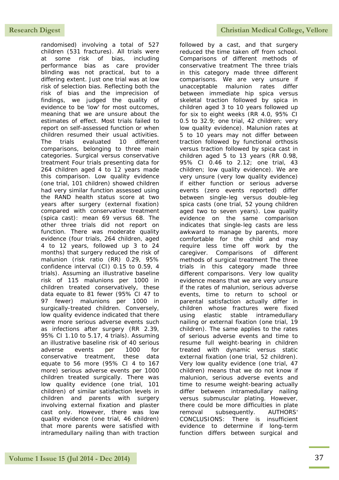randomised) involving a total of 527 children (531 fractures). All trials were at some risk of bias, including performance bias as care provider blinding was not practical, but to a differing extent. Just one trial was at low risk of selection bias. Reflecting both the risk of bias and the imprecision of findings, we judged the quality of evidence to be 'low' for most outcomes, meaning that we are unsure about the estimates of effect. Most trials failed to report on self-assessed function or when children resumed their usual activities. The trials evaluated 10 different comparisons, belonging to three main categories. Surgical versus conservative treatment Four trials presenting data for 264 children aged 4 to 12 years made this comparison. Low quality evidence (one trial, 101 children) showed children had very similar function assessed using the RAND health status score at two years after surgery (external fixation) compared with conservative treatment (spica cast): mean 69 versus 68. The other three trials did not report on function. There was moderate quality evidence (four trials, 264 children, aged 4 to 12 years, followed up 3 to 24 months) that surgery reduced the risk of malunion (risk ratio (RR) 0.29, 95% confidence interval (CI) 0.15 to 0.59, 4 trials). Assuming an illustrative baseline risk of 115 malunions per 1000 in children treated conservatively, these data equate to 81 fewer (95% CI 47 to 97 fewer) malunions per 1000 in surgically-treated children. Conversely, low quality evidence indicated that there were more serious adverse events such as infections after surgery (RR 2.39, 95% CI 1.10 to 5.17, 4 trials). Assuming an illustrative baseline risk of 40 serious adverse events per 1000 for conservative treatment, these data equate to 56 more (95% CI 4 to 167 more) serious adverse events per 1000 children treated surgically. There was low quality evidence (one trial, 101 children) of similar satisfaction levels in children and parents with surgery involving external fixation and plaster cast only. However, there was low quality evidence (one trial, 46 children) that more parents were satisfied with intramedullary nailing than with traction

followed by a cast, and that surgery reduced the time taken off from school. Comparisons of different methods of conservative treatment The three trials in this category made three different comparisons. We are very unsure if unacceptable malunion rates differ between immediate hip spica versus skeletal traction followed by spica in children aged 3 to 10 years followed up for six to eight weeks (RR 4.0, 95% CI 0.5 to 32.9; one trial, 42 children; very low quality evidence). Malunion rates at 5 to 10 years may not differ between traction followed by functional orthosis versus traction followed by spica cast in children aged 5 to 13 years (RR 0.98, 95% CI 0.46 to 2.12; one trial, 43 children; low quality evidence). We are very unsure (very low quality evidence) if either function or serious adverse events (zero events reported) differ between single-leg versus double-leg spica casts (one trial, 52 young children aged two to seven years). Low quality evidence on the same comparison indicates that single-leg casts are less awkward to manage by parents, more comfortable for the child and may require less time off work by the caregiver. Comparisons of different methods of surgical treatment The three trials in this category made three different comparisons. Very low quality evidence means that we are very unsure if the rates of malunion, serious adverse events, time to return to school or parental satisfaction actually differ in children whose fractures were fixed using elastic stable intramedullary nailing or external fixation (one trial, 19 children). The same applies to the rates of serious adverse events and time to resume full weight-bearing in children treated with dynamic versus static external fixation (one trial, 52 children). Very low quality evidence (one trial, 47 children) means that we do not know if malunion, serious adverse events and time to resume weight-bearing actually differ between intramedullary nailing versus submuscular plating. However, there could be more difficulties in plate removal subsequently. AUTHORS' CONCLUSIONS: There is insufficient evidence to determine if long-term function differs between surgical and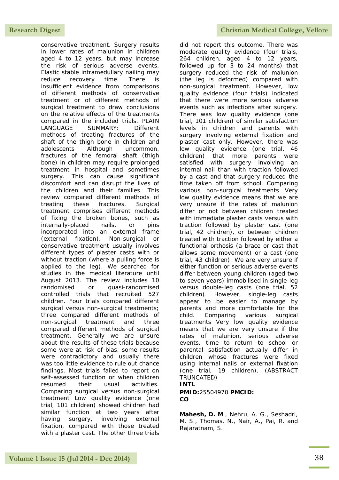conservative treatment. Surgery results in lower rates of malunion in children aged 4 to 12 years, but may increase the risk of serious adverse events. Elastic stable intramedullary nailing may reduce recovery time. There is insufficient evidence from comparisons of different methods of conservative treatment or of different methods of surgical treatment to draw conclusions on the relative effects of the treatments compared in the included trials. PLAIN LANGUAGE SUMMARY: Different methods of treating fractures of the shaft of the thigh bone in children and adolescents Although uncommon, fractures of the femoral shaft (thigh bone) in children may require prolonged treatment in hospital and sometimes surgery. This can cause significant discomfort and can disrupt the lives of the children and their familles. This review compared different methods of treating these fractures. Surgical treatment comprises different methods of fixing the broken bones, such as internally-placed nails, or pins incorporated into an external frame (external fixation). Non-surgical or conservative treatment usually involves different types of plaster casts with or without traction (where a pulling force is applied to the leg). We searched for studies in the medical literature until August 2013. The review includes 10 randomised or quasi-randomised controlled trials that recruited 527 children. Four trials compared different surgical versus non-surgical treatments; three compared different methods of non-surgical treatment and three compared different methods of surgical treatment. Generally we are unsure about the results of these trials because some were at risk of bias, some results were contradictory and usually there was too little evidence to rule out chance findings. Most trials failed to report on self-assessed function or when children resumed their usual activities. Comparing surgical versus non-surgical treatment Low quality evidence (one trial, 101 children) showed children had similar function at two years after having surgery, involving external fixation, compared with those treated with a plaster cast. The other three trials

did not report this outcome. There was moderate quality evidence (four trials, 264 children, aged 4 to 12 years, followed up for 3 to 24 months) that surgery reduced the risk of malunion (the leg is deformed) compared with non-surgical treatment. However, low quality evidence (four trials) indicated that there were more serious adverse events such as infections after surgery. There was low quality evidence (one trial, 101 children) of similar satisfaction levels in children and parents with surgery involving external fixation and plaster cast only. However, there was low quality evidence (one trial, 46 children) that more parents were satisfied with surgery involving an internal nail than with traction followed by a cast and that surgery reduced the time taken off from school. Comparing various non-surgical treatments Very low quality evidence means that we are very unsure if the rates of malunion differ or not between children treated with immediate plaster casts versus with traction followed by plaster cast (one trial, 42 children), or between children treated with traction followed by either a functional orthosis (a brace or cast that allows some movement) or a cast (one trial, 43 children). We are very unsure if either function or serious adverse events differ between young children (aged two to seven years) immobilised in single-leg versus double-leg casts (one trial, 52 children). However, single-leg casts appear to be easier to manage by parents and more comfortable for the child. Comparing various surgical treatments Very low quality evidence means that we are very unsure if the rates of malunion, serious adverse events, time to return to school or parental satisfaction actually differ in children whose fractures were fixed using internal nails or external fixation (one trial, 19 children). (ABSTRACT TRUNCATED)

## **INTL**

**PMID:**25504970 **PMCID: CO**

**Mahesh, D. M**., Nehru, A. G., Seshadri, M. S., Thomas, N., Nair, A., Pai, R. and Rajaratnam, S.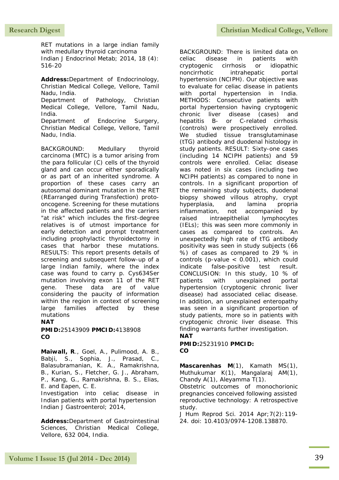RET mutations in a large indian family with medullary thyroid carcinoma Indian J Endocrinol Metab; 2014, 18 (4): 516-20

**Address:**Department of Endocrinology, Christian Medical College, Vellore, Tamil Nadu, India. Department of Pathology, Christian Medical College, Vellore, Tamil Nadu, India. Department of Endocrine Surgery, Christian Medical College, Vellore, Tamil Nadu, India.

BACKGROUND: Medullary thyroid carcinoma (MTC) is a tumor arising from the para follicular (C) cells of the thyroid gland and can occur either sporadically or as part of an inherited syndrome. A proportion of these cases carry an autosomal dominant mutation in the RET (REarranged during Transfection) protooncogene. Screening for these mutations in the affected patients and the carriers "at risk" which includes the first-degree relatives is of utmost importance for early detection and prompt treatment including prophylactic thyroidectomy in cases that harbor these mutations. RESULTS: This report presents details of screening and subsequent follow-up of a large Indian family, where the index case was found to carry p. Cys634Ser mutation involving exon 11 of the RET gene. These data are of value considering the paucity of information within the region in context of screening large families affected by these mutations

## **NAT**

**PMID:**25143909 **PMCID:**4138908 **CO**

**Maiwall, R**., Goel, A., Pulimood, A. B., Babji, S., Sophia, J., Prasad, C., Balasubramanian, K. A., Ramakrishna, B., Kurian, S., Fletcher, G. J., Abraham, P., Kang, G., Ramakrishna, B. S., Elias, E. and Eapen, C. E.

Investigation into celiac disease in Indian patients with portal hypertension Indian J Gastroenterol; 2014,

**Address:**Department of Gastrointestinal Sciences, Christian Medical College, Vellore, 632 004, India.

BACKGROUND: There is limited data on celiac disease in patients with cryptogenic cirrhosis or idiopathic noncirrhotic intrahepatic portal hypertension (NCIPH). Our objective was to evaluate for celiac disease in patients with portal hypertension in India. METHODS: Consecutive patients with portal hypertension having cryptogenic chronic liver disease (cases) and hepatitis B- or C-related cirrhosis (controls) were prospectively enrolled. We studied tissue transglutaminase (tTG) antibody and duodenal histology in study patients. RESULT: Sixty-one cases (including 14 NCIPH patients) and 59 controls were enrolled. Celiac disease was noted in six cases (including two NCIPH patients) as compared to none in controls. In a significant proportion of the remaining study subjects, duodenal biopsy showed villous atrophy, crypt hyperplasia, and lamina propria inflammation, not accompanied by raised intraepithelial lymphocytes (IELs); this was seen more commonly in cases as compared to controls. An unexpectedly high rate of tTG antibody positivity was seen in study subjects (66 %) of cases as compared to 29 % in controls (p-value < 0.001), which could indicate false-positive test result. CONCLUSION: In this study, 10 % of patients with unexplained portal hypertension (cryptogenic chronic liver disease) had associated celiac disease. In addition, an unexplained enteropathy was seen in a significant proportion of study patients, more so in patients with cryptogenic chronic liver disease. This finding warrants further investigation. **NAT**

**PMID:**25231910 **PMCID: CO**

**Mascarenhas M**(1), Kamath MS(1), Muthukumar K(1), Mangalaraj AM(1), Chandy A(1), Aleyamma T(1).

Obstetric outcomes of monochorionic pregnancies conceived following assisted reproductive technology: A retrospective study.

J Hum Reprod Sci. 2014 Apr;7(2):119- 24. doi: 10.4103/0974-1208.138870.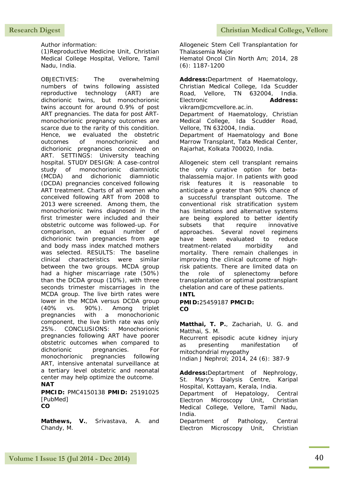Author information:

(1)Reproductive Medicine Unit, Christian Medical College Hospital, Vellore, Tamil Nadu, India.

OBJECTIVES: The overwhelming numbers of twins following assisted reproductive technology (ART) are dichorionic twins, but monochorionic twins account for around 0.9% of post ART pregnancies. The data for post ARTmonochorionic pregnancy outcomes are scarce due to the rarity of this condition. Hence, we evaluated the obstetric outcomes of monochorionic and dichorionic pregnancies conceived on ART. SETTINGS: University teaching hospital. STUDY DESIGN: A case-control study of monochorionic diamniotic (MCDA) and dichorionic diamniotic (DCDA) pregnancies conceived following ART treatment. Charts of all women who conceived following ART from 2008 to 2013 were screened. Among them, the monochorionic twins diagnosed in the first trimester were included and their obstetric outcome was followed-up. For comparison, an equal number of dichorionic twin pregnancies from age and body mass index matched mothers was selected. RESULTS: The baseline clinical characteristics were similar between the two groups. MCDA group had a higher miscarriage rate (50%) than the DCDA group (10%), with three seconds trimester miscarriages in the MCDA group. The live birth rates were lower in the MCDA versus DCDA group (40% vs. 90%). Among triplet pregnancies with a monochorionic component, the live birth rate was only 25%. CONCLUSIONS: Monochorionic pregnancies following ART have poorer obstetric outcomes when compared to dichorionic pregnancies. For monochorionic pregnancies following ART, intensive antenatal surveillance at a tertiary level obstetric and neonatal center may help optimize the outcome. **NAT**

**PMCID:** PMC4150138 **PMID:** 25191025 [PubMed] **CO**

**Mathews, V.**, Srivastava, A. and Chandy, M.

Allogeneic Stem Cell Transplantation for Thalassemia Major Hematol Oncol Clin North Am; 2014, 28 (6): 1187-1200

**Address:**Department of Haematology, Christian Medical College, Ida Scudder Road, Vellore, TN 632004, India. Electronic **Address:** vikram@cmcvellore.ac.in. Department of Haematology, Christian Medical College, Ida Scudder Road, Vellore, TN 632004, India. Department of Haematology and Bone Marrow Transplant, Tata Medical Center, Rajarhat, Kolkata 700020, India.

Allogeneic stem cell transplant remains the only curative option for betathalassemia major. In patients with good risk features it is reasonable to anticipate a greater than 90% chance of a successful transplant outcome. The conventional risk stratification system has limitations and alternative systems are being explored to better identify subsets that require innovative approaches. Several novel regimens have been evaluated to reduce treatment-related morbidity and mortality. There remain challenges in improving the clinical outcome of highrisk patients. There are limited data on the role of splenectomy before transplantation or optimal posttransplant chelation and care of these patients.

## **INTL**

**PMID:**25459187 **PMCID: CO**

**Matthai, T. P.**, Zachariah, U. G. and Matthai, S. M.

Recurrent episodic acute kidney injury as presenting manifestation of mitochondrial myopathy

Indian J Nephrol; 2014, 24 (6): 387-9

**Address:**Deptartment of Nephrology, St. Mary's Dialysis Centre, Karipal Hospital, Kottayam, Kerala, India. Department of Hepatology, Central Electron Microscopy Unit, Christian Medical College, Vellore, Tamil Nadu, India.

Department of Pathology, Central Electron Microscopy Unit, Christian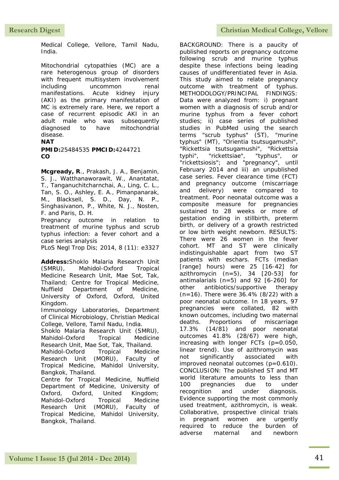Medical College, Vellore, Tamil Nadu, India.

Mitochondrial cytopathies (MC) are a rare heterogenous group of disorders with frequent multisystem involvement including uncommon renal manifestations. Acute kidney injury (AKI) as the primary manifestation of MC is extremely rare. Here, we report a case of recurrent episodic AKI in an adult male who was subsequently diagnosed to have mitochondrial disease.

## **NAT**

**PMID:**25484535 **PMCID:**4244721 **CO**

**Mcgready, R**., Prakash, J. A., Benjamin, S. J., Watthanaworawit, W., Anantatat, T., Tanganuchitcharnchai, A., Ling, C. L., Tan, S. O., Ashley, E. A., Pimanpanarak, M., Blacksell, S. D., Day, N. P., Singhasivanon, P., White, N. J., Nosten, F. and Paris, D. H.

Pregnancy outcome in relation to treatment of murine typhus and scrub typhus infection: a fever cohort and a case series analysis

PLoS Negl Trop Dis; 2014, 8 (11): e3327

**Address:**Shoklo Malaria Research Unit (SMRU), Mahidol-Oxford Tropical Medicine Research Unit, Mae Sot, Tak, Thailand; Centre for Tropical Medicine, Nuffield Department of Medicine, University of Oxford, Oxford, United Kingdom.

Immunology Laboratories, Department of Clinical Microbiology, Christian Medical College, Vellore, Tamil Nadu, India.

Shoklo Malaria Research Unit (SMRU), Mahidol-Oxford Tropical Medicine Research Unit, Mae Sot, Tak, Thailand.

Mahidol-Oxford Tropical Medicine Research Unit (MORU), Faculty of Tropical Medicine, Mahidol University, Bangkok, Thailand.

Centre for Tropical Medicine, Nuffield Department of Medicine, University of Oxford, Oxford, United Kingdom; Mahidol-Oxford Tropical Medicine Research Unit (MORU), Faculty of Tropical Medicine, Mahidol University, Bangkok, Thailand.

This study aimed to relate pregnancy outcome with treatment of typhus. METHODOLOGY/PRINCIPAL FINDINGS: Data were analyzed from: i) pregnant women with a diagnosis of scrub and/or murine typhus from a fever cohort studies; ii) case series of published studies in PubMed using the search terms "scrub typhus" (ST), "murine typhus" (MT), "Orientia tsutsugamushi", "Rickettsia tsutsugamushi", "Rickettsia typhi", "rickettsiae", "typhus", or "rickettsiosis"; and "pregnancy", until February 2014 and iii) an unpublished case series. Fever clearance time (FCT) and pregnancy outcome (miscarriage and delivery) were compared to treatment. Poor neonatal outcome was a composite measure for pregnancies sustained to 28 weeks or more of gestation ending in stillbirth, preterm birth, or delivery of a growth restricted or low birth weight newborn. RESULTS: There were 26 women in the fever cohort. MT and ST were clinically indistinguishable apart from two ST patients with eschars. FCTs (median [range] hours) were 25 [16-42] for azithromycin  $(n=5)$ , 34  $[20-53]$  for antimalarials (n=5) and 92 [6-260] for other antibiotics/supportive therapy (n=16). There were 36.4% (8/22) with a poor neonatal outcome. In 18 years, 97 pregnancies were collated, 82 with known outcomes, including two maternal deaths. Proportions of miscarriage 17.3% (14/81) and poor neonatal outcomes 41.8% (28/67) were high, increasing with longer FCTs (p=0.050, linear trend). Use of azithromycin was not significantly associated with improved neonatal outcomes (p=0.610). CONCLUSION: The published ST and MT world literature amounts to less than 100 pregnancies due to under recognition and under diagnosis. Evidence supporting the most commonly used treatment, azithromycin, is weak. Collaborative, prospective clinical trials

in pregnant women are urgently required to reduce the burden of adverse maternal and newborn

BACKGROUND: There is a paucity of published reports on pregnancy outcome following scrub and murine typhus despite these infections being leading causes of undifferentiated fever in Asia.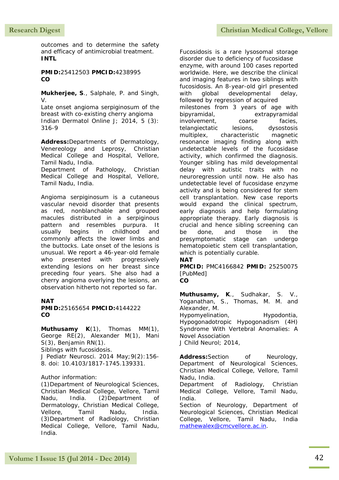outcomes and to determine the safety and efficacy of antimicrobial treatment. **INTL**

**PMID:**25412503 **PMCID:**4238995 **CO**

**Mukherjee, S**., Salphale, P. and Singh, V.

Late onset angioma serpiginosum of the breast with co-existing cherry angioma Indian Dermatol Online J; 2014, 5 (3): 316-9

**Address:**Departments of Dermatology, Venereology and Leprosy, Christian Medical College and Hospital, Vellore, Tamil Nadu, India.

Department of Pathology, Christian Medical College and Hospital, Vellore, Tamil Nadu, India.

Angioma serpiginosum is a cutaneous vascular nevoid disorder that presents as red, nonblanchable and grouped macules distributed in a serpiginous pattern and resembles purpura. It usually begins in childhood and commonly affects the lower limbs and the buttocks. Late onset of the lesions is unusual. We report a 46-year-old female who presented with progressively extending lesions on her breast since preceding four years. She also had a cherry angioma overlying the lesions, an observation hitherto not reported so far.

## **NAT**

#### **PMID:**25165654 **PMCID:**4144222 **CO**

**Muthusamy K**(1), Thomas MM(1), George RE(2), Alexander M(1), Mani S(3), Benjamin RN(1). Siblings with fucosidosis.

J Pediatr Neurosci. 2014 May;9(2):156- 8. doi: 10.4103/1817-1745.139331.

### Author information:

(1)Department of Neurological Sciences, Christian Medical College, Vellore, Tamil Nadu, India. (2)Department of Dermatology, Christian Medical College, Vellore, Tamil Nadu, India. (3)Department of Radiology, Christian Medical College, Vellore, Tamil Nadu, India.

Fucosidosis is a rare lysosomal storage disorder due to deficiency of fucosidase enzyme, with around 100 cases reported worldwide. Here, we describe the clinical and imaging features in two siblings with fucosidosis. An 8-year-old girl presented with global developmental delay, followed by regression of acquired milestones from 3 years of age with bipyramidal, extrapyramidal involvement, coarse facies, telangiectatic lesions, dysostosis multiplex, characteristic magnetic resonance imaging finding along with undetectable levels of the fucosidase activity, which confirmed the diagnosis. Younger sibling has mild developmental delay with autistic traits with no neuroregression until now. He also has undetectable level of fucosidase enzyme activity and is being considered for stem cell transplantation. New case reports would expand the clinical spectrum, early diagnosis and help formulating appropriate therapy. Early diagnosis is crucial and hence sibling screening can be done, and those in the presymptomatic stage can undergo hematopoietic stem cell transplantation, which is potentially curable.

#### **NAT**

**PMCID:** PMC4166842 **PMID:** 25250075 [PubMed]

#### **CO**

**Muthusamy, K**., Sudhakar, S. V., Yoganathan, S., Thomas, M. M. and Alexander, M. Hypomyelination, Hypodontia, Hypogonadotropic Hypogonadism (4H) Syndrome With Vertebral Anomalies: A Novel Association

J Child Neurol; 2014,

Address:Section of Neurology, Department of Neurological Sciences, Christian Medical College, Vellore, Tamil Nadu, India.

Department of Radiology, Christian Medical College, Vellore, Tamil Nadu, India.

Section of Neurology, Department of Neurological Sciences, Christian Medical College, Vellore, Tamil Nadu, India [mathewalex@cmcvellore.ac.in.](mailto:mathewalex@cmcvellore.ac.in)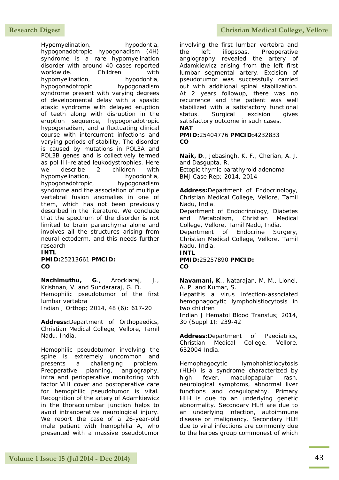## Research Digest **Christian Medical College, Vellore**

Hypomyelination, hypodontia, hypogonadotropic hypogonadism (4H) syndrome is a rare hypomyelination disorder with around 40 cases reported worldwide. Children with hypomyelination, hypodontia, hypogonadotropic hypogonadism syndrome present with varying degrees of developmental delay with a spastic ataxic syndrome with delayed eruption of teeth along with disruption in the eruption sequence, hypogonadotropic hypogonadism, and a fluctuating clinical course with intercurrent infections and varying periods of stability. The disorder is caused by mutations in POL3A and POL3B genes and is collectively termed as pol III-related leukodystrophies. Here we describe 2 children with hypomyelination, hypodontia, hypogonadotropic, hypogonadism syndrome and the association of multiple vertebral fusion anomalies in one of them, which has not been previously described in the literature. We conclude that the spectrum of the disorder is not limited to brain parenchyma alone and involves all the structures arising from neural ectoderm, and this needs further research

**INTL PMID:**25213661 **PMCID: CO**

**Nachimuthu, G**., Arockiaraj, J., Krishnan, V. and Sundararaj, G. D. Hemophilic pseudotumor of the first lumbar vertebra Indian J Orthop; 2014, 48 (6): 617-20

**Address:**Department of Orthopaedics, Christian Medical College, Vellore, Tamil Nadu, India.

Hemophilic pseudotumor involving the spine is extremely uncommon and presents a challenging problem. Preoperative planning, angiography, intra and perioperative monitoring with factor VIII cover and postoperative care for hemophilic pseudotumor is vital. Recognition of the artery of Adamkiewicz in the thoracolumbar junction helps to avoid intraoperative neurological injury. We report the case of a 26-year-old male patient with hemophilia A, who presented with a massive pseudotumor

involving the first lumbar vertebra and the left iliopsoas. Preoperative angiography revealed the artery of Adamkiewicz arising from the left first lumbar segmental artery. Excision of pseudotumor was successfully carried out with additional spinal stabilization. At 2 years followup, there was no recurrence and the patient was well stabilized with a satisfactory functional status. Surgical excision gives satisfactory outcome in such cases. **NAT**

**PMID:**25404776 **PMCID:**4232833 **CO**

**Naik, D**., Jebasingh, K. F., Cherian, A. J. and Dasgupta, R. Ectopic thymic parathyroid adenoma BMJ Case Rep; 2014, 2014

**Address:**Department of Endocrinology, Christian Medical College, Vellore, Tamil Nadu, India.

Department of Endocrinology, Diabetes and Metabolism, Christian Medical College, Vellore, Tamil Nadu, India.

Department of Endocrine Surgery, Christian Medical College, Vellore, Tamil Nadu, India. **INTL** 

**PMID:**25257890 **PMCID: CO**

**Navamani, K**., Natarajan, M. M., Lionel, A. P. and Kumar, S.

Hepatitis a virus infection-associated hemophagocytic lymphohistiocytosis in two children

Indian J Hematol Blood Transfus; 2014, 30 (Suppl 1): 239-42

**Address:**Department of Paediatrics, Christian Medical College, Vellore, 632004 India.

Hemophagocytic lymphohistiocytosis (HLH) is a syndrome characterized by high fever, maculopapular rash, neurological symptoms, abnormal liver functions and coagulopathy. Primary HLH is due to an underlying genetic abnormality. Secondary HLH are due to an underlying infection, autoimmune disease or malignancy. Secondary HLH due to viral infections are commonly due to the herpes group commonest of which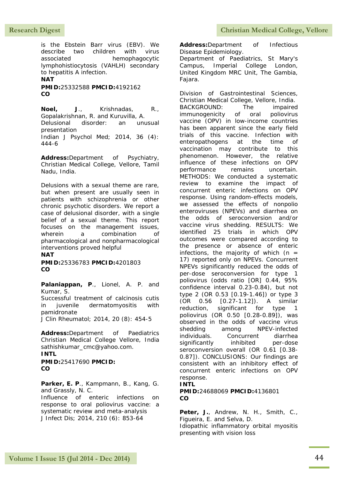## Research Digest **Christian Medical College, Vellore**

is the Ebstein Barr virus (EBV). We describe two children with virus associated hemophagocytic lymphohistiocytosis (VAHLH) secondary to hepatitis A infection. **NAT**

**PMID:**25332588 **PMCID:**4192162 **CO**

**Noel, J**., Krishnadas, R., Gopalakrishnan, R. and Kuruvilla, A. Delusional disorder: an unusual presentation Indian J Psychol Med; 2014, 36 (4): 444-6

**Address:**Department of Psychiatry, Christian Medical College, Vellore, Tamil Nadu, India.

Delusions with a sexual theme are rare, but when present are usually seen in patients with schizophrenia or other chronic psychotic disorders. We report a case of delusional disorder, with a single belief of a sexual theme. This report focuses on the management issues, wherein a combination of pharmacological and nonpharmacological interventions proved helpful

**NAT**

**PMID:**25336783 **PMCID:**4201803 **CO**

**Palaniappan, P**., Lionel, A. P. and Kumar, S.

Successful treatment of calcinosis cutis in juvenile dermatomyositis with pamidronate

J Clin Rheumatol; 2014, 20 (8): 454-5

**Address:**Department of Paediatrics Christian Medical College Vellore, India sathishkumar\_cmc@yahoo.com.

## **INTL**

**PMID:**25417690 **PMCID: CO**

**Parker, E. P**., Kampmann, B., Kang, G. and Grassly, N. C. Influence of enteric infections on response to oral poliovirus vaccine: a systematic review and meta-analysis

J Infect Dis; 2014, 210 (6): 853-64

**Address:**Department of Infectious Disease Epidemiology.

Department of Paediatrics, St Mary's Campus, Imperial College London, United Kingdom MRC Unit, The Gambia, Fajara.

Division of Gastrointestinal Sciences, Christian Medical College, Vellore, India. BACKGROUND: The impaired immunogenicity of oral poliovirus vaccine (OPV) in low-income countries has been apparent since the early field trials of this vaccine. Infection with enteropathogens at the time of vaccination may contribute to this phenomenon. However, the relative influence of these infections on OPV performance remains uncertain. METHODS: We conducted a systematic review to examine the impact of concurrent enteric infections on OPV response. Using random-effects models, we assessed the effects of nonpolio enteroviruses (NPEVs) and diarrhea on the odds of seroconversion and/or vaccine virus shedding. RESULTS: We identified 25 trials in which OPV outcomes were compared according to the presence or absence of enteric infections, the majority of which ( $n =$ 17) reported only on NPEVs. Concurrent NPEVs significantly reduced the odds of per-dose seroconversion for type 1 poliovirus (odds ratio [OR] 0.44, 95% confidence interval 0.23-0.84), but not type 2 (OR 0.53 [0.19-1.46]) or type 3 (OR 0.56 [0.27-1.12]). A similar reduction, significant for type 1 poliovirus (OR 0.50 [0.28-0.89]), was observed in the odds of vaccine virus shedding among NPEV-infected individuals. Concurrent diarrhea significantly inhibited per-dose seroconversion overall (OR 0.61 [0.38- 0.87]). CONCLUSIONS: Our findings are consistent with an inhibitory effect of concurrent enteric infections on OPV response.

### **INTL**

#### **PMID:**24688069 **PMCID:**4136801 **CO**

Peter, J., Andrew, N. H., Smith, C., Figueira, E. and Selva, D.

Idiopathic inflammatory orbital myositis presenting with vision loss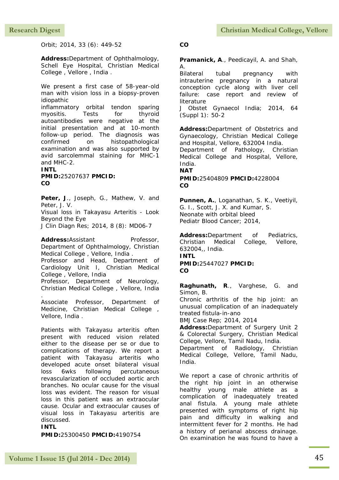Orbit; 2014, 33 (6): 449-52

**Address:**Department of Ophthalmology, Schell Eye Hospital, Christian Medical College , Vellore , India .

We present a first case of 58-year-old man with vision loss in a biopsy-proven idiopathic

inflammatory orbital tendon sparing myositis. Tests for thyroid autoantibodies were negative at the initial presentation and at 10-month follow-up period. The diagnosis was confirmed on histopathological examination and was also supported by avid sarcolemmal staining for MHC-1 and MHC-2.

**INTL PMID:**25207637 **PMCID: CO**

**Peter, J**., Joseph, G., Mathew, V. and Peter, J. V.

Visual loss in Takayasu Arteritis - Look Beyond the Eye

J Clin Diagn Res; 2014, 8 (8): MD06-7

Address:Assistant Professor, Department of Ophthalmology, Christian Medical College , Vellore, India .

Professor and Head, Department of Cardiology Unit I, Christian Medical College , Vellore, India

Professor, Department of Neurology, Christian Medical College , Vellore, India

Associate Professor, Department of Medicine, Christian Medical College , Vellore, India .

Patients with Takayasu arteritis often present with reduced vision related either to the disease per se or due to complications of therapy. We report a patient with Takayasu arteritis who developed acute onset bilateral visual loss 6wks following percutaneous revascularization of occluded aortic arch branches. No ocular cause for the visual loss was evident. The reason for visual loss in this patient was an extraocular cause. Ocular and extraocular causes of visual loss in Takayasu arteritis are discussed.

**INTL**

.

**PMID:**25300450 **PMCID:**4190754

#### **CO**

**Pramanick, A**., Peedicayil, A. and Shah, A.

Bilateral tubal pregnancy with intrauterine pregnancy in a natural conception cycle along with liver cell failure: case report and review of literature

J Obstet Gynaecol India; 2014, 64 (Suppl 1): 50-2

**Address:**Department of Obstetrics and Gynaecology, Christian Medical College and Hospital, Vellore, 632004 India. Department of Pathology, Christian Medical College and Hospital, Vellore, India.

**NAT**

**PMID:**25404809 **PMCID:**4228004 **CO**

**Punnen, A.**, Loganathan, S. K., Veetiyil, G. I., Scott, J. X. and Kumar, S. Neonate with orbital bleed Pediatr Blood Cancer; 2014,

**Address:**Department of Pediatrics, Christian Medical College, Vellore, 632004,, India. **INTL PMID:**25447027 **PMCID: CO**

**Raghunath, R**., Varghese, G. and Simon, B.

Chronic arthritis of the hip joint: an unusual complication of an inadequately treated fistula-in-ano

BMJ Case Rep; 2014, 2014

**Address:**Department of Surgery Unit 2 & Colorectal Surgery, Christian Medical College, Vellore, Tamil Nadu, India.

Department of Radiology, Christian Medical College, Vellore, Tamil Nadu, India.

We report a case of chronic arthritis of the right hip joint in an otherwise healthy young male athlete as a complication of inadequately treated anal fistula. A young male athlete presented with symptoms of right hip pain and difficulty in walking and intermittent fever for 2 months. He had a history of perianal abscess drainage. On examination he was found to have a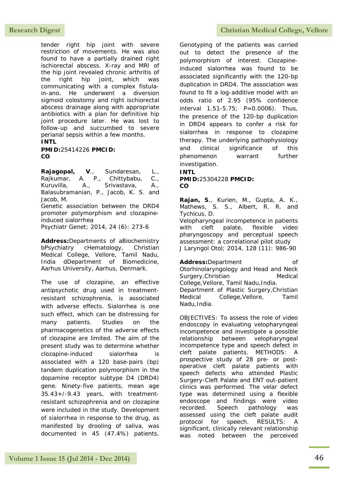tender right hip joint with severe restriction of movements. He was also found to have a partially drained right ischiorectal abscess. X-ray and MRI of the hip joint revealed chronic arthritis of the right hip joint, which was communicating with a complex fistulain-ano. He underwent a diversion sigmoid colostomy and right ischiorectal abscess drainage along with appropriate antibiotics with a plan for definitive hip joint procedure later. He was lost to follow-up and succumbed to severe perianal sepsis within a few months. **INTL**

**PMID:**25414226 **PMCID: CO**

**Rajagopal, V**., Sundaresan, L., Rajkumar, A. P., Chittybabu, C., Kuruvilla, A., Srivastava, A., Balasubramanian, P., Jacob, K. S. and Jacob, M. Genetic association between the DRD4 promoter polymorphism and clozapineinduced sialorrhea Psychiatr Genet; 2014, 24 (6): 273-6

**Address:**Departments of aBiochemistry bPsychiatry cHematology, Christian Medical College, Vellore, Tamil Nadu, India dDepartment of Biomedicine, Aarhus University, Aarhus, Denmark.

The use of clozapine, an effective antipsychotic drug used in treatmentresistant schizophrenia, is associated with adverse effects. Sialorrhea is one such effect, which can be distressing for many patients. Studies on the pharmacogenetics of the adverse effects of clozapine are limited. The aim of the present study was to determine whether clozapine-induced sialorrhea is associated with a 120 base-pairs (bp) tandem duplication polymorphism in the dopamine receptor subtype D4 (DRD4) gene. Ninety-five patients, mean age 35.43+/-9.43 years, with treatmentresistant schizophrenia and on clozapine were included in the study. Development of sialorrhea in response to the drug, as manifested by drooling of saliva, was documented in 45 (47.4%) patients.

Research Digest **Christian Medical College, Vellore** 

Genotyping of the patients was carried out to detect the presence of the polymorphism of interest. Clozapineinduced sialorrhea was found to be associated significantly with the 120-bp duplication in DRD4. The association was found to fit a log-additive model with an odds ratio of 2.95 (95% confidence interval 1.51-5.75; P=0.0006). Thus, the presence of the 120-bp duplication in DRD4 appears to confer a risk for sialorrhea in response to clozapine therapy. The underlying pathophysiology and clinical significance of this phenomenon warrant further investigation.

**INTL PMID:**25304228 **PMCID: CO**

**Rajan, S**., Kurien, M., Gupta, A. K., Mathews, S. S., Albert, R. R. and Tychicus, D.

Velopharyngeal incompetence in patients with cleft palate, flexible video pharyngoscopy and perceptual speech assessment: a correlational pilot study J Laryngol Otol; 2014, 128 (11): 986-90

Address:Department of Otorhinolaryngology and Head and Neck Surgery, Christian Medical College,Vellore, Tamil Nadu,India. Department of Plastic Surgery,Christian Medical College,Vellore, Tamil Nadu,India.

OBJECTIVES: To assess the role of video endoscopy in evaluating velopharyngeal incompetence and investigate a possible relationship between velopharyngeal incompetence type and speech defect in cleft palate patients. METHODS: A prospective study of 28 pre- or postoperative cleft palate patients with speech defects who attended Plastic Surgery-Cleft Palate and ENT out-patient clinics was performed. The velar defect type was determined using a flexible endoscope and findings were video recorded. Speech pathology was assessed using the cleft palate audit protocol for speech. RESULTS: A significant, clinically relevant relationship was noted between the perceived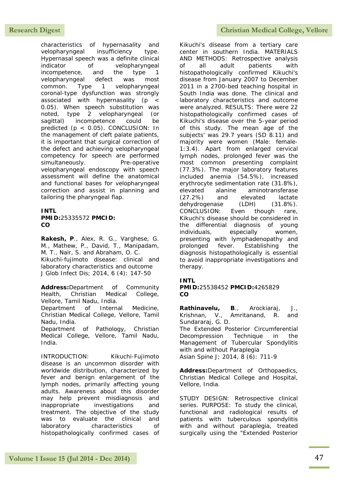characteristics of hypernasality and velopharyngeal insufficiency type. Hypernasal speech was a definite clinical indicator of velopharyngeal incompetence, and the type 1 velopharyngeal defect was most common. Type 1 velopharyngeal coronal-type dysfunction was strongly associated with hypernasality (p < 0.05). When speech substitution was noted, type 2 velopharyngeal (or sagittal) incompetence could be predicted (p < 0.05). CONCLUSION: In the management of cleft palate patients, it is important that surgical correction of the defect and achieving velopharyngeal competency for speech are performed simultaneously. Pre-operative velopharyngeal endoscopy with speech assessment will define the anatomical and functional bases for velopharyngeal correction and assist in planning and tailoring the pharyngeal flap.

### **INTL PMID:**25335572 **PMCID: CO**

**Rakesh, P**., Alex, R. G., Varghese, G. M., Mathew, P., David, T., Manipadam, M. T., Nair, S. and Abraham, O. C. Kikuchi-fujimoto disease: clinical and laboratory characteristics and outcome J Glob Infect Dis; 2014, 6 (4): 147-50

**Address:**Department of Community Health, Christian Medical College, Vellore, Tamil Nadu, India.

Department of Internal Medicine, Christian Medical College, Vellore, Tamil Nadu, India.

Department of Pathology, Christian Medical College, Vellore, Tamil Nadu, India.

INTRODUCTION: Kikuchi-Fujimoto disease is an uncommon disorder with worldwide distribution, characterized by fever and benign enlargement of the lymph nodes, primarily affecting young adults. Awareness about this disorder may help prevent misdiagnosis and inappropriate investigations and treatment. The objective of the study was to evaluate the clinical and laboratory characteristics of histopathologically confirmed cases of

## **Research Digest Christian Medical College, Vellore**

Kikuchi's disease from a tertiary care center in southern India. MATERIALS AND METHODS: Retrospective analysis of all adult patients with histopathologically confirmed Kikuchi's disease from January 2007 to December 2011 in a 2700-bed teaching hospital in South India was done. The clinical and laboratory characteristics and outcome were analyzed. RESULTS: There were 22 histopathologically confirmed cases of Kikuchi's disease over the 5-year period of this study. The mean age of the subjects' was 29.7 years (SD 8.11) and majority were women (Male: female-1:3.4). Apart from enlarged cervical lymph nodes, prolonged fever was the most common presenting complaint (77.3%). The major laboratory features included anemia (54.5%), increased erythrocyte sedimentation rate (31.8%), elevated alanine aminotransferase (27.2%) and elevated lactate dehydrogenase (LDH) (31.8%). CONCLUSION: Even though rare, Kikuchi's disease should be considered in the differential diagnosis of young individuals, especially women, presenting with lymphadenopathy and prolonged fever. Establishing the diagnosis histopathologically is essential to avoid inappropriate investigations and therapy.

### **INTL**

#### **PMID:**25538452 **PMCID:**4265829 **CO**

**Rathinavelu, B**., Arockiaraj, J., Krishnan, V., Amritanand, R. and Sundararaj, G. D. The Extended Posterior Circumferential Decompression Technique in the Management of Tubercular Spondylitis with and without Paraplegia Asian Spine J; 2014, 8 (6): 711-9

**Address:**Department of Orthopaedics, Christian Medical College and Hospital, Vellore, India.

STUDY DESIGN: Retrospective clinical series. PURPOSE: To study the clinical, functional and radiological results of patients with tuberculous spondylitis with and without paraplegia, treated surgically using the "Extended Posterior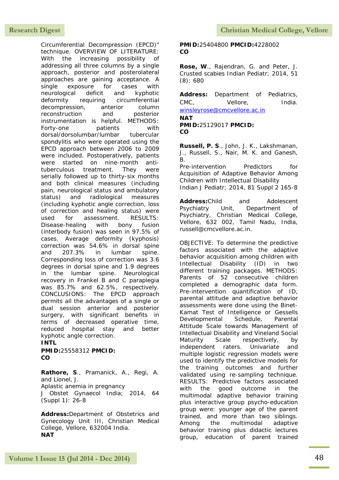Circumferential Decompression (EPCD)" technique. OVERVIEW OF LITERATURE: With the increasing possibility of addressing all three columns by a single approach, posterior and posterolateral approaches are gaining acceptance. A single exposure for cases with neurological deficit and kyphotic deformity requiring circumferential decompression, anterior column reconstruction and posterior instrumentation is helpful. METHODS: Forty-one patients with dorsal/dorsolumbar/lumbar tubercular spondylitis who were operated using the EPCD approach between 2006 to 2009 were included. Postoperatively, patients were started on nine-month antituberculous treatment. They were serially followed up to thirty-six months and both clinical measures (including pain, neurological status and ambulatory status) and radiological measures (including kyphotic angle correction, loss of correction and healing status) were used for assessment RESULTS: Disease-healing with bony fusion (interbody fusion) was seen in 97.5% of cases. Average deformity (kyphosis) correction was 54.6% in dorsal spine and 207.3% in lumbar spine. Corresponding loss of correction was 3.6 degrees in dorsal spine and 1.9 degrees in the lumbar spine. Neurological recovery in Frankel B and C paraplegia was 85.7% and 62.5%, respectively. CONCLUSIONS: The EPCD approach permits all the advantages of a single or dual session anterior and posterior surgery, with significant benefits in terms of decreased operative time, reduced hospital stay and better kyphotic angle correction.

#### **INTL PMID:**25558312 **PMCID: CO**

**Rathore, S**., Pramanick, A., Regi, A. and Lionel, J. Aplastic anemia in pregnancy J Obstet Gynaecol India; 2014, 64 (Suppl 1): 26-8

**Address:**Department of Obstetrics and Gynecology Unit III, Christian Medical College, Vellore, 632004 India. **NAT**

#### **PMID:**25404800 **PMCID:**4228002 **CO**

**Rose, W**., Rajendran, G. and Peter, J. Crusted scabies Indian Pediatr; 2014, 51 (8): 680

**Address:** Department of Pediatrics, CMC, Vellore, India. [winsleyrose@cmcvellore.ac.in](mailto:winsleyrose@cmcvellore.ac.in)

**NAT**

**PMID:**25129017 **PMCID: CO**

**Russell, P. S**., John, J. K., Lakshmanan, J., Russell, S., Nair, M. K. and Ganesh, B.

Pre-intervention Predictors for Acquisition of Adaptive Behavior Among Children with Intellectual Disability Indian J Pediatr; 2014, 81 Suppl 2 165-8

**Address:**Child and Adolescent Psychiatry Unit, Department of Psychiatry, Christian Medical College, Vellore, 632 002, Tamil Nadu, India, russell@cmcvellore.ac.in.

OBJECTIVE: To determine the predictive factors associated with the adaptive behavior acquisition among children with Intellectual Disability (ID) in two different training packages. METHODS: Parents of 52 consecutive children completed a demographic data form. Pre-intervention quantification of ID, parental attitude and adaptive behavior assessments were done using the Binet-Kamat Test of Intelligence or Gessells Developmental Schedule, Parental Attitude Scale towards Management of Intellectual Disability and Vineland Social Maturity Scale respectively, by independent raters. Univariate and multiple logistic regression models were used to identify the predictive models for the training outcomes and further validated using re-sampling technique. RESULTS: Predictive factors associated with the good outcome in the multimodal adaptive behavior training plus interactive group psycho-education group were: younger age of the parent trained, and more than two siblings. Among the multimodal adaptive behavior training plus didactic lectures group, education of parent trained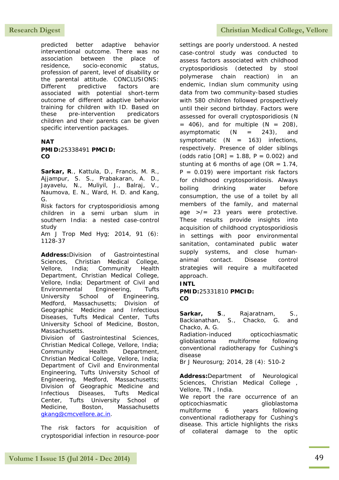predicted better adaptive behavior interventional outcome. There was no association between the place of residence, socio-economic status, profession of parent, level of disability or the parental attitude. CONCLUSIONS: Different predictive factors are associated with potential short-term outcome of different adaptive behavior training for children with ID. Based on these pre-intervention predicators children and their parents can be given specific intervention packages.

#### **NAT PMID:**25338491 **PMCID: CO**

**Sarkar, R**., Kattula, D., Francis, M. R., Ajjampur, S. S., Prabakaran, A. D., Jayavelu, N., Muliyil, J., Balraj, V., Naumova, E. N., Ward, H. D. and Kang, G.

Risk factors for cryptosporidiosis among children in a semi urban slum in southern India: a nested case-control study

Am J Trop Med Hyg; 2014, 91 (6): 1128-37

**Address:**Division of Gastrointestinal Sciences, Christian Medical College, Vellore, India; Community Health Department, Christian Medical College, Vellore, India; Department of Civil and Environmental Engineering, Tufts University School of Engineering, Medford, Massachusetts; Division of Geographic Medicine and Infectious Diseases, Tufts Medical Center, Tufts University School of Medicine, Boston, Massachusetts.

Division of Gastrointestinal Sciences, Christian Medical College, Vellore, India; Community Health Department, Christian Medical College, Vellore, India; Department of Civil and Environmental Engineering, Tufts University School of Engineering, Medford, Massachusetts; Division of Geographic Medicine and Infectious Diseases, Tufts Medical Center, Tufts University School of Medicine, Boston, Massachusetts [gkang@cmcvellore.ac.in.](mailto:gkang@cmcvellore.ac.in)

The risk factors for acquisition of cryptosporidial infection in resource-poor

## Research Digest **Christian Medical College, Vellore**

settings are poorly understood. A nested case-control study was conducted to assess factors associated with childhood cryptosporidiosis (detected by stool polymerase chain reaction) in an endemic, Indian slum community using data from two community-based studies with 580 children followed prospectively until their second birthday. Factors were assessed for overall cryptosporidiosis (N  $= 406$ , and for multiple  $(N = 208)$ , asymptomatic  $(N = 243)$ , and symptomatic  $(N = 163)$  infections, respectively. Presence of older siblings (odds ratio  $[OR] = 1.88$ ,  $P = 0.002$ ) and stunting at 6 months of age (OR =  $1.74$ ,  $P = 0.019$ ) were important risk factors for childhood cryptosporidiosis. Always boiling drinking water before consumption, the use of a toilet by all members of the family, and maternal age >/= 23 years were protective. These results provide insights into acquisition of childhood cryptosporidiosis in settings with poor environmental sanitation, contaminated public water supply systems, and close humananimal contact. Disease control strategies will require a multifaceted approach.

### **INTL**

**PMID:**25331810 **PMCID: CO**

**Sarkar, S**., Rajaratnam, S., Backianathan, S., Chacko, G. and Chacko, A. G. Radiation-induced opticochiasmatic

glioblastoma multiforme following conventional radiotherapy for Cushing's disease

Br J Neurosurg; 2014, 28 (4): 510-2

**Address:**Department of Neurological Sciences, Christian Medical College, Vellore, TN , India. We report the rare occurrence of an

opticochiasmatic qlioblastoma multiforme 6 years following conventional radiotherapy for Cushing's disease. This article highlights the risks of collateral damage to the optic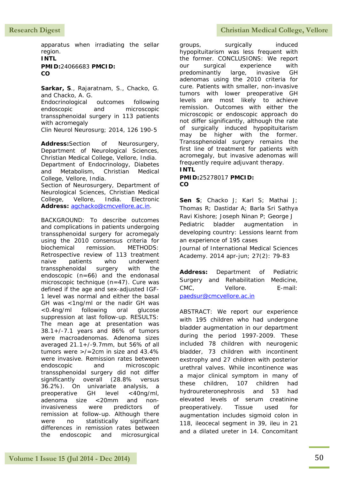apparatus when irradiating the sellar region.

## **INTL PMID:**24066683 **PMCID: CO**

**Sarkar, S**., Rajaratnam, S., Chacko, G. and Chacko, A. G.

Endocrinological outcomes following endoscopic and microscopic transsphenoidal surgery in 113 patients with acromegaly Clin Neurol Neurosurg; 2014, 126 190-5

**Address:**Section of Neurosurgery, Department of Neurological Sciences, Christian Medical College, Vellore, India. Department of Endocrinology, Diabetes and Metabolism, Christian Medical College, Vellore, India. Section of Neurosurgery, Department of Neurological Sciences, Christian Medical College, Vellore, India. Electronic **Address:** [agchacko@cmcvellore.ac.in.](mailto:agchacko@cmcvellore.ac.in)

BACKGROUND: To describe outcomes and complications in patients undergoing transsphenoidal surgery for acromegaly using the 2010 consensus criteria for biochemical remission. METHODS: Retrospective review of 113 treatment naive patients who underwent transsphenoidal surgery with the endoscopic (n=66) and the endonasal microscopic technique (n=47). Cure was defined if the age and sex-adjusted IGF-1 level was normal and either the basal GH was <1ng/ml or the nadir GH was <0.4ng/ml following oral glucose suppression at last follow-up. RESULTS: The mean age at presentation was 38.1+/-7.1 years and 86% of tumors were macroadenomas. Adenoma sizes averaged 21.1+/-9.7mm, but 56% of all tumors were >/=2cm in size and 43.4% were invasive. Remission rates between endoscopic and microscopic transsphenoidal surgery did not differ significantly overall (28.8% versus 36.2%). On univariate analysis, a preoperative GH level <40ng/ml, adenoma size <20mm and noninvasiveness were predictors of remission at follow-up. Although there were no statistically significant differences in remission rates between the endoscopic and microsurgical

## Research Digest **Christian Medical College, Vellore**

groups, surgically induced hypopituitarism was less frequent with the former. CONCLUSIONS: We report our surgical experience with predominantly large, invasive GH adenomas using the 2010 criteria for cure. Patients with smaller, non-invasive tumors with lower preoperative GH levels are most likely to achieve remission. Outcomes with either the microscopic or endoscopic approach do not differ significantly, although the rate of surgically induced hypopituitarism may be higher with the former. Transsphenoidal surgery remains the first line of treatment for patients with acromegaly, but invasive adenomas will frequently require adjuvant therapy. **INTL**

### **PMID:**25278017 **PMCID: CO**

**Sen S**; Chacko J; Karl S; Mathai J; Thomas R; Dastidar A; Barla Sri Sathya Ravi Kishore; Joseph Ninan P; George J Pediatric bladder augmentation in developing country: Lessions learnt from an experience of 195 cases Journal of International Medical Sciences Academy. 2014 apr-jun; 27(2): 79-83

**Address:** Department of Pediatric Surgery and Rehabilitation Medicine, CMC, Vellore. E-mail: [paedsur@cmcvellore.ac.in](mailto:paedsur@cmcvellore.ac.in)

ABSTRACT: We report our experience with 195 children who had undergone bladder augmentation in our department during the period 1997-2009. These included 78 children with neurogenic bladder, 73 children with incontinent exstrophy and 27 children with posterior urethral valves. While incontinence was a major clinical symptom in many of these children, 107 children had hydroureteronephrosis and 53 had elevated levels of serum creatinine preoperatively. Tissue used for augmentation includes sigmoid colon in 118, ileocecal segment in 39, ileu in 21 and a dilated ureter in 14. Concomitant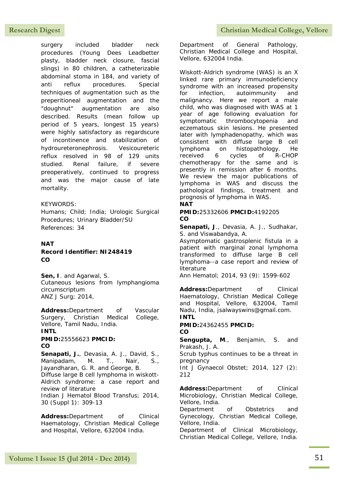surgery included bladder neck procedures (Young Dees Leadbetter plasty, bladder neck closure, fascial slings) in 80 children, a catheterizable abdominal stoma in 184, and variety of anti reflux procedures. Special techniques of augmentation such as the preperitioneal augmentation and the "doughnut" augmentation are also described. Results (mean follow up period of 5 years, longest 15 years) were highly satisfactory as regardscure of incontinence and stabilization of hydroureteronephrosis. Vesicoureteric reflux resolved in 98 of 129 units studied. Renal failure, if severe preoperatively, continued to progress and was the major cause of late mortality.

### KEYWORDS:

Humans; Child; India; Urologic Surgical Procedures; Urinary Bladder/SU References: 34

### **NAT**

#### **Record Identifier: NI248419 CO**

**Sen, I**. and Agarwal, S. Cutaneous lesions from lymphangioma circumscriptum ANZ J Surg; 2014,

**Address:**Department of Vascular Surgery, Christian Medical College, Vellore, Tamil Nadu, India. **INTL**

## **PMID:**25556623 **PMCID: CO**

**Senapati, J.**, Devasia, A. J., David, S., Manipadam, M. T., Nair, S., Jayandharan, G. R. and George, B. Diffuse large B cell lymphoma in wiskott-Aldrich syndrome: a case report and review of literature Indian J Hematol Blood Transfus; 2014, 30 (Suppl 1): 309-13

**Address:**Department of Clinical Haematology, Christian Medical College and Hospital, Vellore, 632004 India.

Department of General Pathology, Christian Medical College and Hospital, Vellore, 632004 India.

Wiskott-Aldrich syndrome (WAS) is an X linked rare primary immunodeficiency syndrome with an increased propensity for infection, autoimmunity and malignancy. Here we report a male child, who was diagnosed with WAS at 1 year of age following evaluation for symptomatic thrombocytopenia and eczematous skin lesions. He presented later with lymphadenopathy, which was consistent with diffuse large B cell lymphoma on histopathology. He received 6 cycles of R-CHOP chemotherapy for the same and is presently in remission after 6 months. We review the major publications of lymphoma in WAS and discuss the pathological findings, treatment and prognosis of lymphoma in WAS.

## **NAT**

**PMID:**25332606 **PMCID:**4192205 **CO**

**Senapati, J**., Devasia, A. J., Sudhakar, S. and Viswabandya, A.

Asymptomatic gastrosplenic fistula in a patient with marginal zonal lymphoma transformed to diffuse large B cell lymphoma--a case report and review of literature

Ann Hematol; 2014, 93 (9): 1599-602

Address:Department of Clinical Haematology, Christian Medical College and Hospital, Vellore, 632004, Tamil Nadu, India, jsalwayswins@gmail.com. **INTL**

#### **PMID:**24362455 **PMCID: CO**

**Sengupta, M**., Benjamin, S. and Prakash, J. A.

Scrub typhus continues to be a threat in pregnancy

Int J Gynaecol Obstet; 2014, 127 (2): 212

Address:Department of Clinical Microbiology, Christian Medical College, Vellore, India.

Department of Obstetrics and Gynecology, Christian Medical College, Vellore, India.

Department of Clinical Microbiology, Christian Medical College, Vellore, India.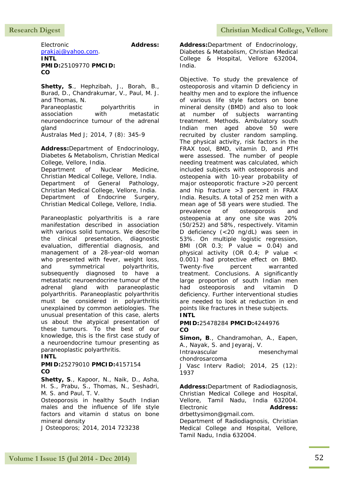Electronic **Address:**

[prakjaj@yahoo.com.](mailto:prakjaj@yahoo.com)

**INTL PMID:**25109770 **PMCID: CO**

**Shetty, S**., Hephzibah, J., Borah, B., Burad, D., Chandrakumar, V., Paul, M. J. and Thomas, N.

Paraneoplastic polyarthritis in association with metastatic neuroendocrince tumour of the adrenal gland

Australas Med J; 2014, 7 (8): 345-9

**Address:**Department of Endocrinology, Diabetes & Metabolism, Christian Medical College, Vellore, India.

Department of Nuclear Medicine, Christian Medical College, Vellore, India. Department of General Pathology, Christian Medical College, Vellore, India. Department of Endocrine Surgery, Christian Medical College, Vellore, India.

Paraneoplastic polyarthritis is a rare manifestation described in association with various solid tumours. We describe the clinical presentation, diagnostic evaluation, differential diagnosis, and management of a 28-year-old woman who presented with fever, weight loss, and symmetrical polyarthritis, subsequently diagnosed to have a metastatic neuroendocrine tumour of the adrenal gland with paraneoplastic polyarthritis. Paraneoplastic polyarthritis must be considered in polyarthritis unexplained by common aetiologies. The unusual presentation of this case, alerts us about the atypical presentation of these tumours. To the best of our knowledge, this is the first case study of a neuroendocrine tumour presenting as paraneoplastic polyarthritis.

## **INTL**

**PMID:**25279010 **PMCID:**4157154 **CO**

**Shetty, S**., Kapoor, N., Naik, D., Asha, H. S., Prabu, S., Thomas, N., Seshadri, M. S. and Paul, T. V.

Osteoporosis in healthy South Indian males and the influence of life style factors and vitamin d status on bone mineral density

J Osteoporos; 2014, 2014 723238

**Address:**Department of Endocrinology, Diabetes & Metabolism, Christian Medical College & Hospital, Vellore 632004, India.

Objective. To study the prevalence of osteoporosis and vitamin D deficiency in healthy men and to explore the influence of various life style factors on bone mineral density (BMD) and also to look at number of subjects warranting treatment. Methods. Ambulatory south Indian men aged above 50 were recruited by cluster random sampling. The physical activity, risk factors in the FRAX tool, BMD, vitamin D, and PTH were assessed. The number of people needing treatment was calculated, which included subjects with osteoporosis and osteopenia with 10-year probability of major osteoporotic fracture >20 percent and hip fracture >3 percent in FRAX India. Results. A total of 252 men with a mean age of 58 years were studied. The prevalence of osteoporosis and osteopenia at any one site was 20% (50/252) and 58%, respectively. Vitamin D deficiency (<20 ng/dL) was seen in 53%. On multiple logistic regression, BMI (OR  $0.3$ ; P value =  $0.04$ ) and physical activity (OR 0.4; P value < 0.001) had protective effect on BMD. Twenty-five percent warranted treatment. Conclusions. A significantly large proportion of south Indian men had osteoporosis and vitamin D deficiency. Further interventional studies are needed to look at reduction in end points like fractures in these subjects. **INTL**

**PMID:**25478284 **PMCID:**4244976 **CO**

**Simon, B**., Chandramohan, A., Eapen, A., Nayak, S. and Jeyaraj, V.

Intravascular mesenchymal chondrosarcoma

J Vasc Interv Radiol; 2014, 25 (12): 1937

**Address:**Department of Radiodiagnosis, Christian Medical College and Hospital, Vellore, Tamil Nadu, India 632004. Electronic **Address:** drbettysimon@gmail.com.

Department of Radiodiagnosis, Christian Medical College and Hospital, Vellore, Tamil Nadu, India 632004.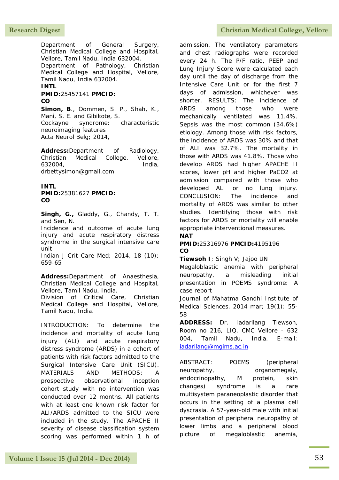Department of General Surgery, Christian Medical College and Hospital, Vellore, Tamil Nadu, India 632004. Department of Pathology, Christian Medical College and Hospital, Vellore, Tamil Nadu, India 632004. **INTL**

## **PMID:**25457141 **PMCID: CO**

**Simon, B**., Oommen, S. P., Shah, K., Mani, S. E. and Gibikote, S. Cockayne syndrome: characteristic neuroimaging features Acta Neurol Belg; 2014,

**Address:**Department of Radiology, Christian Medical College, Vellore, 632004, India, drbettysimon@gmail.com.

#### **INTL PMID:**25381627 **PMCID: CO**

**Singh, G.,** Gladdy, G., Chandy, T. T. and Sen, N.

Incidence and outcome of acute lung injury and acute respiratory distress syndrome in the surgical intensive care unit

Indian J Crit Care Med; 2014, 18 (10): 659-65

**Address:**Department of Anaesthesia, Christian Medical College and Hospital, Vellore, Tamil Nadu, India. Division of Critical Care, Christian Medical College and Hospital, Vellore, Tamil Nadu, India.

INTRODUCTION: To determine the incidence and mortality of acute lung injury (ALI) and acute respiratory distress syndrome (ARDS) in a cohort of patients with risk factors admitted to the Surgical Intensive Care Unit (SICU). MATERIALS AND METHODS: A prospective observational inception cohort study with no intervention was conducted over 12 months. All patients with at least one known risk factor for ALI/ARDS admitted to the SICU were included in the study. The APACHE II severity of disease classification system scoring was performed within 1 h of

## Research Digest **Christian Medical College, Vellore**

admission. The ventilatory parameters and chest radiographs were recorded every 24 h. The P/F ratio, PEEP and Lung Injury Score were calculated each day until the day of discharge from the Intensive Care Unit or for the first 7 days of admission, whichever was shorter. RESULTS: The incidence of ARDS among those who were mechanically ventilated was 11.4%. Sepsis was the most common (34.6%) etiology. Among those with risk factors, the incidence of ARDS was 30% and that of ALI was 32.7%. The mortality in those with ARDS was 41.8%. Those who develop ARDS had higher APACHE II scores, lower pH and higher PaCO2 at admission compared with those who developed ALI or no lung injury. CONCLUSION: The incidence and mortality of ARDS was similar to other studies. Identifying those with risk factors for ARDS or mortality will enable appropriate interventional measures.

## **NAT**

### **PMID:**25316976 **PMCID:**4195196 **CO**

**Tiewsoh I**; Singh V; Jajoo UN

Megaloblastic anemia with peripheral neuropathy, a misleading initial presentation in POEMS syndrome: A case report

Journal of Mahatma Gandhi Institute of Medical Sciences. 2014 mar; 19(1): 55- 58

**ADDRESS:** Dr. Iadarilang Tiewsoh, Room no 216, LIQ, CMC Vellore - 632 004, Tamil Nadu, India. E-mail: [iadarilang@mgims.ac.in](mailto:iadarilang@mgims.ac.in)

ABSTRACT: POEMS (peripheral neuropathy, organomegaly, endocrinopathy, M protein, skin changes) syndrome is a rare multisystem paraneoplastic disorder that occurs in the setting of a plasma cell dyscrasia. A 57-year-old male with initial presentation of peripheral neuropathy of lower limbs and a peripheral blood picture of megaloblastic anemia,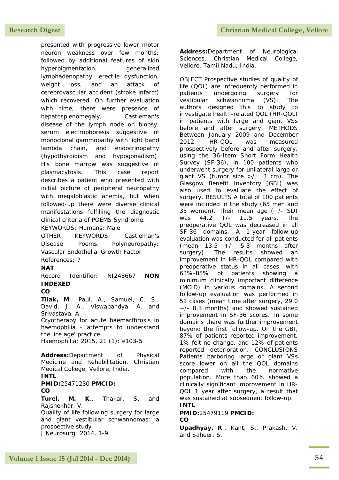presented with progressive lower motor neuron weakness over few months; followed by additional features of skin hyperpigmentation, and generalized lymphadenopathy, erectile dysfunction, weight loss, and an attack of cerebrovascular accident (stroke infarct) which recovered. On further evaluation with time, there were presence of hepatosplenomegaly, Castleman's disease of the lymph node on biopsy, serum electrophoresis suggestive of monoclonal gammopathy with light band lambda chain, and endocrinopathy (hypothyroidism and hypogonadism). His bone marrow was suggestive of plasmacytosis. This case report describes a patient who presented with initial picture of peripheral neuropathy with megaloblastic anemia, but when followed-up there were diverse clinical manifestations fulfilling the diagnostic clinical criteria of POEMS Syndrome. KEYWORDS: Humans; Male

OTHER KEYWORDS: Castleman's Disease; Poems; Polyneuropathy; Vascular Endothelial Growth Factor References: 7

**NAT**

Record Identifier: NI248667 **NON INDEXED**

## **CO**

**Tilak, M**., Paul, A., Samuel, C. S., David, J. A., Viswabandya, A. and Srivastava, A. Cryotherapy for acute haemarthrosis in haemophilia - attempts to understand the 'ice age' practice

Haemophilia; 2015, 21 (1): e103-5

**Address:**Department of Physical Medicine and Rehabilitation, Christian Medical College, Vellore, India. **INTL**

**PMID:**25471230 **PMCID: CO**

**Turel, M. K**., Thakar, S. and Rajshekhar, V.

Quality of life following surgery for large and giant vestibular schwannomas: a prospective study J Neurosurg; 2014, 1-9

**Address:**Department of Neurological Sciences, Christian Medical College, Vellore, Tamil Nadu, India.

OBJECT Prospective studies of quality of life (QOL) are infrequently performed in patients undergoing surgery for vestibular schwannoma (VS). The authors designed this to study to investigate health-related QOL (HR-QOL) in patients with large and giant VSs before and after surgery. METHODS Between January 2009 and December 2012, HR-QOL was measured prospectively before and after surgery, using the 36-Item Short Form Health Survey (SF-36), in 100 patients who underwent surgery for unilateral large or giant VS (tumor size  $\frac{1}{2}$  = 3 cm). The Glasgow Benefit Inventory (GBI) was also used to evaluate the effect of surgery. RESULTS A total of 100 patients were included in the study (65 men and 35 women). Their mean age (+/- SD) was 44.2 +/- 11.5 years. The preoperative QOL was decreased in all SF-36 domains. A 1-year follow-up evaluation was conducted for all patients (mean  $13.5 +/- 5.3$  months after surgery). The results showed an improvement in HR-QOL compared with preoperative status in all cases, with 63%-85% of patients showing a minimum clinically important difference (MCID) in various domains. A second follow-up evaluation was performed in 51 cases (mean time after surgery, 29.0 +/- 8.3 months) and showed sustained improvement in SF-36 scores. In some domains there was further improvement beyond the first follow-up. On the GBI, 87% of patients reported improvement, 1% felt no change, and 12% of patients reported deterioration. CONCLUSIONS Patients harboring large or giant VSs score lower on all the QOL domains compared with the normative population. More than 60% showed a clinically significant improvement in HR-QOL 1 year after surgery, a result that was sustained at subsequent follow-up.

## **INTL**

#### **PMID:**25479119 **PMCID: CO**

**Upadhyay, R**., Kant, S., Prakash, V. and Saheer, S.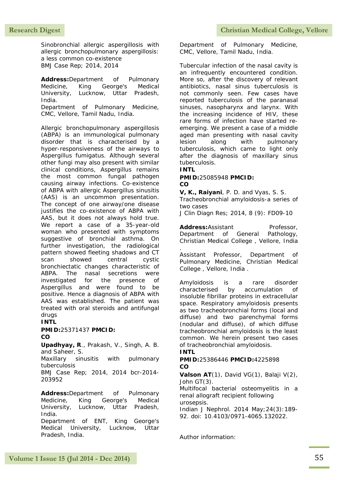Sinobronchial allergic aspergillosis with allergic bronchopulmonary aspergillosis: a less common co-existence BMJ Case Rep; 2014, 2014

**Address:**Department of Pulmonary Medicine, King George's Medical University, Lucknow, Uttar Pradesh, India.

Department of Pulmonary Medicine, CMC, Vellore, Tamil Nadu, India.

Allergic bronchopulmonary aspergillosis (ABPA) is an immunological pulmonary disorder that is characterised by a hyper-responsiveness of the airways to Aspergillus fumigatus. Although several other fungi may also present with similar clinical conditions, Aspergillus remains the most common fungal pathogen causing airway infections. Co-existence of ABPA with allergic Aspergillus sinusitis (AAS) is an uncommon presentation. The concept of one airway/one disease justifies the co-existence of ABPA with AAS, but it does not always hold true. We report a case of a 35-year-old woman who presented with symptoms suggestive of bronchial asthma. On further investigation, the radiological pattern showed fleeting shadows and CT scan showed central cystic bronchiectatic changes characteristic of ABPA. The nasal secretions were investigated for the presence of Aspergillus and were found to be positive. Hence a diagnosis of ABPA with AAS was established. The patient was treated with oral steroids and antifungal drugs

## **INTL**

#### **PMID:**25371437 **PMCID: CO**

**Upadhyay, R**., Prakash, V., Singh, A. B. and Saheer, S.

Maxillary sinusitis with pulmonary tuberculosis

BMJ Case Rep; 2014, 2014 bcr-2014- 203952

**Address:**Department of Pulmonary Medicine, King George's Medical University, Lucknow, Uttar Pradesh, India.

Department of ENT, King George's Medical University, Lucknow, Uttar Pradesh, India.

Department of Pulmonary Medicine, CMC, Vellore, Tamil Nadu, India.

Tubercular infection of the nasal cavity is an infrequently encountered condition. More so, after the discovery of relevant antibiotics, nasal sinus tuberculosis is not commonly seen. Few cases have reported tuberculosis of the paranasal sinuses, nasopharynx and larynx. With the increasing incidence of HIV, these rare forms of infection have started reemerging. We present a case of a middle aged man presenting with nasal cavity lesion along with pulmonary tuberculosis, which came to light only after the diagnosis of maxillary sinus tuberculosis.

#### **INTL**

#### **PMID:**25085948 **PMCID: CO**

**V, K., Raiyani**, P. D. and Vyas, S. S.

Tracheobronchial amyloidosis-a series of two cases

J Clin Diagn Res; 2014, 8 (9): FD09-10

Address:Assistant Professor, Department of General Pathology, Christian Medical College , Vellore, India

. Assistant Professor, Department of Pulmonary Medicine, Christian Medical College , Vellore, India .

Amyloidosis is a rare disorder characterised by accumulation of insoluble fibrillar proteins in extracellular space. Respiratory amyloidosis presents as two tracheobronchial forms (local and diffuse) and two parenchymal forms (nodular and diffuse), of which diffuse tracheobronchial amyloidosis is the least common. We herein present two cases of tracheobronchial amyloidosis.

### **INTL**

### **PMID:**25386446 **PMCID:**4225898 **CO**

**Valson AT**(1), David VG(1), Balaji V(2), John GT(3).

Multifocal bacterial osteomyelitis in a renal allograft recipient following urosepsis.

Indian J Nephrol. 2014 May;24(3):189- 92. doi: 10.4103/0971-4065.132022.

Author information: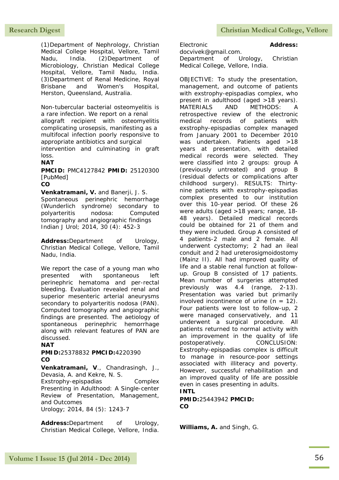(1)Department of Nephrology, Christian Medical College Hospital, Vellore, Tamil Nadu, India. (2)Department of Microbiology, Christian Medical College Hospital, Vellore, Tamil Nadu, India. (3)Department of Renal Medicine, Royal Brisbane and Women's Hospital, Herston, Queensland, Australia.

Non-tubercular bacterial osteomyelitis is a rare infection. We report on a renal allograft recipient with osteomyelitis complicating urosepsis, manifesting as a multifocal infection poorly responsive to appropriate antibiotics and surgical intervention and culminating in graft loss.

## **NAT**

**PMCID:** PMC4127842 **PMID:** 25120300 [PubMed]

**CO**

**Venkatramani, V.** and Banerji, J. S. Spontaneous perinephric hemorrhage (Wunderlich syndrome) secondary to polyarteritis nodosa: Computed tomography and angiographic findings Indian J Urol; 2014, 30 (4): 452-3

**Address:**Department of Urology, Christian Medical College, Vellore, Tamil Nadu, India.

We report the case of a young man who presented with spontaneous left perinephric hematoma and per-rectal bleeding. Evaluation revealed renal and superior mesenteric arterial aneurysms secondary to polyarteritis nodosa (PAN). Computed tomography and angiographic findings are presented. The aetiology of spontaneous perinephric hemorrhage along with relevant features of PAN are discussed.

#### **NAT**

**PMID:**25378832 **PMCID:**4220390 **CO**

**Venkatramani, V**., Chandrasingh, J., Devasia, A. and Kekre, N. S.

Exstrophy-epispadias Complex Presenting in Adulthood: A Single-center Review of Presentation, Management, and Outcomes Urology; 2014, 84 (5): 1243-7

**Address:**Department of Urology, Christian Medical College, Vellore, India.

Electronic **Address:**

docvivek@gmail.com. Department of Urology, Christian Medical College, Vellore, India.

OBJECTIVE: To study the presentation, management, and outcome of patients with exstrophy-epispadias complex, who present in adulthood (aged >18 years). MATERIALS AND METHODS: A retrospective review of the electronic medical records of patients with exstrophy-epispadias complex managed from January 2001 to December 2010 was undertaken. Patients aged >18 years at presentation, with detailed medical records were selected. They were classified into 2 groups: group A (previously untreated) and group B (residual defects or complications after childhood surgery). RESULTS: Thirtynine patients with exstrophy-epispadias complex presented to our institution over this 10-year period. Of these 26 were adults (aged >18 years; range, 18- 48 years). Detailed medical records could be obtained for 21 of them and they were included. Group A consisted of 4 patients-2 male and 2 female. All underwent cystectomy; 2 had an ileal conduit and 2 had ureterosigmoidostomy (Mainz II). All had improved quality of life and a stable renal function at followup. Group B consisted of 17 patients. Mean number of surgeries attempted previously was 4.4 (range, 2-13). Presentation was varied but primarily involved incontinence of urine  $(n = 12)$ . Four patients were lost to follow-up, 2 were managed conservatively, and 11 underwent a surgical procedure. All patients returned to normal activity with an improvement in the quality of life postoperatively. CONCLUSION: Exstrophy-epispadias complex is difficult to manage in resource-poor settings associated with illiteracy and poverty. However, successful rehabilitation and an improved quality of life are possible even in cases presenting in adults. **INTL** 

**PMID:**25443942 **PMCID: CO**

**Williams, A.** and Singh, G.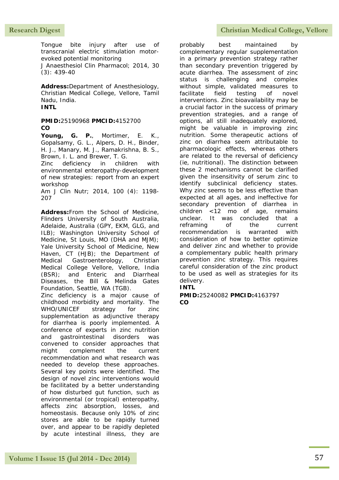Tongue bite injury after use of transcranial electric stimulation motorevoked potential monitoring

J Anaesthesiol Clin Pharmacol; 2014, 30 (3): 439-40

**Address:**Department of Anesthesiology, Christian Medical College, Vellore, Tamil Nadu, India. **INTL**

### **PMID:**25190968 **PMCID:**4152700 **CO**

**Young, G. P.**, Mortimer, E. K., Gopalsamy, G. L., Alpers, D. H., Binder, H. J., Manary, M. J., Ramakrishna, B. S., Brown, I. L. and Brewer, T. G.

Zinc deficiency in children with environmental enteropathy-development of new strategies: report from an expert workshop

Am J Clin Nutr; 2014, 100 (4): 1198- 207

**Address:**From the School of Medicine, Flinders University of South Australia, Adelaide, Australia (GPY, EKM, GLG, and ILB); Washington University School of Medicine, St Louis, MO (DHA and MJM); Yale University School of Medicine, New Haven, CT (HJB); the Department of Medical Gastroenterology, Christian Medical College Vellore, Vellore, India (BSR); and Enteric and Diarrheal Diseases, the Bill & Melinda Gates Foundation, Seattle, WA (TGB).

Zinc deficiency is a major cause of childhood morbidity and mortality. The WHO/UNICEF strategy for zinc supplementation as adjunctive therapy for diarrhea is poorly implemented. A conference of experts in zinc nutrition and gastrointestinal disorders was convened to consider approaches that might complement the current recommendation and what research was needed to develop these approaches. Several key points were identified. The design of novel zinc interventions would be facilitated by a better understanding of how disturbed gut function, such as environmental (or tropical) enteropathy, affects zinc absorption, losses, and homeostasis. Because only 10% of zinc stores are able to be rapidly turned over, and appear to be rapidly depleted by acute intestinal illness, they are

## Research Digest **Christian Medical College, Vellore**

probably best maintained by complementary regular supplementation in a primary prevention strategy rather than secondary prevention triggered by acute diarrhea. The assessment of zinc status is challenging and complex without simple, validated measures to facilitate field testing of novel interventions. Zinc bioavailability may be a crucial factor in the success of primary prevention strategies, and a range of options, all still inadequately explored, might be valuable in improving zinc nutrition. Some therapeutic actions of zinc on diarrhea seem attributable to pharmacologic effects, whereas others are related to the reversal of deficiency (ie, nutritional). The distinction between these 2 mechanisms cannot be clarified given the insensitivity of serum zinc to identify subclinical deficiency states. Why zinc seems to be less effective than expected at all ages, and ineffective for secondary prevention of diarrhea in children <12 mo of age, remains unclear. It was concluded that a reframing of the current recommendation is warranted with consideration of how to better optimize and deliver zinc and whether to provide a complementary public health primary prevention zinc strategy. This requires careful consideration of the zinc product to be used as well as strategies for its delivery.

# **INTL**

**PMID:**25240082 **PMCID:**4163797 **CO**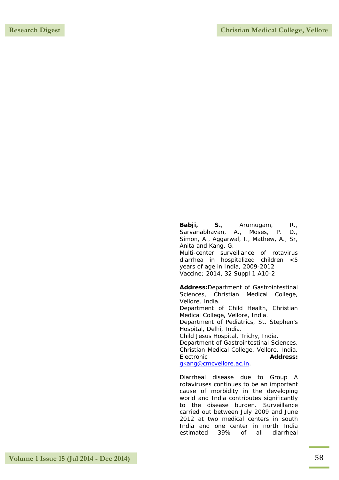**Babji, S.**, Arumugam, R., Sarvanabhavan, A., Moses, P. D., Simon, A., Aggarwal, I., Mathew, A., Sr, Anita and Kang, G. Multi-center surveillance of rotavirus diarrhea in hospitalized children <5 years of age in India, 2009-2012 Vaccine; 2014, 32 Suppl 1 A10-2

**Address:**Department of Gastrointestinal Sciences, Christian Medical College, Vellore, India. Department of Child Health, Christian Medical College, Vellore, India. Department of Pediatrics, St. Stephen's Hospital, Delhi, India. Child Jesus Hospital, Trichy, India. Department of Gastrointestinal Sciences, Christian Medical College, Vellore, India. Electronic **Address:**

[gkang@cmcvellore.ac.in.](mailto:gkang@cmcvellore.ac.in)

Diarrheal disease due to Group A rotaviruses continues to be an important cause of morbidity in the developing world and India contributes significantly to the disease burden. Surveillance carried out between July 2009 and June 2012 at two medical centers in south India and one center in north India estimated 39% of all diarrheal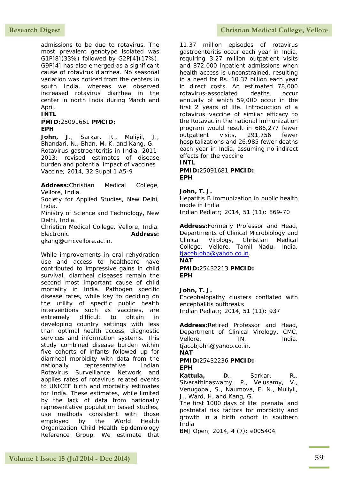admissions to be due to rotavirus. The most prevalent genotype isolated was G1P[8](33%) followed by G2P[4](17%). G9P[4] has also emerged as a significant cause of rotavirus diarrhea. No seasonal variation was noticed from the centers in south India, whereas we observed increased rotavirus diarrhea in the center in north India during March and April.

### **INTL**

#### **PMID:**25091661 **PMCID: EPH**

**John, J**., Sarkar, R., Muliyil, J., Bhandari, N., Bhan, M. K. and Kang, G. Rotavirus gastroenteritis in India, 2011- 2013: revised estimates of disease burden and potential impact of vaccines Vaccine; 2014, 32 Suppl 1 A5-9

**Address:**Christian Medical College, Vellore, India.

Society for Applied Studies, New Delhi, India.

Ministry of Science and Technology, New Delhi, India.

Christian Medical College, Vellore, India. Electronic **Address:** gkang@cmcvellore.ac.in.

While improvements in oral rehydration use and access to healthcare have contributed to impressive gains in child survival, diarrheal diseases remain the second most important cause of child mortality in India. Pathogen specific disease rates, while key to deciding on the utility of specific public health interventions such as vaccines, are extremely difficult to obtain in developing country settings with less than optimal health access, diagnostic services and information systems. This study combined disease burden within five cohorts of infants followed up for diarrheal morbidity with data from the nationally representative Indian Rotavirus Surveillance Network and applies rates of rotavirus related events to UNICEF birth and mortality estimates for India. These estimates, while limited by the lack of data from nationally representative population based studies, use methods consistent with those employed by the World Health Organization Child Health Epidemiology Reference Group. We estimate that

## Research Digest **Christian Medical College, Vellore**

11.37 million episodes of rotavirus gastroenteritis occur each year in India, requiring 3.27 million outpatient visits and 872,000 inpatient admissions when health access is unconstrained, resulting in a need for Rs. 10.37 billion each year in direct costs. An estimated 78,000 rotavirus-associated deaths occur annually of which 59,000 occur in the first 2 years of life. Introduction of a rotavirus vaccine of similar efficacy to the Rotavac in the national immunization program would result in 686,277 fewer outpatient visits, 291,756 fewer hospitalizations and 26,985 fewer deaths each year in India, assuming no indirect effects for the vaccine **INTL**

**PMID:**25091681 **PMCID: EPH**

## **John, T. J.**

Hepatitis B immunization in public health mode in India Indian Pediatr; 2014, 51 (11): 869-70

**Address:**Formerly Professor and Head, Departments of Clinical Microbiology and Clinical Virology, Christian Medical College, Vellore, Tamil Nadu, India. [tjacobjohn@yahoo.co.in.](mailto:tjacobjohn@yahoo.co.in) **NAT**

## **PMID:**25432213 **PMCID: EPH**

### **John, T. J.**

Encephalopathy clusters conflated with encephalitis outbreaks Indian Pediatr; 2014, 51 (11): 937

**Address:**Retired Professor and Head, Department of Clinical Virology, CMC, Vellore, TN, India. tjacobjohn@yahoo.co.in.

**NAT**

#### **PMID:**25432236 **PMCID: EPH**

**Kattula, D**., Sarkar, R., Sivarathinaswamy, P., Velusamy, V., Venugopal, S., Naumova, E. N., Muliyil, J., Ward, H. and Kang, G.

The first 1000 days of life: prenatal and postnatal risk factors for morbidity and growth in a birth cohort in southern India

BMJ Open; 2014, 4 (7): e005404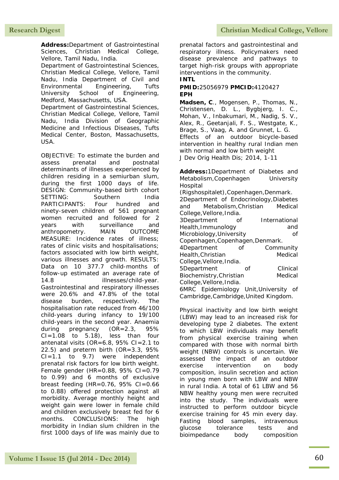**Address:**Department of Gastrointestinal Sciences, Christian Medical College, Vellore, Tamil Nadu, India. Department of Gastrointestinal Sciences, Christian Medical College, Vellore, Tamil Nadu, India Department of Civil and Environmental Engineering, Tufts University School of Engineering,

Medford, Massachusetts, USA. Department of Gastrointestinal Sciences, Christian Medical College, Vellore, Tamil Nadu, India Division of Geographic Medicine and Infectious Diseases, Tufts Medical Center, Boston, Massachusetts, USA.

OBJECTIVE: To estimate the burden and assess prenatal and postnatal determinants of illnesses experienced by children residing in a semiurban slum, during the first 1000 days of life. DESIGN: Community-based birth cohort SETTING: Southern India PARTICIPANTS: Four hundred and ninety-seven children of 561 pregnant women recruited and followed for 2 years with surveillance and anthropometry. MAIN OUTCOME MEASURE: Incidence rates of illness; rates of clinic visits and hospitalisations; factors associated with low birth weight, various illnesses and growth. RESULTS: Data on 10 377.7 child-months of follow-up estimated an average rate of 14.8 illnesses/child-year. Gastrointestinal and respiratory illnesses were 20.6% and 47.8% of the total disease burden, respectively. The hospitalisation rate reduced from 46/100 child-years during infancy to 19/100 child-years in the second year. Anaemia during pregnancy (OR=2.3, 95%  $CI = 1.08$  to  $5.18$ ), less than four antenatal visits (OR=6.8, 95% CI=2.1 to 22.5) and preterm birth (OR=3.3, 95% CI=1.1 to 9.7) were independent prenatal risk factors for low birth weight. Female gender (HR= $0.88$ , 95% CI= $0.79$ to 0.99) and 6 months of exclusive breast feeding (HR=0.76,  $95\%$  CI=0.66 to 0.88) offered protection against all morbidity. Average monthly height and weight gain were lower in female child and children exclusively breast fed for 6 months. CONCLUSIONS: The high morbidity in Indian slum children in the first 1000 days of life was mainly due to

prenatal factors and gastrointestinal and respiratory illness. Policymakers need disease prevalence and pathways to target high-risk groups with appropriate interventions in the community. **INTL**

### **PMID:**25056979 **PMCID:**4120427 **EPH**

**Madsen, C**., Mogensen, P., Thomas, N., Christensen, D. L., Bygbjerg, I. C., Mohan, V., Inbakumari, M., Nadig, S. V., Alex, R., Geetanjali, F. S., Westgate, K., Brage, S., Vaag, A. and Grunnet, L. G. Effects of an outdoor bicycle-based intervention in healthy rural Indian men with normal and low birth weight J Dev Orig Health Dis; 2014, 1-11

**Address:**1Department of Diabetes and Metabolism,Copenhagen University Hospital (Rigshospitalet),Copenhagen,Denmark. 2Department of Endocrinology,Diabetes and Metabolism,Christian Medical College,Vellore,India. 3Department of International Health,Immunology and Microbiology,University of Copenhagen,Copenhagen,Denmark. 4Department of Community Health, Christian Medical College,Vellore,India. 5Department of Clinical Biochemistry, Christian Medical College,Vellore,India. 6MRC Epidemiology Unit,University of Cambridge,Cambridge,United Kingdom.

Physical inactivity and low birth weight (LBW) may lead to an increased risk for developing type 2 diabetes. The extent to which LBW individuals may benefit from physical exercise training when compared with those with normal birth weight (NBW) controls is uncertain. We assessed the impact of an outdoor exercise intervention on body composition, insulin secretion and action in young men born with LBW and NBW in rural India. A total of 61 LBW and 56 NBW healthy young men were recruited into the study. The individuals were instructed to perform outdoor bicycle exercise training for 45 min every day. Fasting blood samples, intravenous glucose tolerance tests and bioimpedance body composition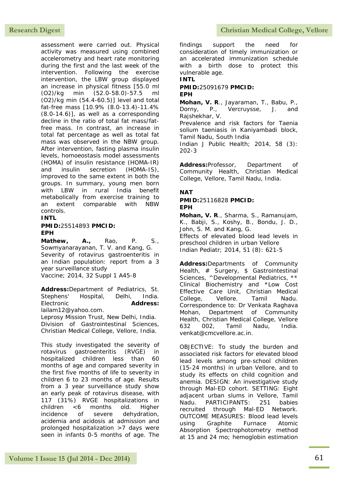**Research Digest Christian Medical College, Vellore** 

assessment were carried out. Physical activity was measured using combined accelerometry and heart rate monitoring during the first and the last week of the intervention. Following the exercise intervention, the LBW group displayed an increase in physical fitness [55.0 ml (O2)/kg min (52.0-58.0)-57.5 ml (O2)/kg min (54.4-60.5)] level and total fat-free mass [10.9% (8.0-13.4)-11.4% (8.0-14.6)], as well as a corresponding decline in the ratio of total fat mass/fatfree mass. In contrast, an increase in total fat percentage as well as total fat mass was observed in the NBW group. After intervention, fasting plasma insulin levels, homoeostasis model assessments (HOMA) of insulin resistance (HOMA-IR) and insulin secretion (HOMA-IS), improved to the same extent in both the groups. In summary, young men born with LBW in rural India benefit metabolically from exercise training to an extent comparable with NBW controls.

### **INTL**

### **PMID:**25514893 **PMCID: EPH**

**Mathew, A.,** Rao, P. S., Sowmyanarayanan, T. V. and Kang, G. Severity of rotavirus gastroenteritis in an Indian population: report from a 3 year surveillance study Vaccine; 2014, 32 Suppl 1 A45-8

**Address:**Department of Pediatrics, St. Stephens' Hospital, Delhi, India. Electronic **Address:** lailam12@yahoo.com.

Leprosy Mission Trust, New Delhi, India. Division of Gastrointestinal Sciences, Christian Medical College, Vellore, India.

This study investigated the severity of rotavirus gastroenteritis (RVGE) in hospitalized children less than 60 months of age and compared severity in the first five months of life to severity in children 6 to 23 months of age. Results from a 3 year surveillance study show an early peak of rotavirus disease, with 117 (31%) RVGE hospitalizations in children <6 months old. Higher incidence of severe dehydration, acidemia and acidosis at admission and prolonged hospitalization >7 days were seen in infants 0-5 months of age. The

findings support the need for consideration of timely immunization or an accelerated immunization schedule with a birth dose to protect this vulnerable age.

**INTL**

#### **PMID:**25091679 **PMCID: EPH**

**Mohan, V. R**., Jayaraman, T., Babu, P., Dorny, P., Vercruysse, J. and Rajshekhar, V.

Prevalence and risk factors for Taenia solium taeniasis in Kaniyambadi block, Tamil Nadu, South India

Indian J Public Health; 2014, 58 (3): 202-3

**Address:**Professor, Department of Community Health, Christian Medical College, Vellore, Tamil Nadu, India.

## **NAT**

**PMID:**25116828 **PMCID: EPH**

**Mohan, V. R**., Sharma, S., Ramanujam, K., Babji, S., Koshy, B., Bondu, J. D., John, S. M. and Kang, G. Effects of elevated blood lead levels in

preschool children in urban Vellore Indian Pediatr; 2014, 51 (8): 621-5

**Address:**Departments of Community Health, # Surgery, \$ Gastrointestinal Sciences, ^Developmental Pediatrics, \*\* Clinical Biochemistry and \*Low Cost Effective Care Unit, Christian Medical College, Vellore. Tamil Nadu. Correspondence to: Dr Venkata Raghava Mohan, Department of Community Health, Christian Medical College, Vellore 632 002, Tamil Nadu, India. venkat@cmcvellore.ac.in.

OBJECTIVE: To study the burden and associated risk factors for elevated blood lead levels among pre-school children (15-24 months) in urban Vellore, and to study its effects on child cognition and anemia. DESIGN: An investigative study through Mal-ED cohort. SETTING: Eight adjacent urban slums in Vellore, Tamil Nadu. PARTICIPANTS: 251 babies recruited through Mal-ED Network. OUTCOME MEASURES: Blood lead levels using Graphite Furnace Atomic Absorption Spectrophotometry method at 15 and 24 mo; hemoglobin estimation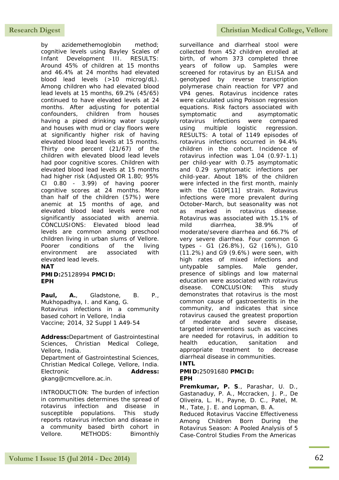by azidemethemoglobin method; cognitive levels using Bayley Scales of Infant Development III. RESULTS: Around 45% of children at 15 months and 46.4% at 24 months had elevated blood lead levels (>10 microg/dL). Among children who had elevated blood lead levels at 15 months, 69.2% (45/65) continued to have elevated levels at 24 months. After adjusting for potential confounders, children from houses having a piped drinking water supply and houses with mud or clay floors were at significantly higher risk of having elevated blood lead levels at 15 months. Thirty one percent (21/67) of the children with elevated blood lead levels had poor cognitive scores. Children with elevated blood lead levels at 15 months had higher risk (Adjusted OR 1.80; 95% CI 0.80 - 3.99) of having poorer cognitive scores at 24 months. More than half of the children (57%) were anemic at 15 months of age, and elevated blood lead levels were not significantly associated with anemia. CONCLUSIONS: Elevated blood lead levels are common among preschool children living in urban slums of Vellore. Poorer conditions of the living environment are associated with elevated lead levels.

#### **NAT**

#### **PMID:**25128994 **PMCID: EPH**

**Paul, A.**, Gladstone, B. P., Mukhopadhya, I. and Kang, G. Rotavirus infections in a community based cohort in Vellore, India Vaccine; 2014, 32 Suppl 1 A49-54

**Address:**Department of Gastrointestinal Sciences, Christian Medical College, Vellore, India. Department of Gastrointestinal Sciences, Christian Medical College, Vellore, India. Electronic **Address:**

gkang@cmcvellore.ac.in.

INTRODUCTION: The burden of infection in communities determines the spread of rotavirus infection and disease in susceptible populations. This study reports rotavirus infection and disease in a community based birth cohort in Vellore. METHODS: Bimonthly

## **Research Digest Christian Medical College, Vellore**

surveillance and diarrheal stool were collected from 452 children enrolled at birth, of whom 373 completed three years of follow up. Samples were screened for rotavirus by an ELISA and genotyped by reverse transcription polymerase chain reaction for VP7 and VP4 genes. Rotavirus incidence rates were calculated using Poisson regression equations. Risk factors associated with symptomatic and asymptomatic rotavirus infections were compared using multiple logistic regression. RESULTS: A total of 1149 episodes of rotavirus infections occurred in 94.4% children in the cohort. Incidence of rotavirus infection was 1.04 (0.97-1.1) per child-year with 0.75 asymptomatic and 0.29 symptomatic infections per child-year. About 18% of the children were infected in the first month, mainly with the G10P[11] strain. Rotavirus infections were more prevalent during October-March, but seasonality was not as marked in rotavirus disease. Rotavirus was associated with 15.1% of mild diarrhea, 38.9% of moderate/severe diarrhea and 66.7% of very severe diarrhea. Four common G types - G1 (26.8%), G2 (16%), G10 (11.2%) and G9 (9.6%) were seen, with high rates of mixed infections and untypable samples. Male gender, presence of siblings and low maternal education were associated with rotavirus disease. CONCLUSION: This study demonstrates that rotavirus is the most common cause of gastroenteritis in the community, and indicates that since rotavirus caused the greatest proportion of moderate and severe disease, targeted interventions such as vaccines are needed for rotavirus, in addition to health education, sanitation and appropriate treatment to decrease diarrheal disease in communities.

## **INTL**

#### **PMID:**25091680 **PMCID: EPH**

**Premkumar, P. S**., Parashar, U. D., Gastanaduy, P. A., Mccracken, J. P., De Oliveira, L. H., Payne, D. C., Patel, M. M., Tate, J. E. and Lopman, B. A.

Reduced Rotavirus Vaccine Effectiveness Among Children Born During the Rotavirus Season: A Pooled Analysis of 5 Case-Control Studies From the Americas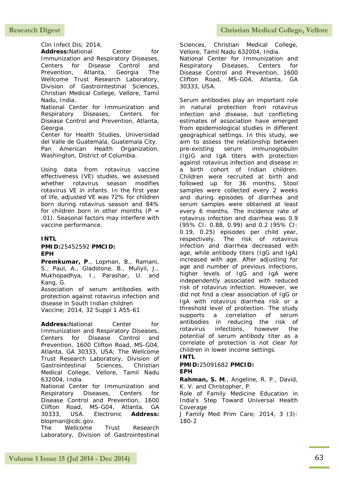Clin Infect Dis; 2014,

Address:National Center for Immunization and Respiratory Diseases, Centers for Disease Control and Prevention, Atlanta, Georgia The Wellcome Trust Research Laboratory, Division of Gastrointestinal Sciences, Christian Medical College, Vellore, Tamil Nadu, India.

National Center for Immunization and Respiratory Diseases, Centers for Disease Control and Prevention, Atlanta, Georgia.

Center for Health Studies, Universidad del Valle de Guatemala, Guatemala City. Pan American Health Organization, Washington, District of Columbia.

Using data from rotavirus vaccine effectiveness (VE) studies, we assessed whether rotavirus season modifies rotavirus VE in infants. In the first year of life, adjusted VE was 72% for children born during rotavirus season and 84% for children born in other months  $(P =$ .01). Seasonal factors may interfere with vaccine performance.

## **INTL**

#### **PMID:**25452592 **PMCID: EPH**

**Premkumar, P**., Lopman, B., Ramani, S., Paul, A., Gladstone, B., Muliyil, J., Mukhopadhya, I., Parashar, U. and Kang, G.

Association of serum antibodies with protection against rotavirus infection and disease in South Indian children Vaccine; 2014, 32 Suppl 1 A55-61

Address:National Center for Immunization and Respiratory Diseases, Centers for Disease Control and Prevention, 1600 Clifton Road, MS-G04, Atlanta, GA 30333, USA; The Wellcome Trust Research Laboratory, Division of Gastrointestinal Sciences, Christian Medical College, Vellore, Tamil Nadu 632004, India. National Center for Immunization and Respiratory Diseases, Centers for Disease Control and Prevention, 1600 Clifton Road, MS-G04, Atlanta, GA 30333, USA. Electronic **Address:**

blopman@cdc.gov. The Wellcome Trust Research Laboratory, Division of Gastrointestinal Sciences, Christian Medical College, Vellore, Tamil Nadu 632004, India. National Center for Immunization and Respiratory Diseases, Centers for

Disease Control and Prevention, 1600 Clifton Road, MS-G04, Atlanta, GA 30333, USA.

Serum antibodies play an important role in natural protection from rotavirus infection and disease, but conflicting estimates of association have emerged from epidemiological studies in different geographical settings. In this study, we aim to assess the relationship between pre-existing serum immunoglobulin (Ig)G and IgA titers with protection against rotavirus infection and disease in a birth cohort of Indian children. Children were recruited at birth and followed up for 36 months. Stool samples were collected every 2 weeks and during episodes of diarrhea and serum samples were obtained at least every 6 months. The incidence rate of rotavirus infection and diarrhea was 0.9 (95% CI: 0.88, 0.99) and 0.2 (95% CI: 0.19, 0.25) episodes per child year, respectively. The risk of rotavirus infection and diarrhea decreased with age, while antibody titers (IgG and IgA) increased with age. After adjusting for age and number of previous infections, higher levels of IgG and IgA were independently associated with reduced risk of rotavirus infection. However, we did not find a clear association of IgG or IgA with rotavirus diarrhea risk or a threshold level of protection. The study supports a correlation of serum antibodies in reducing the risk of rotavirus infections, however the potential of serum antibody titer as a correlate of protection is not clear for children in lower income settings.

### **INTL**

#### **PMID:**25091682 **PMCID: EPH**

**Rahman, S. M**., Angeline, R. P., David, K. V. and Christopher, P.

Role of Family Medicine Education in India's Step Toward Universal Health Coverage

J Family Med Prim Care; 2014, 3 (3): 180-2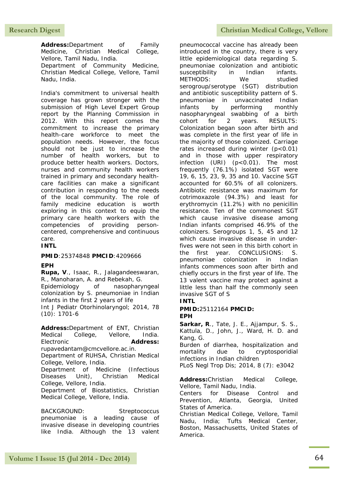Address:Department of Family Medicine, Christian Medical College, Vellore, Tamil Nadu, India. Department of Community Medicine, Christian Medical College, Vellore, Tamil Nadu, India.

India's commitment to universal health coverage has grown stronger with the submission of High Level Expert Group report by the Planning Commission in 2012. With this report comes the commitment to increase the primary health-care workforce to meet the population needs. However, the focus should not be just to increase the number of health workers, but to produce better health workers. Doctors, nurses and community health workers trained in primary and secondary healthcare facilities can make a significant contribution in responding to the needs of the local community. The role of family medicine education is worth exploring in this context to equip the primary care health workers with the competencies of providing personcentered, comprehensive and continuous care.

**INTL**

#### **PMID**:25374848 **PMCID**:4209666

#### **EPH**

**Rupa, V**., Isaac, R., Jalagandeeswaran, R., Manoharan, A. and Rebekah, G. Epidemiology of nasopharyngeal colonization by S. pneumoniae in Indian infants in the first 2 years of life Int J Pediatr Otorhinolaryngol; 2014, 78 (10): 1701-6

**Address:**Department of ENT, Christian Medical College, Vellore, India. Electronic **Address:** rupavedantam@cmcvellore.ac.in. Department of RUHSA, Christian Medical College, Vellore, India. Department of Medicine (Infectious Diseases Unit), Christian Medical College, Vellore, India. Department of Biostatistics, Christian Medical College, Vellore, India.

BACKGROUND: Streptococcus pneumoniae is a leading cause of invasive disease in developing countries like India. Although the 13 valent

pneumococcal vaccine has already been introduced in the country, there is very little epidemiological data regarding S. pneumoniae colonization and antibiotic susceptibility in Indian infants. METHODS: We studied serogroup/serotype (SGT) distribution and antibiotic susceptibility pattern of S. pneumoniae in unvaccinated Indian infants by performing monthly nasopharyngeal swabbing of a birth cohort for 2 years. RESULTS: Colonization began soon after birth and was complete in the first year of life in the majority of those colonized. Carriage rates increased during winter (p<0.01) and in those with upper respiratory infection (URI) (p<0.01). The most frequently (76.1%) isolated SGT were 19, 6, 15, 23, 9, 35 and 10. Vaccine SGT accounted for 60.5% of all colonizers. Antibiotic resistance was maximum for cotrimoxazole (94.3%) and least for erythromycin (11.2%) with no penicillin resistance. Ten of the commonest SGT which cause invasive disease among Indian infants comprised 46.9% of the colonizers. Serogroups 1, 5, 45 and 12 which cause invasive disease in underfives were not seen in this birth cohort in the first year. CONCLUSIONS: S. pneumoniae colonization in Indian infants commences soon after birth and chiefly occurs in the first year of life. The 13 valent vaccine may protect against a little less than half the commonly seen invasive SGT of S **INTL**

**PMID:**25112164 **PMCID: EPH**

**Sarkar, R**., Tate, J. E., Ajjampur, S. S., Kattula, D., John, J., Ward, H. D. and Kang, G.

Burden of diarrhea, hospitalization and mortality due to cryptosporidial infections in Indian children

PLoS Negl Trop Dis; 2014, 8 (7): e3042

**Address:**Christian Medical College, Vellore, Tamil Nadu, India.

Centers for Disease Control and Prevention, Atlanta, Georgia, United States of America.

Christian Medical College, Vellore, Tamil Nadu, India; Tufts Medical Center, Boston, Massachusetts, United States of America.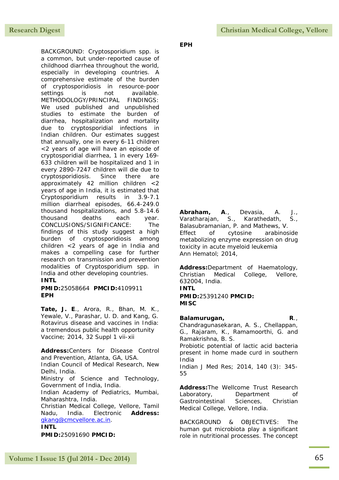BACKGROUND: Cryptosporidium spp. is a common, but under-reported cause of childhood diarrhea throughout the world, especially in developing countries. A comprehensive estimate of the burden of cryptosporidiosis in resource-poor settings is not available. METHODOLOGY/PRINCIPAL FINDINGS: We used published and unpublished studies to estimate the burden of diarrhea, hospitalization and mortality due to cryptosporidial infections in Indian children. Our estimates suggest that annually, one in every 6-11 children <2 years of age will have an episode of cryptosporidial diarrhea, 1 in every 169- 633 children will be hospitalized and 1 in every 2890-7247 children will die due to cryptosporidiosis. Since there are approximately 42 million children <2 years of age in India, it is estimated that Cryptosporidium results in 3.9-7.1 million diarrheal episodes, 66.4-249.0 thousand hospitalizations, and 5.8-14.6 thousand deaths each year. CONCLUSIONS/SIGNIFICANCE: The findings of this study suggest a high burden of cryptosporidiosis among children <2 years of age in India and makes a compelling case for further research on transmission and prevention modalities of Cryptosporidium spp. in India and other developing countries.

## **INTL**

**PMID:**25058664 **PMCID:**4109911 **EPH**

**Tate, J. E**., Arora, R., Bhan, M. K., Yewale, V., Parashar, U. D. and Kang, G. Rotavirus disease and vaccines in India: a tremendous public health opportunity Vaccine; 2014, 32 Suppl 1 vii-xii

**Address:**Centers for Disease Control and Prevention, Atlanta, GA, USA. Indian Council of Medical Research, New Delhi, India. Ministry of Science and Technology, Government of India, India. Indian Academy of Pediatrics, Mumbai, Maharashtra, India. Christian Medical College, Vellore, Tamil Nadu, India. Electronic **Address:** [gkang@cmcvellore.ac.in.](mailto:gkang@cmcvellore.ac.in)

**INTL**

**PMID:**25091690 **PMCID:**

**EPH**

**Abraham, A**., Devasia, A. J., Varatharajan, S., Karathedath, S., Balasubramanian, P. and Mathews, V. Effect of cytosine arabinoside metabolizing enzyme expression on drug toxicity in acute myeloid leukemia Ann Hematol; 2014,

**Address:**Department of Haematology, Christian Medical College, Vellore, 632004, India. **INTL**

**PMID:**25391240 **PMCID: MISC**

#### **Balamurugan, R**., Chandragunasekaran, A. S., Chellappan,

G., Rajaram, K., Ramamoorthi, G. and Ramakrishna, B. S. Probiotic potential of lactic acid bacteria present in home made curd in southern India

Indian J Med Res; 2014, 140 (3): 345- 55

**Address:**The Wellcome Trust Research Laboratory, Department of Gastrointestinal Sciences, Christian Medical College, Vellore, India.

BACKGROUND & OBJECTIVES: The human gut microbiota play a significant role in nutritional processes. The concept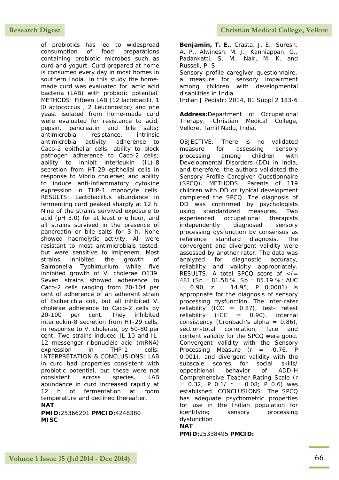of probiotics has led to widespread consumption of food preparations containing probiotic microbes such as curd and yogurt. Curd prepared at home is consumed every day in most homes in southern India. In this study the homemade curd was evaluated for lactic acid bacteria (LAB) with probiotic potential. METHODS: Fifteen LAB (12 lactobacilli, 1 l0 actococcus , 2 Leuconostoc) and one yeast isolated from home-made curd were evaluated for resistance to acid, pepsin, pancreatin and bile salts; antimicrobial resistance; intrinsic antimicrobial activity; adherence to Caco-2 epithelial cells; ability to block pathogen adherence to Caco-2 cells; ability to inhibit interleukin (IL)-8 secretion from HT-29 epithelial cells in response to Vibrio cholerae; and ability to induce anti-inflammatory cytokine expression in THP-1 monocyte cells. RESULTS: Lactobacillus abundance in fermenting curd peaked sharply at 12 h. Nine of the strains survived exposure to acid (pH 3.0) for at least one hour, and all strains survived in the presence of pancreatin or bile salts for 3 h. None showed haemolytic activity. All were resistant to most antimicrobials tested, but were sensitive to imipenem. Most strains inhibited the growth of Salmonella Typhimurium while five inhibited growth of V. cholerae O139. Seven strains showed adherence to Caco-2 cells ranging from 20-104 per cent of adherence of an adherent strain of Escherichia coli, but all inhibited V. cholerae adherence to Caco-2 cells by 20-100 per cent. They inhibited interleukin-8 secretion from HT-29 cells, in response to V. cholerae, by 50-80 per cent. Two strains induced IL-10 and IL-12 messenger ribonucleic acid (mRNA) expression in THP-1 cells. INTERPRETATION & CONCLUSIONS: LAB in curd had properties consistent with probiotic potential, but these were not consistent across species. LAB abundance in curd increased rapidly at 12 h of fermentation at room temperature and declined thereafter.

**NAT**

**PMID:**25366201 **PMCID:**4248380 **MISC**

**Benjamin, T. E.**, Crasta, J. E., Suresh, A. P., Alwinesh, M. J., Kanniappan, G., Padankatti, S. M., Nair, M. K. and Russell, P. S.

Sensory profile caregiver questionnaire: a measure for sensory impairment among children with developmental disabilities in India Indian J Pediatr; 2014, 81 Suppl 2 183-6

**Address:**Department of Occupational Therapy, Christian Medical College, Vellore, Tamil Nadu, India.

OBJECTIVE: There is no validated measure for assessing sensory processing among children with Developmental Disorders (DD) in India, and therefore, the authors validated the Sensory Profile Caregiver Questionnaire (SPCQ). METHODS: Parents of 119 children with DD or typical development completed the SPCQ. The diagnosis of DD was confirmed by psychologists using standardized measures. Two experienced occupational therapists independently diagnosed sensory processing dysfunction by consensus as reference standard diagnosis. The convergent and divergent validity were assessed by another rater. The data was analyzed for diagnostic accuracy, reliability and validity appropriately. RESULTS: A total SPCQ score of  $\lt$ /= 481 (Sn = 81.58 %, Sp = 85.19 %; AUC  $= 0.90$ ,  $z = 14.95$ ; P 0.0001) is appropriate for the diagnosis of sensory processing dysfunction. The inter-rater reliability (ICC =  $0.87$ ), test- retest reliability  $(ICC = 0.90)$ , internal consistency (Cronbach's alpha =  $0.86$ ), section-total correlation, face and content validity for the SPCQ were good. Convergent validity with the Sensory Processing Measure  $(r = -0.76, P)$ 0.001), and divergent validity with the subscale scores for social skills/ oppositional behavior of ADD-H Comprehensive Teacher Rating Scale (r  $= 0.32$ ; P 0.1/ r = 0.08; P 0.6) was established. CONCLUSIONS: The SPCQ has adequate psychometric properties for use in the Indian population for identifying sensory processing dysfunction

### **NAT**

**PMID:**25338495 **PMCID:**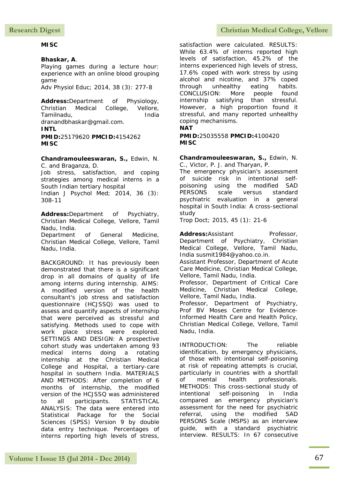## **MISC**

## **Bhaskar, A**.

Playing games during a lecture hour: experience with an online blood grouping game

Adv Physiol Educ; 2014, 38 (3): 277-8

**Address:**Department of Physiology, Christian Medical College, Vellore, Tamilnadu, India dranandbhaskar@gmail.com.

## **INTL**

**PMID:**25179620 **PMCID:**4154262 **MISC**

**Chandramouleeswaran, S.,** Edwin, N. C. and Braganza, D.

Job stress, satisfaction, and coping strategies among medical interns in a South Indian tertiary hospital

Indian J Psychol Med; 2014, 36 (3): 308-11

**Address:**Department of Psychiatry, Christian Medical College, Vellore, Tamil Nadu, India.

Department of General Medicine, Christian Medical College, Vellore, Tamil Nadu, India.

BACKGROUND: It has previously been demonstrated that there is a significant drop in all domains of quality of life among interns during internship. AIMS: A modified version of the health consultant's job stress and satisfaction questionnaire (HCJSSQ) was used to assess and quantify aspects of internship that were perceived as stressful and satisfying. Methods used to cope with work place stress were explored. SETTINGS AND DESIGN: A prospective cohort study was undertaken among 93 medical interns doing a rotating internship at the Christian Medical College and Hospital, a tertiary-care hospital in southern India. MATERIALS AND METHODS: After completion of 6 months of internship, the modified version of the HCJSSQ was administered to all participants. STATISTICAL ANALYSIS: The data were entered into Statistical Package for the Social Sciences (SPSS) Version 9 by double data entry technique. Percentages of interns reporting high levels of stress,

satisfaction were calculated. RESULTS: While 63.4% of interns reported high levels of satisfaction, 45.2% of the interns experienced high levels of stress, 17.6% coped with work stress by using alcohol and nicotine, and 37% coped through unhealthy eating habits. CONCLUSION: More people found internship satisfying than stressful. However, a high proportion found it stressful, and many reported unhealthy coping mechanisms.

## **NAT**

**PMID:**25035558 **PMCID:**4100420 **MISC**

**Chandramouleeswaran, S.,** Edwin, N. C., Victor, P. J. and Tharyan, P.

The emergency physician's assessment of suicide risk in intentional selfpoisoning using the modified SAD PERSONS scale versus standard psychiatric evaluation in a general hospital in South India: A cross-sectional study

Trop Doct; 2015, 45 (1): 21-6

Address:Assistant Professor, Department of Psychiatry, Christian Medical College, Vellore, Tamil Nadu, India susmit1984@yahoo.co.in.

Assistant Professor, Department of Acute Care Medicine, Christian Medical College, Vellore, Tamil Nadu, India.

Professor, Department of Critical Care Medicine, Christian Medical College, Vellore, Tamil Nadu, India.

Professor, Department of Psychiatry, Prof BV Moses Centre for Evidence-Informed Health Care and Health Policy, Christian Medical College, Vellore, Tamil Nadu, India.

INTRODUCTION: The reliable identification, by emergency physicians, of those with intentional self-poisoning at risk of repeating attempts is crucial, particularly in countries with a shortfall of mental health professionals. METHODS: This cross-sectional study of intentional self-poisoning in India compared an emergency physician's assessment for the need for psychiatric referral, using the modified SAD PERSONS Scale (MSPS) as an interview guide, with a standard psychiatric interview. RESULTS: In 67 consecutive

# Research Digest **Christian Medical College, Vellore**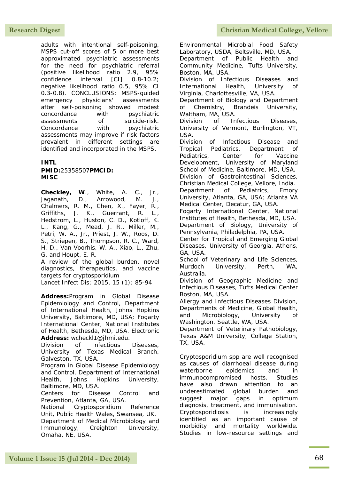adults with intentional self-poisoning, MSPS cut-off scores of 5 or more best approximated psychiatric assessments for the need for psychiatric referral (positive likelihood ratio 2.9, 95% confidence interval [CI] 0.8-10.2; negative likelihood ratio 0.5, 95% CI 0.3-0.8). CONCLUSIONS: MSPS-guided emergency physicians' assessments after self-poisoning showed modest concordance with psychiatric assessments of suicide-risk. Concordance with psychiatric assessments may improve if risk factors prevalent in different settings are identified and incorporated in the MSPS.

### **INTL**

**PMID:**25358507**PMCID: MISC**

**Checkley, W**., White, A. C., Jr., Jaganath, D., Arrowood, M. J., Chalmers, R. M., Chen, X., Fayer, R., Griffiths, J. K., Guerrant, R. L., Hedstrom, L., Huston, C. D., Kotloff, K. L., Kang, G., Mead, J. R., Miller, M., Petri, W. A., Jr., Priest, J. W., Roos, D. S., Striepen, B., Thompson, R. C., Ward, H. D., Van Voorhis, W. A., Xiao, L., Zhu, G. and Houpt, E. R.

A review of the global burden, novel diagnostics, therapeutics, and vaccine targets for cryptosporidium

Lancet Infect Dis; 2015, 15 (1): 85-94

**Address:**Program in Global Disease Epidemiology and Control, Department of International Health, Johns Hopkins University, Baltimore, MD, USA; Fogarty International Center, National Institutes of Health, Bethesda, MD, USA. Electronic **Address:** wcheckl1@jhmi.edu.

Division of Infectious Diseases, University of Texas Medical Branch, Galveston, TX, USA.

Program in Global Disease Epidemiology and Control, Department of International Health, Johns Hopkins University, Baltimore, MD, USA.

Centers for Disease Control and Prevention, Atlanta, GA, USA.

National Cryptosporidium Reference Unit, Public Health Wales, Swansea, UK. Department of Medical Microbiology and Immunology, Creighton University, Omaha, NE, USA.

Research Digest **Christian Medical College, Vellore** 

Environmental Microbial Food Safety Laboratory, USDA, Beltsville, MD, USA. Department of Public Health and Community Medicine, Tufts University, Boston, MA, USA. Division of Infectious Diseases and International Health, University of Virginia, Charlottesville, VA, USA. Department of Biology and Department of Chemistry, Brandeis University, Waltham, MA, USA. Division of Infectious Diseases, University of Vermont, Burlington, VT, USA. Division of Infectious Disease and Tropical Pediatrics, Department of Pediatrics, Center for Vaccine Development, University of Maryland School of Medicine, Baltimore, MD, USA. Division of Gastrointestinal Sciences, Christian Medical College, Vellore, India. Department of Pediatrics, Emory University, Atlanta, GA, USA; Atlanta VA Medical Center, Decatur, GA, USA. Fogarty International Center, National Institutes of Health, Bethesda, MD, USA. Department of Biology, University of Pennsylvania, Philadelphia, PA, USA. Center for Tropical and Emerging Global Diseases, University of Georgia, Athens, GA, USA. School of Veterinary and Life Sciences, Murdoch University, Perth, WA, Australia. Division of Geographic Medicine and Infectious Diseases, Tufts Medical Center Boston, MA, USA. Allergy and Infectious Diseases Division, Departments of Medicine, Global Health, and Microbiology, University of Washington, Seattle, WA, USA. Department of Veterinary Pathobiology, Texas A&M University, College Station, TX, USA. Cryptosporidium spp are well recognised as causes of diarrhoeal disease during waterborne epidemics and in immunocompromised hosts. Studies have also drawn attention to an underestimated global burden and

suggest major gaps in optimum diagnosis, treatment, and immunisation. Cryptosporidiosis is increasingly identified as an important cause of morbidity and mortality worldwide. Studies in low-resource settings and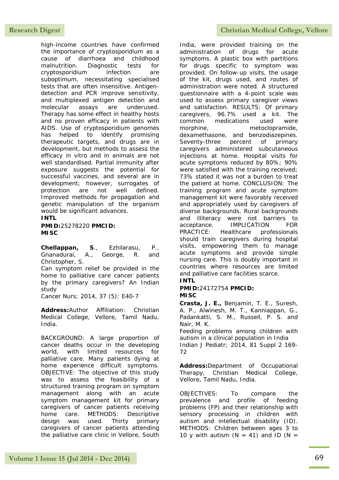high-income countries have confirmed the importance of cryptosporidium as a cause of diarrhoea and childhood malnutrition. Diagnostic tests for cryptosporidium infection are suboptimum, necessitating specialised tests that are often insensitive. Antigendetection and PCR improve sensitivity, and multiplexed antigen detection and molecular assays are underused. Therapy has some effect in healthy hosts and no proven efficacy in patients with AIDS. Use of cryptosporidium genomes has helped to identify promising therapeutic targets, and drugs are in development, but methods to assess the efficacy in vitro and in animals are not well standardised. Partial immunity after exposure suggests the potential for successful vaccines, and several are in development; however, surrogates of protection are not well defined. Improved methods for propagation and genetic manipulation of the organism would be significant advances.

### **INTL**

**PMID:**25278220 **PMCID: MISC**

**Chellappan, S**., Ezhilarasu, P., Gnanadurai, A., George, R. and Christopher, S.

Can symptom relief be provided in the home to palliative care cancer patients by the primary caregivers? An Indian study

Cancer Nurs; 2014, 37 (5): E40-7

**Address:**Author Affiliation: Christian Medical College, Vellore, Tamil Nadu, India.

BACKGROUND: A large proportion of cancer deaths occur in the developing world, with limited resources for palliative care. Many patients dying at home experience difficult symptoms. OBJECTIVE: The objective of this study was to assess the feasibility of a structured training program on symptom management along with an acute symptom management kit for primary caregivers of cancer patients receiving home care. METHODS: Descriptive design was used. Thirty primary caregivers of cancer patients attending the palliative care clinic in Vellore, South

India, were provided training on the administration of drugs for acute symptoms. A plastic box with partitions for drugs specific to symptom was provided. On follow-up visits, the usage of the kit, drugs used, and routes of administration were noted. A structured questionnaire with a 4-point scale was used to assess primary caregiver views and satisfaction. RESULTS: Of primary caregivers, 96.7% used a kit. The common medications used were morphine, metoclopramide, dexamethasone, and benzodiazepines. Seventy-three percent of primary caregivers administered subcutaneous injections at home. Hospital visits for acute symptoms reduced by 80%; 90% were satisfied with the training received; 73% stated it was not a burden to treat the patient at home. CONCLUSION: The training program and acute symptom management kit were favorably received and appropriately used by caregivers of diverse backgrounds. Rural backgrounds and illiteracy were not barriers to acceptance. IMPLICATION FOR PRACTICE: Healthcare professionals should train caregivers during hospital visits, empowering them to manage acute symptoms and provide simple nursing care. This is doubly important in countries where resources are limited and palliative care facilities scarce.

# **INTL**

#### **PMID:**24172754 **PMCID: MISC**

**Crasta, J. E.,** Benjamin, T. E., Suresh, A. P., Alwinesh, M. T., Kanniappan, G., Padankatti, S. M., Russell, P. S. and Nair, M. K.

Feeding problems among children with autism in a clinical population in India Indian J Pediatr; 2014, 81 Suppl 2 169- 72

**Address:**Department of Occupational Therapy, Christian Medical College, Vellore, Tamil Nadu, India.

OBJECTIVES: To compare the prevalence and profile of feeding problems (FP) and their relationship with sensory processing in children with autism and intellectual disability (ID). METHODS: Children between ages 3 to 10 y with autism ( $N = 41$ ) and ID ( $N =$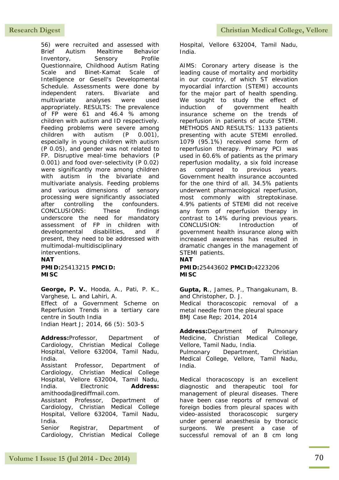56) were recruited and assessed with Brief Autism Mealtime Behavior Inventory, Sensory Profile Questionnaire, Childhood Autism Rating Scale and Binet-Kamat Scale of Intelligence or Gesell's Developmental Schedule. Assessments were done by independent raters. Bivariate and multivariate analyses were used appropriately. RESULTS: The prevalence of FP were 61 and 46.4 % among children with autism and ID respectively. Feeding problems were severe among children with autism (P 0.001), especially in young children with autism (P 0.05), and gender was not related to FP. Disruptive meal-time behaviors (P 0.001) and food over-selectivity (P 0.02) were significantly more among children with autism in the bivariate and multivariate analysis. Feeding problems and various dimensions of sensory processing were significantly associated after controlling the confounders. CONCLUSIONS: These findings underscore the need for mandatory assessment of FP in children with developmental disabilities, and if present, they need to be addressed with multimodal-multidisciplinary

interventions. **NAT**

**PMID:**25413215 **PMCID: MISC**

**George, P. V.**, Hooda, A., Pati, P. K., Varghese, L. and Lahiri, A. Effect of a Government Scheme on Reperfusion Trends in a tertiary care centre in South India Indian Heart J; 2014, 66 (5): 503-5

**Address:**Professor, Department of Cardiology, Christian Medical College Hospital, Vellore 632004, Tamil Nadu,

India. Assistant Professor, Department of Cardiology, Christian Medical College Hospital, Vellore 632004, Tamil Nadu, India. Electronic **Address:** amithooda@rediffmail.com.

Assistant Professor, Department of Cardiology, Christian Medical College Hospital, Vellore 632004, Tamil Nadu, India.

Senior Registrar, Department of Cardiology, Christian Medical College

Hospital, Vellore 632004, Tamil Nadu, India.

AIMS: Coronary artery disease is the leading cause of mortality and morbidity in our country, of which ST elevation myocardial infarction (STEMI) accounts for the major part of health spending. We sought to study the effect of induction of government health insurance scheme on the trends of reperfusion in patients of acute STEMI. METHODS AND RESULTS: 1133 patients presenting with acute STEMI enrolled. 1079 (95.1%) received some form of reperfusion therapy. Primary PCI was used in 60.6% of patients as the primary reperfusion modality, a six fold increase as compared to previous years. Government health insurance accounted for the one third of all. 34.5% patients underwent pharmacological reperfusion, most commonly with streptokinase. 4.9% patients of STEMI did not receive any form of reperfusion therapy in contrast to 14% during previous years. CONCLUSION: Introduction of government health insurance along with increased awareness has resulted in dramatic changes in the management of STEMI patients.

# **NAT**

**PMID:**25443602 **PMCID:**4223206 **MISC**

**Gupta, R**., James, P., Thangakunam, B. and Christopher, D. J. Medical thoracoscopic removal of a metal needle from the pleural space BMJ Case Rep; 2014, 2014

**Address:**Department of Pulmonary Medicine, Christian Medical College, Vellore, Tamil Nadu, India. Pulmonary Department, Christian Medical College, Vellore, Tamil Nadu, India.

Medical thoracoscopy is an excellent diagnostic and therapeutic tool for management of pleural diseases. There have been case reports of removal of foreign bodies from pleural spaces with video-assisted thoracoscopic surgery under general anaesthesia by thoracic surgeons. We present a case of successful removal of an 8 cm long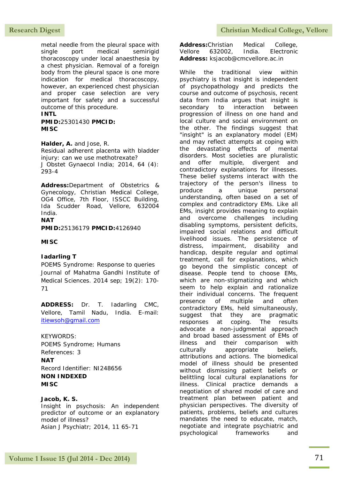# **Research Digest Christian Medical College, Vellore**

metal needle from the pleural space with single port medical semirigid thoracoscopy under local anaesthesia by a chest physician. Removal of a foreign body from the pleural space is one more indication for medical thoracoscopy, however, an experienced chest physician and proper case selection are very important for safety and a successful outcome of this procedure.

### **INTL**

**PMID:**25301430 **PMCID: MISC**

**Halder, A.** and Jose, R. Residual adherent placenta with bladder injury: can we use methotrexate? J Obstet Gynaecol India; 2014, 64 (4): 293-4

**Address:**Department of Obstetrics & Gynecology, Christian Medical College, OG4 Office, 7th Floor, ISSCC Building, Ida Scudder Road, Vellore, 632004 India. **NAT**

**PMID:**25136179 **PMCID:**4126940

### **MISC**

### **Iadarling T**

POEMS Syndrome: Response to queries Journal of Mahatma Gandhi Institute of Medical Sciences. 2014 sep; 19(2): 170- 71

**ADDRESS:** Dr. T. Iadarling CMC, Vellore, Tamil Nadu, India. E-mail: [itiewsoh@gmail.com](mailto:itiewsoh@gmail.com)

KEYWORDS: POEMS Syndrome; Humans References: 3 **NAT** Record Identifier: NI248656 **NON INDEXED MISC**

### **Jacob, K. S.**

Insight in psychosis: An independent predictor of outcome or an explanatory model of illness? Asian J Psychiatr; 2014, 11 65-71

**Address:**Christian Medical College, Vellore 632002, India. Electronic **Address:** ksjacob@cmcvellore.ac.in

While the traditional view within psychiatry is that insight is independent of psychopathology and predicts the course and outcome of psychosis, recent data from India argues that insight is secondary to interaction between progression of illness on one hand and local culture and social environment on the other. The findings suggest that "insight" is an explanatory model (EM) and may reflect attempts at coping with the devastating effects of mental disorders. Most societies are pluralistic and offer multiple, divergent and contradictory explanations for illnesses. These belief systems interact with the trajectory of the person's illness to produce a unique personal understanding, often based on a set of complex and contradictory EMs. Like all EMs, insight provides meaning to explain and overcome challenges including disabling symptoms, persistent deficits, impaired social relations and difficult livelihood issues. The persistence of distress, impairment, disability and handicap, despite regular and optimal treatment, call for explanations, which go beyond the simplistic concept of disease. People tend to choose EMs, which are non-stigmatizing and which seem to help explain and rationalize their individual concerns. The frequent presence of multiple and often contradictory EMs, held simultaneously, suggest that they are pragmatic responses at coping. The results advocate a non-judgmental approach and broad based assessment of EMs of illness and their comparison with culturally appropriate beliefs, attributions and actions. The biomedical model of illness should be presented without dismissing patient beliefs or belittling local cultural explanations for illness. Clinical practice demands a negotiation of shared model of care and treatment plan between patient and physician perspectives. The diversity of patients, problems, beliefs and cultures mandates the need to educate, match, negotiate and integrate psychiatric and psychological frameworks and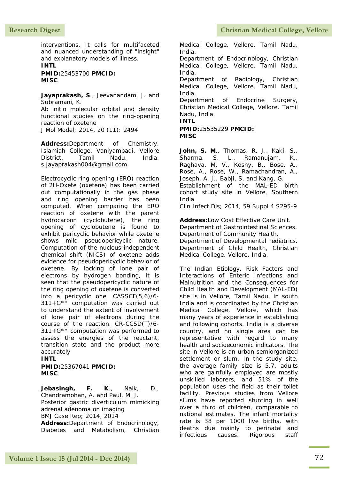interventions. It calls for multifaceted and nuanced understanding of "insight" and explanatory models of illness. **INTL**

**PMID:**25453700 **PMCID: MISC**

**Jayaprakash, S**., Jeevanandam, J. and Subramani, K. Ab initio molecular orbital and density functional studies on the ring-opening reaction of oxetene

J Mol Model; 2014, 20 (11): 2494

**Address:**Department of Chemistry, Islamiah College, Vaniyambadi, Vellore District, Tamil Nadu, India, [s.jayaprakash004@gmail.com.](mailto:s.jayaprakash004@gmail.com)

Electrocyclic ring opening (ERO) reaction of 2H-Oxete (oxetene) has been carried out computationally in the gas phase and ring opening barrier has been computed. When comparing the ERO reaction of oxetene with the parent hydrocarbon (cyclobutene), the ring opening of cyclobutene is found to exhibit pericyclic behavior while oxetene shows mild pseudopericyclic nature. Computation of the nucleus-independent chemical shift (NICS) of oxetene adds evidence for pseudopericyclic behavior of oxetene. By locking of lone pair of electrons by hydrogen bonding, it is seen that the pseudopericyclic nature of the ring opening of oxetene is converted into a pericyclic one. CASSCF(5,6)/6- 311+G\*\* computation was carried out to understand the extent of involvement of lone pair of electrons during the course of the reaction. CR-CCSD(T)/6-  $311+G$ <sup>\*\*</sup> computation was performed to assess the energies of the reactant, transition state and the product more accurately

### **INTL**

**PMID:**25367041 **PMCID: MISC**

**Jebasingh, F. K**., Naik, D., Chandramohan, A. and Paul, M. J. Posterior gastric diverticulum mimicking adrenal adenoma on imaging BMJ Case Rep; 2014, 2014 **Address:**Department of Endocrinology,

Diabetes and Metabolism, Christian

Research Digest **Christian Medical College, Vellore** 

Medical College, Vellore, Tamil Nadu, India.

Department of Endocrinology, Christian Medical College, Vellore, Tamil Nadu, India.

Department of Radiology, Christian Medical College, Vellore, Tamil Nadu, India.

Department of Endocrine Surgery, Christian Medical College, Vellore, Tamil Nadu, India. **INTL**

# **PMID:**25535229 **PMCID: MISC**

**John, S. M**., Thomas, R. J., Kaki, S., Sharma, S. L., Ramanujam, K., Raghava, M. V., Koshy, B., Bose, A., Rose, A., Rose, W., Ramachandran, A., Joseph, A. J., Babji, S. and Kang, G. Establishment of the MAL-ED birth cohort study site in Vellore, Southern India

Clin Infect Dis; 2014, 59 Suppl 4 S295-9

**Address:**Low Cost Effective Care Unit. Department of Gastrointestinal Sciences. Department of Community Health. Department of Developmental Pediatrics. Department of Child Health, Christian Medical College, Vellore, India.

The Indian Etiology, Risk Factors and Interactions of Enteric Infections and Malnutrition and the Consequences for Child Health and Development (MAL-ED) site is in Vellore, Tamil Nadu, in south India and is coordinated by the Christian Medical College, Vellore, which has many years of experience in establishing and following cohorts. India is a diverse country, and no single area can be representative with regard to many health and socioeconomic indicators. The site in Vellore is an urban semiorganized settlement or slum. In the study site, the average family size is 5.7, adults who are gainfully employed are mostly unskilled laborers, and 51% of the population uses the field as their toilet facility. Previous studies from Vellore slums have reported stunting in well over a third of children, comparable to national estimates. The infant mortality rate is 38 per 1000 live births, with deaths due mainly to perinatal and infectious causes. Rigorous staff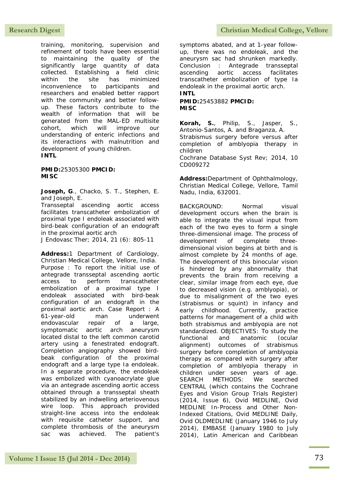training, monitoring, supervision and refinement of tools have been essential to maintaining the quality of the significantly large quantity of data collected. Establishing a field clinic within the site has minimized inconvenience to participants and researchers and enabled better rapport with the community and better followup. These factors contribute to the wealth of information that will be generated from the MAL-ED multisite cohort, which will improve our understanding of enteric infections and its interactions with malnutrition and development of young children. **INTL** 

**PMID:**25305300 **PMCID: MISC**

**Joseph, G**., Chacko, S. T., Stephen, E. and Joseph, E.

Transseptal ascending aortic access facilitates transcatheter embolization of proximal type I endoleak associated with bird-beak configuration of an endograft in the proximal aortic arch

J Endovasc Ther; 2014, 21 (6): 805-11

**Address:**1 Department of Cardiology, Christian Medical College, Vellore, India. Purpose : To report the initial use of antegrade transseptal ascending aortic access to perform transcatheter embolization of a proximal type I endoleak associated with bird-beak configuration of an endograft in the proximal aortic arch. Case Report : A 61-year-old man underwent endovascular repair of a large, symptomatic aortic arch aneurysm located distal to the left common carotid artery using a fenestrated endograft. Completion angiography showed birdbeak configuration of the proximal endograft and a large type Ia endoleak. In a separate procedure, the endoleak was embolized with cyanoacrylate glue via an antegrade ascending aortic access obtained through a transseptal sheath stabilized by an indwelling arteriovenous wire loop. This approach provided straight-line access into the endoleak with requisite catheter support, and complete thrombosis of the aneurysm sac was achieved. The patient's

# **Research Digest Christian Medical College, Vellore**

symptoms abated, and at 1-year followup, there was no endoleak, and the aneurysm sac had shrunken markedly. Conclusion : Antegrade transseptal ascending aortic access facilitates transcatheter embolization of type Ia endoleak in the proximal aortic arch. **INTL**

**PMID:**25453882 **PMCID: MISC**

**Korah, S.**, Philip, S., Jasper, S., Antonio-Santos, A. and Braganza, A. Strabismus surgery before versus after completion of amblyopia therapy in children Cochrane Database Syst Rev; 2014, 10 CD009272

**Address:**Department of Ophthalmology, Christian Medical College, Vellore, Tamil Nadu, India, 632001.

BACKGROUND: Normal visual development occurs when the brain is able to integrate the visual input from each of the two eyes to form a single three-dimensional image. The process of development of complete threedimensional vision begins at birth and is almost complete by 24 months of age. The development of this binocular vision is hindered by any abnormality that prevents the brain from receiving a clear, similar image from each eye, due to decreased vision (e.g. amblyopia), or due to misalignment of the two eyes (strabismus or squint) in infancy and early childhood. Currently, practice patterns for management of a child with both strabismus and amblyopia are not standardized. OBJECTIVES: To study the functional and anatomic (ocular alignment) outcomes of strabismus surgery before completion of amblyopia therapy as compared with surgery after completion of amblyopia therapy in children under seven years of age. SEARCH METHODS: We searched CENTRAL (which contains the Cochrane Eyes and Vision Group Trials Register) (2014, Issue 6), Ovid MEDLINE, Ovid MEDLINE In-Process and Other Non-Indexed Citations, Ovid MEDLINE Daily, Ovid OLDMEDLINE (January 1946 to July 2014), EMBASE (January 1980 to July 2014), Latin American and Caribbean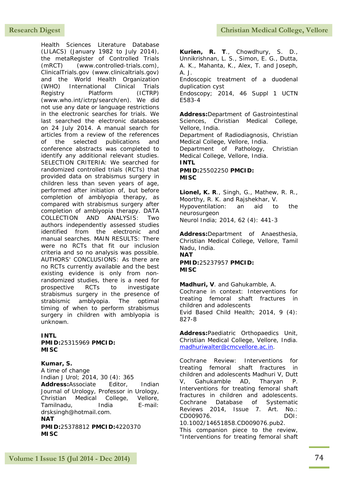Health Sciences Literature Database (LILACS) (January 1982 to July 2014), the metaRegister of Controlled Trials (mRCT) (www.controlled-trials.com), ClinicalTrials.gov (www.clinicaltrials.gov) and the World Health Organization (WHO) International Clinical Trials Registry Platform (ICTRP) (www.who.int/ictrp/search/en). We did not use any date or language restrictions in the electronic searches for trials. We last searched the electronic databases on 24 July 2014. A manual search for articles from a review of the references of the selected publications and conference abstracts was completed to identify any additional relevant studies. SELECTION CRITERIA: We searched for randomized controlled trials (RCTs) that provided data on strabismus surgery in children less than seven years of age, performed after initiation of, but before completion of amblyopia therapy, as compared with strabismus surgery after completion of amblyopia therapy. DATA COLLECTION AND ANALYSIS: Two authors independently assessed studies identified from the electronic and manual searches. MAIN RESULTS: There were no RCTs that fit our inclusion criteria and so no analysis was possible. AUTHORS' CONCLUSIONS: As there are no RCTs currently available and the best existing evidence is only from nonrandomized studies, there is a need for prospective RCTs to investigate strabismus surgery in the presence of strabismic amblyopia. The optimal timing of when to perform strabismus surgery in children with amblyopia is unknown.

**INTL** 

**MISC**

**PMID:**25315969 **PMCID: MISC**

## **Kumar, S.**

A time of change Indian J Urol; 2014, 30 (4): 365 **Address:**Associate Editor, Indian Journal of Urology, Professor in Urology, Christian Medical College, Vellore, Tamilnadu, India E-mail: drsksingh@hotmail.com. **NAT PMID:**25378812 **PMCID:**4220370

**Kurien, R. T**., Chowdhury, S. D., Unnikrishnan, L. S., Simon, E. G., Dutta, A. K., Mahanta, K., Alex, T. and Joseph, A. J.

Endoscopic treatment of a duodenal duplication cyst

Endoscopy; 2014, 46 Suppl 1 UCTN E583-4

**Address:**Department of Gastrointestinal Sciences, Christian Medical College, Vellore, India. Department of Radiodiagnosis, Christian

Medical College, Vellore, India.

Department of Pathology, Christian Medical College, Vellore, India. **INTL**

**PMID:**25502250 **PMCID: MISC**

**Lionel, K. R**., Singh, G., Mathew, R. R., Moorthy, R. K. and Rajshekhar, V. Hypoventilation: an aid to the neurosurgeon Neurol India; 2014, 62 (4): 441-3

**Address:**Department of Anaesthesia, Christian Medical College, Vellore, Tamil Nadu, India. **NAT**

**PMID:**25237957 **PMCID: MISC**

**Madhuri, V**. and Gahukamble, A. Cochrane in context: Interventions for treating femoral shaft fractures in children and adolescents Evid Based Child Health; 2014, 9 (4): 827-8

**Address:**Paediatric Orthopaedics Unit, Christian Medical College, Vellore, India. [madhuriwalter@cmcvellore.ac.in.](mailto:madhuriwalter@cmcvellore.ac.in)

Cochrane Review: Interventions for treating femoral shaft fractures in children and adolescents Madhuri V, Dutt V, Gahukamble AD, Tharyan P. Interventions for treating femoral shaft fractures in children and adolescents. Cochrane Database of Systematic Reviews 2014, Issue 7. Art. No.: CD009076. DOI: 10.1002/14651858.CD009076.pub2.

This companion piece to the review, "Interventions for treating femoral shaft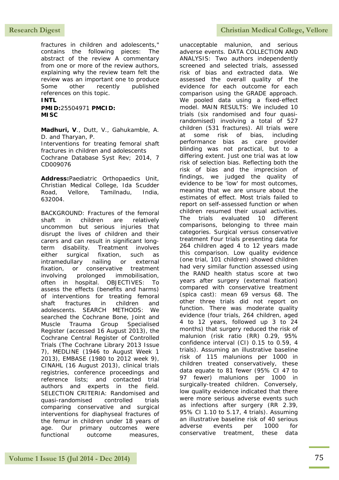fractures in children and adolescents," contains the following pieces: The abstract of the review A commentary from one or more of the review authors, explaining why the review team felt the review was an important one to produce Some other recently published references on this topic. **INTL**

**PMID:**25504971 **PMCID: MISC**

**Madhuri, V**., Dutt, V., Gahukamble, A. D. and Tharyan, P. Interventions for treating femoral shaft fractures in children and adolescents Cochrane Database Syst Rev; 2014, 7 CD009076

**Address:**Paediatric Orthopaedics Unit, Christian Medical College, Ida Scudder Road, Vellore, Tamilnadu, India, 632004.

BACKGROUND: Fractures of the femoral shaft in children are relatively uncommon but serious injuries that disrupt the lives of children and their carers and can result in significant longterm disability. Treatment involves either surgical fixation, such as intramedullary nailing or external fixation, or conservative treatment involving prolonged immobilisation, often in hospital. OBJECTIVES: To assess the effects (benefits and harms) of interventions for treating femoral shaft fractures in children and adolescents. SEARCH METHODS: We searched the Cochrane Bone, Joint and Muscle Trauma Group Specialised Register (accessed 16 August 2013), the Cochrane Central Register of Controlled Trials (The Cochrane Library 2013 Issue 7), MEDLINE (1946 to August Week 1 2013), EMBASE (1980 to 2012 week 9), CINAHL (16 August 2013), clinical trials registries, conference proceedings and reference lists; and contacted trial authors and experts in the field. SELECTION CRITERIA: Randomised and quasi-randomised controlled trials comparing conservative and surgical interventions for diaphyseal fractures of the femur in children under 18 years of age. Our primary outcomes were functional outcome measures,

unacceptable malunion, and serious adverse events. DATA COLLECTION AND ANALYSIS: Two authors independently screened and selected trials, assessed risk of bias and extracted data. We assessed the overall quality of the evidence for each outcome for each comparison using the GRADE approach. We pooled data using a fixed-effect model. MAIN RESULTS: We included 10 trials (six randomised and four quasirandomised) involving a total of 527 children (531 fractures). All trials were at some risk of bias, including performance bias as care provider blinding was not practical, but to a differing extent. Just one trial was at low risk of selection bias. Reflecting both the risk of bias and the imprecision of findings, we judged the quality of evidence to be 'low' for most outcomes, meaning that we are unsure about the estimates of effect. Most trials failed to report on self-assessed function or when children resumed their usual activities. The trials evaluated 10 different comparisons, belonging to three main categories. Surgical versus conservative treatment Four trials presenting data for 264 children aged 4 to 12 years made this comparison. Low quality evidence (one trial, 101 children) showed children had very similar function assessed using the RAND health status score at two years after surgery (external fixation) compared with conservative treatment (spica cast): mean 69 versus 68. The other three trials did not report on function. There was moderate quality evidence (four trials, 264 children, aged 4 to 12 years, followed up 3 to 24 months) that surgery reduced the risk of malunion (risk ratio (RR) 0.29, 95% confidence interval (CI) 0.15 to 0.59, 4 trials). Assuming an illustrative baseline risk of 115 malunions per 1000 in children treated conservatively, these data equate to 81 fewer (95% CI 47 to 97 fewer) malunions per 1000 in surgically-treated children. Conversely, low quality evidence indicated that there were more serious adverse events such as infections after surgery (RR 2.39, 95% CI 1.10 to 5.17, 4 trials). Assuming an illustrative baseline risk of 40 serious adverse events per 1000 for conservative treatment, these data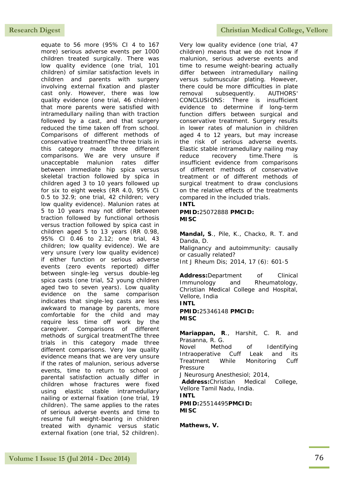equate to 56 more (95% CI 4 to 167 more) serious adverse events per 1000 children treated surgically. There was low quality evidence (one trial, 101 children) of similar satisfaction levels in children and parents with surgery involving external fixation and plaster cast only. However, there was low quality evidence (one trial, 46 children) that more parents were satisfied with intramedullary nailing than with traction followed by a cast, and that surgery reduced the time taken off from school. Comparisons of different methods of conservative treatmentThe three trials in this category made three different comparisons. We are very unsure if unacceptable malunion rates differ between immediate hip spica versus skeletal traction followed by spica in children aged 3 to 10 years followed up for six to eight weeks (RR 4.0, 95% CI 0.5 to 32.9; one trial, 42 children; very low quality evidence). Malunion rates at 5 to 10 years may not differ between traction followed by functional orthosis versus traction followed by spica cast in children aged 5 to 13 years (RR 0.98, 95% CI 0.46 to 2.12; one trial, 43 children; low quality evidence). We are very unsure (very low quality evidence) if either function or serious adverse events (zero events reported) differ between single-leg versus double-leg spica casts (one trial, 52 young children aged two to seven years). Low quality evidence on the same comparison indicates that single-leg casts are less awkward to manage by parents, more comfortable for the child and may require less time off work by the caregiver. Comparisons of different methods of surgical treatmentThe three trials in this category made three different comparisons. Very low quality evidence means that we are very unsure if the rates of malunion, serious adverse events, time to return to school or parental satisfaction actually differ in children whose fractures were fixed using elastic stable intramedullary nailing or external fixation (one trial, 19 children). The same applies to the rates of serious adverse events and time to resume full weight-bearing in children treated with dynamic versus static external fixation (one trial, 52 children).

### Research Digest **Christian Medical College, Vellore**

Very low quality evidence (one trial, 47 children) means that we do not know if malunion, serious adverse events and time to resume weight-bearing actually differ between intramedullary nailing versus submuscular plating. However, there could be more difficulties in plate removal subsequently. AUTHORS' CONCLUSIONS: There is insufficient evidence to determine if long-term function differs between surgical and conservative treatment. Surgery results in lower rates of malunion in children aged 4 to 12 years, but may increase the risk of serious adverse events. Elastic stable intramedullary nailing may reduce recovery time.There is insufficient evidence from comparisons of different methods of conservative treatment or of different methods of surgical treatment to draw conclusions on the relative effects of the treatments compared in the included trials.

## **INTL**

**PMID:**25072888 **PMCID: MISC**

**Mandal, S**., Pile, K., Chacko, R. T. and Danda, D. Malignancy and autoimmunity: causally or casually related?

Int J Rheum Dis; 2014, 17 (6): 601-5

**Address:**Department of Clinical Immunology and Rheumatology, Christian Medical College and Hospital, Vellore, India

**INTL PMID:**25346148 **PMCID: MISC**

**Mariappan, R**., Harshit, C. R. and Prasanna, R. G.

Novel Method of Identifying Intraoperative Cuff Leak and its Treatment While Monitoring Cuff Pressure

J Neurosurg Anesthesiol; 2014,

**Address:**Christian Medical College, Vellore Tamil Nadu, India.

**INTL**

**PMID:**25514495**PMCID: MISC**

**Mathews, V.**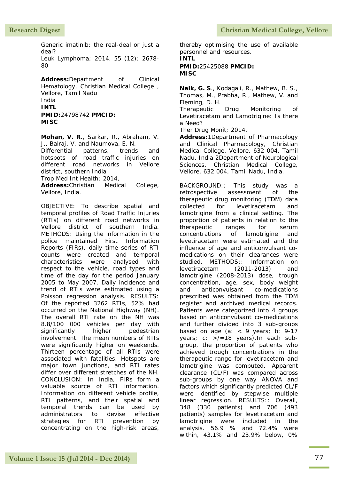**Research Digest Christian Medical College, Vellore** 

Generic imatinib: the real-deal or just a deal? Leuk Lymphoma; 2014, 55 (12): 2678-

80

**Address:**Department of Clinical Hematology, Christian Medical College , Vellore, Tamil Nadu India

# **INTL**

**PMID:**24798742 **PMCID: MISC**

**Mohan, V. R**., Sarkar, R., Abraham, V. J., Balraj, V. and Naumova, E. N.

Differential patterns, trends and hotspots of road traffic injuries on different road networks in Vellore district, southern India

Trop Med Int Health; 2014,

**Address:**Christian Medical College, Vellore, India.

OBJECTIVE: To describe spatial and temporal profiles of Road Traffic Injuries (RTIs) on different road networks in Vellore district of southern India. METHODS: Using the information in the police maintained First Information Reports (FIRs), daily time series of RTI counts were created and temporal characteristics were analysed with respect to the vehicle, road types and time of the day for the period January 2005 to May 2007. Daily incidence and trend of RTIs were estimated using a Poisson regression analysis. RESULTS: Of the reported 3262 RTIs, 52% had occurred on the National Highway (NH). The overall RTI rate on the NH was 8.8/100 000 vehicles per day with significantly higher pedestrian involvement. The mean numbers of RTIs were significantly higher on weekends. Thirteen percentage of all RTIs were associated with fatalities. Hotspots are major town junctions, and RTI rates differ over different stretches of the NH. CONCLUSION: In India, FIRs form a valuable source of RTI information. Information on different vehicle profile, RTI patterns, and their spatial and temporal trends can be used by administrators to devise effective<br>strategies for RTI prevention bv strategies for RTI prevention by concentrating on the high-risk areas,

thereby optimising the use of available personnel and resources. **INTL PMID:**25425088 **PMCID: MISC**

**Naik, G. S**., Kodagali, R., Mathew, B. S., Thomas, M., Prabha, R., Mathew, V. and Fleming, D. H.

Therapeutic Drug Monitoring of Levetiracetam and Lamotrigine: Is there a Need?

Ther Drug Monit; 2014,

**Address:**1Department of Pharmacology and Clinical Pharmacology, Christian Medical College, Vellore, 632 004, Tamil Nadu, India 2Department of Neurological Sciences, Christian Medical College, Vellore, 632 004, Tamil Nadu, India.

BACKGROUND:: This study was a retrospective assessment of the therapeutic drug monitoring (TDM) data collected for levetiracetam and lamotrigine from a clinical setting. The proportion of patients in relation to the therapeutic ranges for serum concentrations of lamotrigine and levetiracetam were estimated and the influence of age and anticonvulsant comedications on their clearances were studied. METHODS:: Information on levetiracetam (2011-2013) and lamotrigine (2008-2013) dose, trough concentration, age, sex, body weight and anticonvulsant co-medications prescribed was obtained from the TDM register and archived medical records. Patients were categorized into 4 groups based on anticonvulsant co-medications and further divided into 3 sub-groups based on age (a:  $\langle 9 \rangle$  years; b: 9-17 years; c: >/=18 years).In each subgroup, the proportion of patients who achieved trough concentrations in the therapeutic range for levetiracetam and lamotrigine was computed. Apparent clearance (CL/F) was compared across sub-groups by one way ANOVA and factors which significantly predicted CL/F were identified by stepwise multiple linear regression. RESULTS:: Overall, 348 (330 patients) and 706 (493 patients) samples for levetiracetam and lamotrigine were included in the analysis. 56.9 % and 72.4% were within, 43.1% and 23.9% below, 0%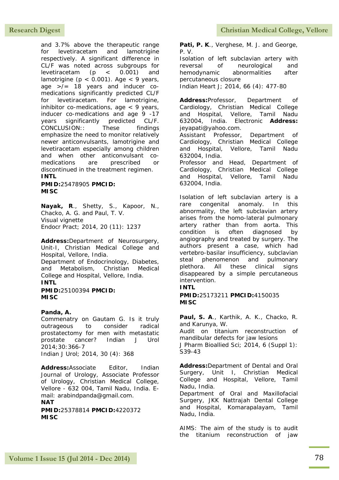and 3.7% above the therapeutic range for levetiracetam and lamotrigine respectively. A significant difference in CL/F was noted across subgroups for levetiracetam (p < 0.001) and lamotrigine ( $p < 0.001$ ). Age  $< 9$  years, age >/= 18 years and inducer comedications significantly predicted CL/F for levetiracetam. For lamotrigine, inhibitor co-medications, age  $\lt 9$  years, inducer co-medications and age 9 -17 years significantly predicted CL/F. CONCLUSION:: These findings emphasize the need to monitor relatively newer anticonvulsants, lamotrigine and levetiracetam especially among children and when other anticonvulsant comedications are prescribed or discontinued in the treatment regimen.

### **INTL**

**PMID:**25478905 **PMCID: MISC**

**Nayak, R**., Shetty, S., Kapoor, N., Chacko, A. G. and Paul, T. V. Visual vignette Endocr Pract; 2014, 20 (11): 1237

**Address:**Department of Neurosurgery, Unit-I, Christian Medical College and Hospital, Vellore, India. Department of Endocrinology, Diabetes, and Metabolism, Christian Medical College and Hospital, Vellore, India. **INTL PMID:**25100394 **PMCID:**

**MISC**

### **Panda, A.**

Commenatry on Gautam G. Is it truly outrageous to consider radical prostatectomy for men with metastatic prostate cancer? Indian J Urol 2014;30:366-7 Indian J Urol; 2014, 30 (4): 368

**Address:**Associate Editor, Indian Journal of Urology, Associate Professor of Urology, Christian Medical College, Vellore - 632 004, Tamil Nadu, India. Email: arabindpanda@gmail.com. **NAT**

**PMID:**25378814 **PMCID:**4220372 **MISC**

**Pati, P. K**., Verghese, M. J. and George, P. V. Isolation of left subclavian artery with

reversal of neurological and hemodynamic abnormalities after percutaneous closure Indian Heart J; 2014, 66 (4): 477-80

**Address:**Professor, Department of Cardiology, Christian Medical College and Hospital, Vellore, Tamil Nadu 632004, India. Electronic **Address:** jeyapati@yahoo.com. Assistant Professor, Department of Cardiology, Christian Medical College and Hospital, Vellore, Tamil Nadu 632004, India. Professor and Head, Department of Cardiology, Christian Medical College and Hospital, Vellore, Tamil Nadu 632004, India.

Isolation of left subclavian artery is a rare congenital anomaly. In this abnormality, the left subclavian artery arises from the homo-lateral pulmonary artery rather than from aorta. This condition is often diagnosed by angiography and treated by surgery. The authors present a case, which had vertebro-basilar insufficiency, subclavian steal phenomenon and pulmonary plethora. All these clinical signs disappeared by a simple percutaneous intervention.

# **INTL**

**PMID:**25173211 **PMCID:**4150035 **MISC**

**Paul, S. A**., Karthik, A. K., Chacko, R. and Karunya, W.

Audit on titanium reconstruction of mandibular defects for jaw lesions J Pharm Bioallied Sci; 2014, 6 (Suppl 1): S39-43

**Address:**Department of Dental and Oral Surgery, Unit I, Christian Medical College and Hospital, Vellore, Tamil Nadu, India.

Department of Oral and Maxillofacial Surgery, JKK Nattrajah Dental College and Hospital, Komarapalayam, Tamil Nadu, India.

AIMS: The aim of the study is to audit the titanium reconstruction of jaw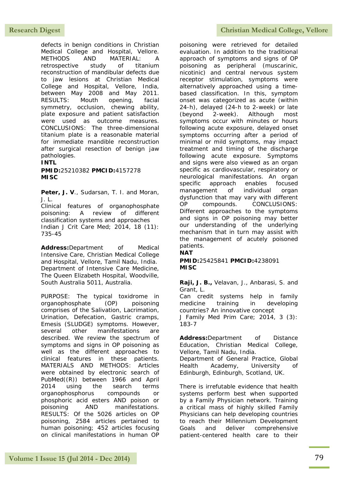defects in benign conditions in Christian Medical College and Hospital, Vellore. METHODS AND MATERIAL: A retrospective study of titanium reconstruction of mandibular defects due to jaw lesions at Christian Medical College and Hospital, Vellore, India, between May 2008 and May 2011. RESULTS: Mouth opening, facial symmetry, occlusion, chewing ability, plate exposure and patient satisfaction were used as outcome measures. CONCLUSIONS: The three-dimensional titanium plate is a reasonable material for immediate mandible reconstruction after surgical resection of benign jaw pathologies.

# **INTL**

**PMID:**25210382 **PMCID:**4157278 **MISC**

Peter, J. V., Sudarsan, T. I. and Moran, J. L.

Clinical features of organophosphate poisoning: A review of different classification systems and approaches Indian J Crit Care Med; 2014, 18 (11): 735-45

**Address:**Department of Medical Intensive Care, Christian Medical College and Hospital, Vellore, Tamil Nadu, India. Department of Intensive Care Medicine, The Queen Elizabeth Hospital, Woodville, South Australia 5011, Australia.

PURPOSE: The typical toxidrome in organophosphate (OP) poisoning comprises of the Salivation, Lacrimation, Urination, Defecation, Gastric cramps, Emesis (SLUDGE) symptoms. However, several other manifestations are described. We review the spectrum of symptoms and signs in OP poisoning as well as the different approaches to clinical features in these patients. MATERIALS AND METHODS: Articles were obtained by electronic search of PubMed((R)) between 1966 and April 2014 using the search terms organophosphorus compounds or phosphoric acid esters AND poison or poisoning AND manifestations. RESULTS: Of the 5026 articles on OP poisoning, 2584 articles pertained to human poisoning; 452 articles focusing on clinical manifestations in human OP

poisoning were retrieved for detailed evaluation. In addition to the traditional approach of symptoms and signs of OP poisoning as peripheral (muscarinic, nicotinic) and central nervous system receptor stimulation, symptoms were alternatively approached using a timebased classification. In this, symptom onset was categorized as acute (within 24-h), delayed (24-h to 2-week) or late (beyond 2-week). Although most symptoms occur with minutes or hours following acute exposure, delayed onset symptoms occurring after a period of minimal or mild symptoms, may impact treatment and timing of the discharge following acute exposure. Symptoms and signs were also viewed as an organ specific as cardiovascular, respiratory or neurological manifestations. An organ specific approach enables focused management of individual organ dysfunction that may vary with different OP compounds. CONCLUSIONS: Different approaches to the symptoms and signs in OP poisoning may better our understanding of the underlying mechanism that in turn may assist with the management of acutely poisoned patients.

### **NAT**

**PMID:**25425841 **PMCID:**4238091 **MISC**

**Raji, J. B.,** Velavan, J., Anbarasi, S. and Grant, L.

Can credit systems help in family medicine training in developing countries? An innovative concept

J Family Med Prim Care; 2014, 3 (3): 183-7

**Address:**Department of Distance Education, Christian Medical College, Vellore, Tamil Nadu, India.

Department of General Practice, Global Health Academy, University of Edinburgh, Edinburgh, Scotland, UK.

There is irrefutable evidence that health systems perform best when supported by a Family Physician network. Training a critical mass of highly skilled Family Physicians can help developing countries to reach their Millennium Development Goals and deliver comprehensive patient-centered health care to their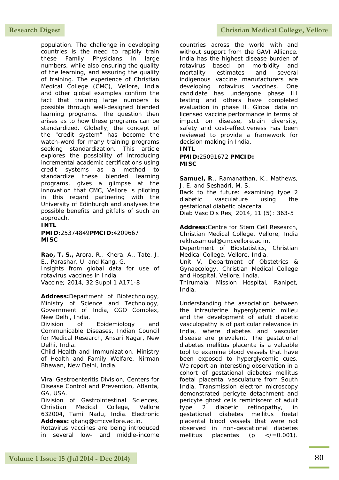population. The challenge in developing countries is the need to rapidly train these Family Physicians in large numbers, while also ensuring the quality of the learning, and assuring the quality of training. The experience of Christian Medical College (CMC), Vellore, India and other global examples confirm the fact that training large numbers is possible through well-designed blended learning programs. The question then arises as to how these programs can be standardized. Globally, the concept of the "credit system" has become the watch-word for many training programs seeking standardization. This article explores the possibility of introducing incremental academic certifications using credit systems as a method to standardize these blended learning programs, gives a glimpse at the innovation that CMC, Vellore is piloting in this regard partnering with the University of Edinburgh and analyses the possible benefits and pitfalls of such an approach.

## **INTL**

**PMID:**25374849**PMCID:**4209667 **MISC**

**Rao, T. S.,** Arora, R., Khera, A., Tate, J. E., Parashar, U. and Kang, G. Insights from global data for use of rotavirus vaccines in India Vaccine; 2014, 32 Suppl 1 A171-8

**Address:**Department of Biotechnology, Ministry of Science and Technology, Government of India, CGO Complex, New Delhi, India.

Division of Epidemiology and Communicable Diseases, Indian Council for Medical Research, Ansari Nagar, New Delhi, India.

Child Health and Immunization, Ministry of Health and Family Welfare, Nirman Bhawan, New Delhi, India.

Viral Gastroenteritis Division, Centers for Disease Control and Prevention, Atlanta, GA, USA.

Division of Gastrointestinal Sciences, Christian Medical College, Vellore 632004, Tamil Nadu, India. Electronic **Address:** gkang@cmcvellore.ac.in.

Rotavirus vaccines are being introduced in several low- and middle-income

# Research Digest **Christian Medical College, Vellore**

countries across the world with and without support from the GAVI Alliance. India has the highest disease burden of rotavirus based on morbidity and mortality estimates and several indigenous vaccine manufacturers are<br>developing rotavirus vaccines. One rotavirus vaccines. One candidate has undergone phase III testing and others have completed evaluation in phase II. Global data on licensed vaccine performance in terms of impact on disease, strain diversity, safety and cost-effectiveness has been reviewed to provide a framework for decision making in India.

### **INTL**

**PMID:**25091672 **PMCID: MISC**

**Samuel, R**., Ramanathan, K., Mathews, J. E. and Seshadri, M. S. Back to the future: examining type 2 diabetic vasculature using the gestational diabetic placenta Diab Vasc Dis Res; 2014, 11 (5): 363-5

**Address:**Centre for Stem Cell Research, Christian Medical College, Vellore, India rekhasamuel@cmcvellore.ac.in.

Department of Biostatistics, Christian Medical College, Vellore, India.

Unit V, Department of Obstetrics & Gynaecology, Christian Medical College and Hospital, Vellore, India.

Thirumalai Mission Hospital, Ranipet, India.

Understanding the association between the intrauterine hyperglycemic milieu and the development of adult diabetic vasculopathy is of particular relevance in India, where diabetes and vascular disease are prevalent. The gestational diabetes mellitus placenta is a valuable tool to examine blood vessels that have been exposed to hyperglycemic cues. We report an interesting observation in a cohort of gestational diabetes mellitus foetal placental vasculature from South India. Transmission electron microscopy demonstrated pericyte detachment and pericyte ghost cells reminiscent of adult type 2 diabetic retinopathy, in gestational diabetes mellitus foetal placental blood vessels that were not observed in non-gestational diabetes mellitus placentas ( $p \leq l = 0.001$ ).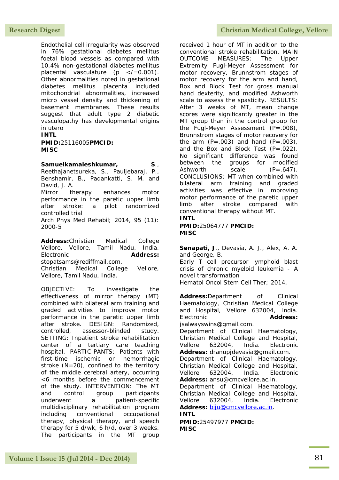Endothelial cell irregularity was observed in 76% gestational diabetes mellitus foetal blood vessels as compared with 10.4% non-gestational diabetes mellitus placental vasculature ( $p \leq (-0.001)$ . Other abnormalities noted in gestational diabetes mellitus placenta included mitochondrial abnormalities, increased micro vessel density and thickening of basement membranes. These results suggest that adult type 2 diabetic vasculopathy has developmental origins in utero

### **INTL**

**PMID:**25116005**PMCID: MISC**

### **Samuelkamaleshkumar, S**.,

Reethajanetsureka, S., Pauljebaraj, P., Benshamir, B., Padankatti, S. M. and David, J. A.

Mirror therapy enhances motor performance in the paretic upper limb after stroke: a pilot randomized controlled trial Arch Phys Med Rehabil; 2014, 95 (11):

2000-5

**Address:**Christian Medical College Vellore, Vellore, Tamil Nadu, India. Electronic **Address:** stopatsams@rediffmail.com.

Christian Medical College Vellore, Vellore, Tamil Nadu, India.

OBJECTIVE: To investigate the effectiveness of mirror therapy (MT) combined with bilateral arm training and graded activities to improve motor performance in the paretic upper limb after stroke. DESIGN: Randomized, controlled, assessor-blinded study. SETTING: Inpatient stroke rehabilitation center of a tertiary care teaching hospital. PARTICIPANTS: Patients with first-time ischemic or hemorrhagic stroke (N=20), confined to the territory of the middle cerebral artery, occurring <6 months before the commencement of the study. INTERVENTION: The MT and control group participants underwent a patient-specific multidisciplinary rehabilitation program including conventional occupational therapy, physical therapy, and speech therapy for 5 d/wk, 6 h/d, over 3 weeks. The participants in the MT group

received 1 hour of MT in addition to the conventional stroke rehabilitation. MAIN OUTCOME MEASURES: The Upper Extremity Fugl-Meyer Assessment for motor recovery, Brunnstrom stages of motor recovery for the arm and hand, Box and Block Test for gross manual hand dexterity, and modified Ashworth scale to assess the spasticity. RESULTS: After 3 weeks of MT, mean change scores were significantly greater in the MT group than in the control group for the Fugl-Meyer Assessment  $(P=.008)$ , Brunnstrom stages of motor recovery for the arm  $(P=.003)$  and hand  $(P=.003)$ , and the Box and Block Test  $(P=.022)$ . No significant difference was found between the groups for modified Ashworth scale  $(P=.647)$ . CONCLUSIONS: MT when combined with bilateral arm training and graded activities was effective in improving motor performance of the paretic upper limb after stroke compared with conventional therapy without MT.

### **INTL**

**PMID:**25064777 **PMCID: MISC**

**Senapati, J**., Devasia, A. J., Alex, A. A. and George, B.

Early T cell precursor lymphoid blast crisis of chronic myeloid leukemia - A novel transformation

Hematol Oncol Stem Cell Ther; 2014,

**Address:**Department of Clinical Haematology, Christian Medical College and Hospital, Vellore 632004, India. Electronic **Address:**

jsalwayswins@gmail.com.

Department of Clinical Haematology, Christian Medical College and Hospital, Vellore 632004, India. Electronic **Address:** dranupjdevasia@gmail.com.

Department of Clinical Haematology, Christian Medical College and Hospital, Vellore 632004, India. Electronic **Address:** ansu@cmcvellore.ac.in.

Department of Clinical Haematology, Christian Medical College and Hospital, Vellore 632004, India. Electronic **Address:** [biju@cmcvellore.ac.in.](mailto:biju@cmcvellore.ac.in) **INTL**

**PMID:**25497977 **PMCID: MISC**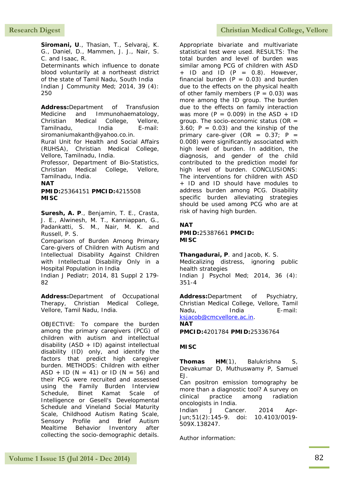**Siromani, U**., Thasian, T., Selvaraj, K. G., Daniel, D., Mammen, J. J., Nair, S. C. and Isaac, R. Determinants which influence to donate blood voluntarily at a northeast district of the state of Tamil Nadu, South India Indian J Community Med; 2014, 39 (4): 250

**Address:**Department of Transfusion Medicine and Immunohaematology, Christian Medical College, Vellore, Tamilnadu, India E-mail: siromaniumakanth@yahoo.co.in. Rural Unit for Health and Social Affairs

(RUHSA), Christian Medical College, Vellore, Tamilnadu, India.

Professor, Department of Bio-Statistics, Christian Medical College, Vellore, Tamilnadu, India.

**NAT**

**PMID:**25364151 **PMCID:**4215508 **MISC**

**Suresh, A. P**., Benjamin, T. E., Crasta, J. E., Alwinesh, M. T., Kanniappan, G., Padankatti, S. M., Nair, M. K. and Russell, P. S.

Comparison of Burden Among Primary Care-givers of Children with Autism and Intellectual Disability Against Children with Intellectual Disability Only in a Hospital Population in India

Indian J Pediatr; 2014, 81 Suppl 2 179- 82

**Address:**Department of Occupational Therapy, Christian Medical College, Vellore, Tamil Nadu, India.

OBJECTIVE: To compare the burden among the primary caregivers (PCG) of children with autism and intellectual disability (ASD + ID) against intellectual disability (ID) only, and identify the factors that predict high caregiver burden. METHODS: Children with either ASD + ID ( $N = 41$ ) or ID ( $N = 56$ ) and their PCG were recruited and assessed using the Family Burden Interview Schedule, Binet Kamat Scale of Intelligence or Gesell's Developmental Schedule and Vineland Social Maturity Scale, Childhood Autism Rating Scale, Sensory Profile and Brief Autism Mealtime Behavior Inventory after collecting the socio-demographic details.

## **Research Digest Christian Medical College, Vellore**

Appropriate bivariate and multivariate statistical test were used. RESULTS: The total burden and level of burden was similar among PCG of children with ASD  $+$  ID and ID (P = 0.8). However, financial burden  $(P = 0.03)$  and burden due to the effects on the physical health of other family members  $(P = 0.03)$  was more among the ID group. The burden due to the effects on family interaction was more ( $P = 0.009$ ) in the ASD + ID group. The socio-economic status (OR  $=$ 3.60;  $P = 0.03$ ) and the kinship of the primary care-giver (OR =  $0.37$ ; P = 0.008) were significantly associated with high level of burden. In addition, the diagnosis, and gender of the child contributed to the prediction model for high level of burden. CONCLUSIONS: The interventions for children with ASD + ID and ID should have modules to address burden among PCG. Disability specific burden alleviating strategies should be used among PCG who are at risk of having high burden.

### **NAT**

**PMID:**25387661 **PMCID: MISC**

**Thangadurai, P**. and Jacob, K. S. Medicalizing distress, ignoring public health strategies Indian J Psychol Med; 2014, 36 (4): 351-4

**Address:**Department of Psychiatry, Christian Medical College, Vellore, Tamil Nadu, India E-mail: [ksjacob@cmcvellore.ac.in.](mailto:ksjacob@cmcvellore.ac.in)

### **NAT**

**PMCID:**4201784 **PMID:**25336764

### **MISC**

**Thomas HM**(1), Balukrishna S, Devakumar D, Muthuswamy P, Samuel EJ.

Can positron emission tomography be more than a diagnostic tool? A survey on clinical practice among radiation oncologists in India.

Indian J Cancer. 2014 Apr-Jun;51(2):145-9. doi: 10.4103/0019- 509X.138247.

Author information: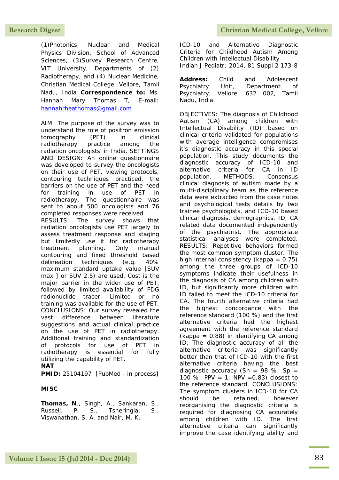(1)Photonics, Nuclear and Medical Physics Division, School of Advanced Sciences, (3)Survey Research Centre, VIT University, Departments of (2) Radiotherapy, and (4) Nuclear Medicine, Christian Medical College, Vellore, Tamil Nadu, India **Correspondence to:** Ms. Hannah Mary Thomas T, E-mail: [hannahrheathomas@gmail.com](mailto:hannahrheathomas@gmail.com)

AIM: The purpose of the survey was to understand the role of positron emission tomography (PET) in clinical radiotherapy practice among the radiation oncologists' in India. SETTINGS AND DESIGN: An online questionnaire was developed to survey the oncologists on their use of PET, viewing protocols, contouring techniques practiced, the barriers on the use of PET and the need for training in use of PET in radiotherapy. The questionnaire was sent to about 500 oncologists and 76 completed responses were received.

RESULTS: The survey shows that radiation oncologists use PET largely to assess treatment response and staging but limitedly use it for radiotherapy treatment planning. Only manual contouring and fixed threshold based delineation techniques (e.g. 40% maximum standard uptake value [SUV max ] or SUV 2.5) are used. Cost is the major barrier in the wider use of PET, followed by limited availability of FDG radionuclide tracer. Limited or no training was available for the use of PET. CONCLUSIONS: Our survey revealed the vast difference between literature suggestions and actual clinical practice on the use of PET in radiotherapy. Additional training and standardization of protocols for use of PET in radiotherapy is essential for fully utilizing the capability of PET. **NAT**

**PMID:** 25104197 [PubMed - in process]

# **MISC**

**Thomas, N**., Singh, A., Sankaran, S., Russell, P. S., Tsheringla, S., Viswanathan, S. A. and Nair, M. K.

ICD-10 and Alternative Diagnostic Criteria for Childhood Autism Among Children with Intellectual Disability Indian J Pediatr; 2014, 81 Suppl 2 173-8

**Address:** Child and Adolescent Psychiatry Unit, Department of<br>Psychiatry, Vellore, 632 002, Tamil Vellore, 632 002, Tamil Nadu, India.

OBJECTIVES: The diagnosis of Childhood Autism (CA) among children with Intellectual Disability (ID) based on clinical criteria validated for populations with average intelligence compromises it's diagnostic accuracy in this special population. This study documents the diagnostic accuracy of ICD-10 and alternative criteria for CA in ID population. METHODS: Consensus clinical diagnosis of autism made by a multi-disciplinary team as the reference data were extracted from the case notes and psychological tests details by two trainee psychologists, and ICD-10 based clinical diagnosis, demographics, ID, CA related data documented independently of the psychiatrist. The appropriate statistical analyses were completed. RESULTS: Repetitive behaviors formed the most common symptom cluster. The high internal consistency (kappa =  $0.75$ ) among the three groups of ICD-10 symptoms indicate their usefulness in the diagnosis of CA among children with ID, but significantly more children with ID failed to meet the ICD-10 criteria for CA. The fourth alternative criteria had the highest concordance with the reference standard (100 %) and the first alternative criteria had the highest agreement with the reference standard  $(kappa = 0.88)$  in identifying CA among ID. The diagnostic accuracy of all the alternative criteria was significantly better than that of ICD-10 with the first alternative criteria having the best diagnostic accuracy (Sn =  $98 \%$ ; Sp = 100 %; PPV = 1; NPV =  $0.83$ ) closest to the reference standard. CONCLUSIONS: The symptom clusters in ICD-10 for CA should be retained, however reorganising the diagnostic criteria is required for diagnosing CA accurately among children with ID. The first alternative criteria can significantly improve the case identifying ability and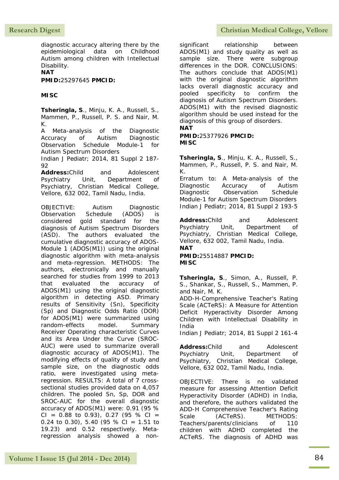diagnostic accuracy altering there by the epidemiological data on Childhood Autism among children with Intellectual Disability.

**NAT**

**PMID:**25297645 **PMCID:**

### **MISC**

**Tsheringla, S**., Minju, K. A., Russell, S., Mammen, P., Russell, P. S. and Nair, M. K.

A Meta-analysis of the Diagnostic Accuracy of Autism Diagnostic Observation Schedule Module-1 for Autism Spectrum Disorders

Indian J Pediatr; 2014, 81 Suppl 2 187-  $92$ 

**Address:**Child and Adolescent Psychiatry Unit, Department of Psychiatry, Christian Medical College, Vellore, 632 002, Tamil Nadu, India.

OBJECTIVE: Autism Diagnostic Observation Schedule (ADOS) is considered gold standard for the diagnosis of Autism Spectrum Disorders (ASD). The authors evaluated the cumulative diagnostic accuracy of ADOS-Module 1 (ADOS(M1)) using the original diagnostic algorithm with meta-analysis and meta-regression. METHODS: The authors, electronically and manually searched for studies from 1999 to 2013 that evaluated the accuracy of ADOS(M1) using the original diagnostic algorithm in detecting ASD. Primary results of Sensitivity (Sn), Specificity (Sp) and Diagnostic Odds Ratio (DOR) for ADOS(M1) were summarized using random-effects model. Summary Receiver Operating characteristic Curves and its Area Under the Curve (SROC-AUC) were used to summarize overall diagnostic accuracy of ADOS(M1). The modifying effects of quality of study and sample size, on the diagnostic odds ratio, were investigated using metaregression. RESULTS: A total of 7 crosssectional studies provided data on 4,057 children. The pooled Sn, Sp, DOR and SROC-AUC for the overall diagnostic accuracy of ADOS(M1) were: 0.91 (95 % CI =  $0.88$  to 0.93), 0.27 (95 % CI = 0.24 to 0.30), 5.40 (95 % CI = 1.51 to 19.23) and 0.52 respectively. Metaregression analysis showed a non-

## Research Digest **Christian Medical College, Vellore**

significant relationship between ADOS(M1) and study quality as well as sample size. There were subgroup differences in the DOR. CONCLUSIONS: The authors conclude that ADOS(M1) with the original diagnostic algorithm lacks overall diagnostic accuracy and pooled specificity to confirm the diagnosis of Autism Spectrum Disorders. ADOS(M1) with the revised diagnostic algorithm should be used instead for the diagnosis of this group of disorders.

# **NAT**

**PMID:**25377926 **PMCID: MISC**

**Tsheringla, S**., Minju, K. A., Russell, S., Mammen, P., Russell, P. S. and Nair, M. K.

Erratum to: A Meta-analysis of the Diagnostic Accuracy of Autism Diagnostic Observation Schedule Module-1 for Autism Spectrum Disorders Indian J Pediatr; 2014, 81 Suppl 2 193-5

**Address:**Child and Adolescent Psychiatry Unit, Department of Psychiatry, Christian Medical College, Vellore, 632 002, Tamil Nadu, India. **NAT PMID:**25514887 **PMCID:**

### **MISC**

**Tsheringla, S**., Simon, A., Russell, P. S., Shankar, S., Russell, S., Mammen, P. and Nair, M. K.

ADD-H-Comprehensive Teacher's Rating Scale (ACTeRS): A Measure for Attention Deficit Hyperactivity Disorder Among Children with Intellectual Disability in India

Indian J Pediatr; 2014, 81 Suppl 2 161-4

**Address:**Child and Adolescent Psychiatry Unit, Department of Psychiatry, Christian Medical College, Vellore, 632 002, Tamil Nadu, India.

OBJECTIVE: There is no validated measure for assessing Attention Deficit Hyperactivity Disorder (ADHD) in India, and therefore, the authors validated the ADD-H Comprehensive Teacher's Rating Scale (ACTeRS). METHODS: Teachers/parents/clinicians of 110 children with ADHD completed the ACTeRS. The diagnosis of ADHD was